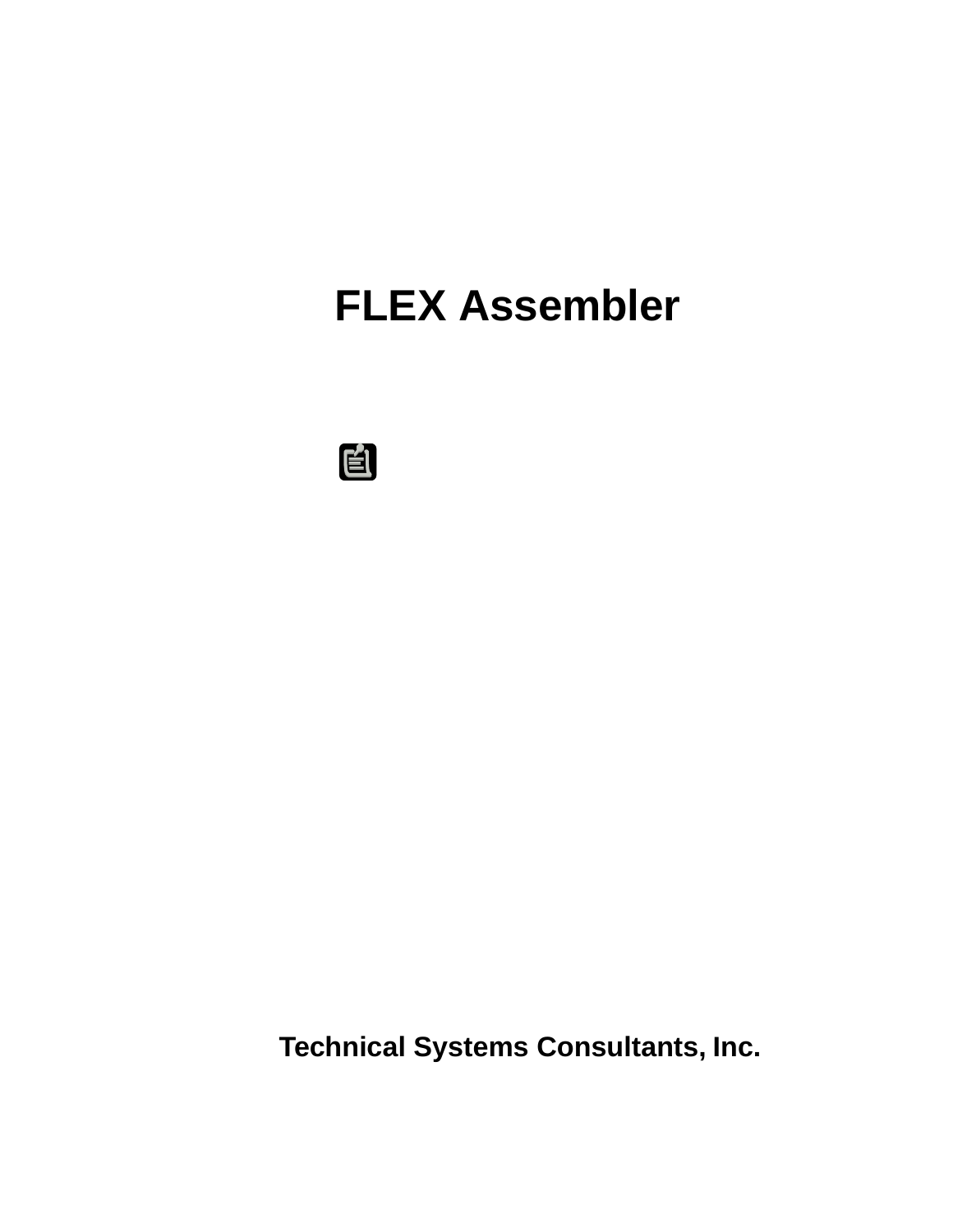# **FLEX Assembler**

**Technical Systems Consultants, Inc.**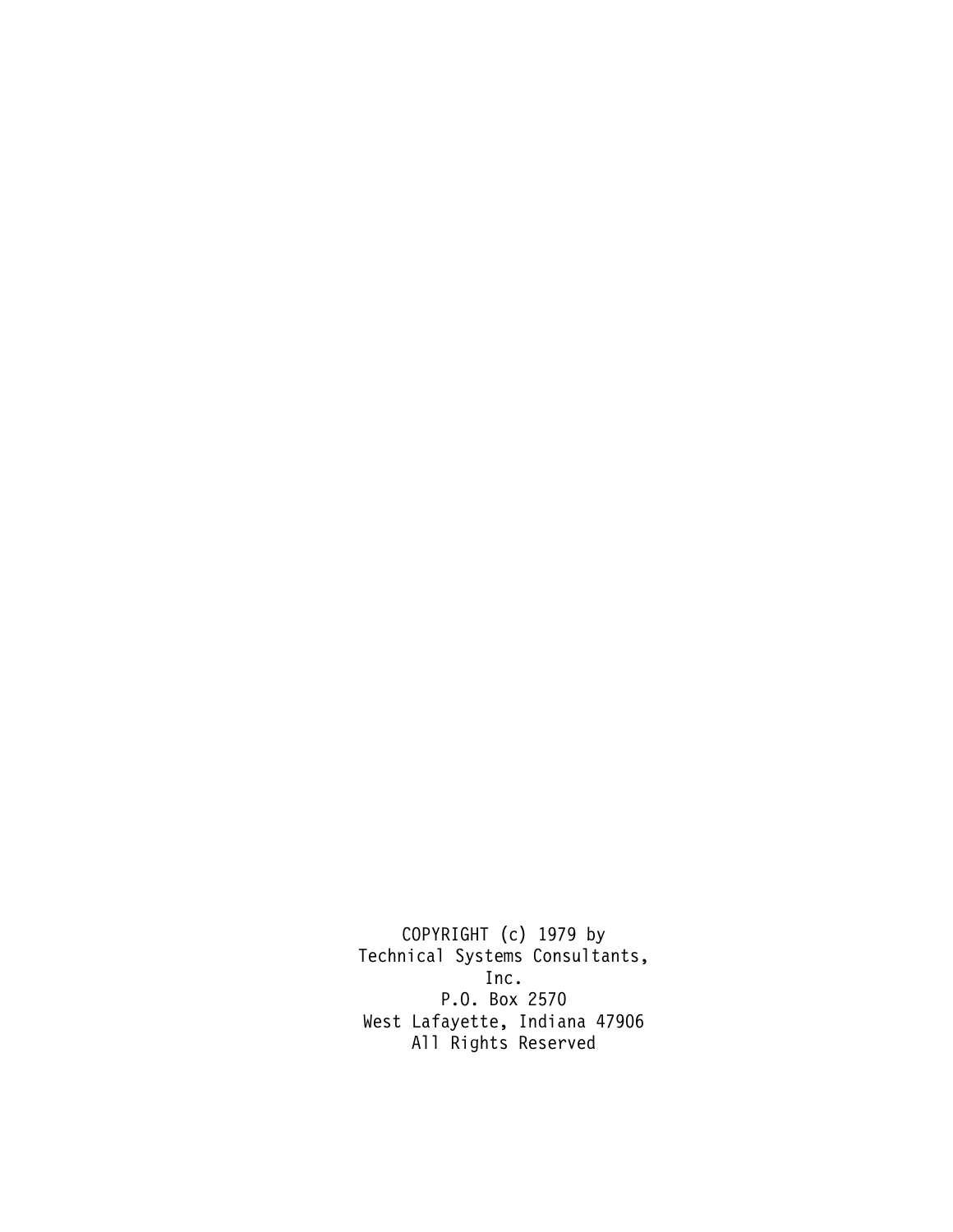COPYRIGHT (c) 1979 by Technical Systems Consultants, Inc. P.O. Box 2570 West Lafayette, Indiana 47906 All Rights Reserved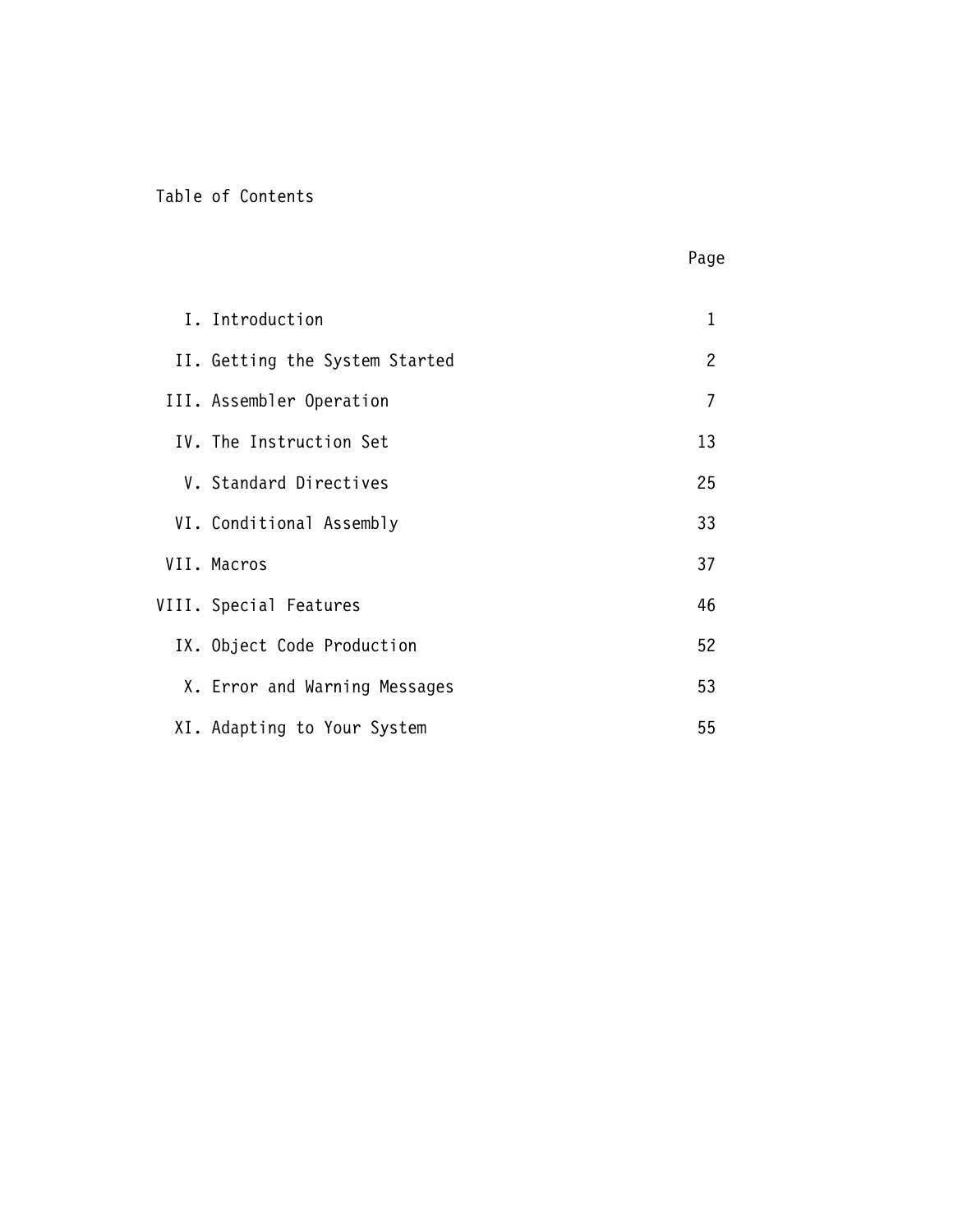# Table of Contents

|  | Page |
|--|------|

| I. Introduction                | 1              |
|--------------------------------|----------------|
| II. Getting the System Started | $\overline{c}$ |
| III. Assembler Operation       | 7              |
| IV. The Instruction Set        | 13             |
| V. Standard Directives         | 25             |
| VI. Conditional Assembly       | 33             |
| VII. Macros                    | 37             |
| VIII. Special Features         | 46             |
| IX. Object Code Production     | 52             |
| X. Error and Warning Messages  | 53             |
| XI. Adapting to Your System    | 55             |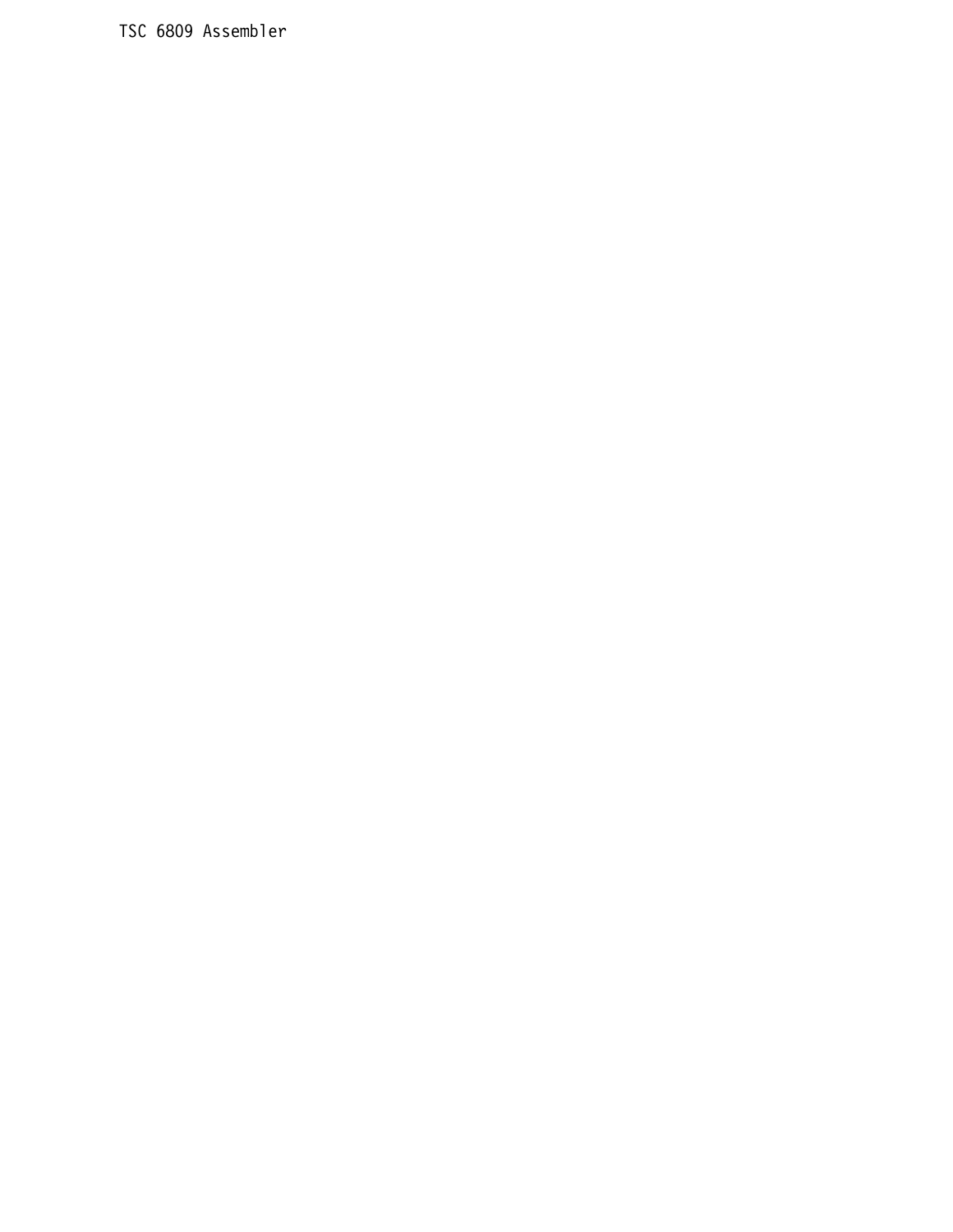TSC 6809 Assembler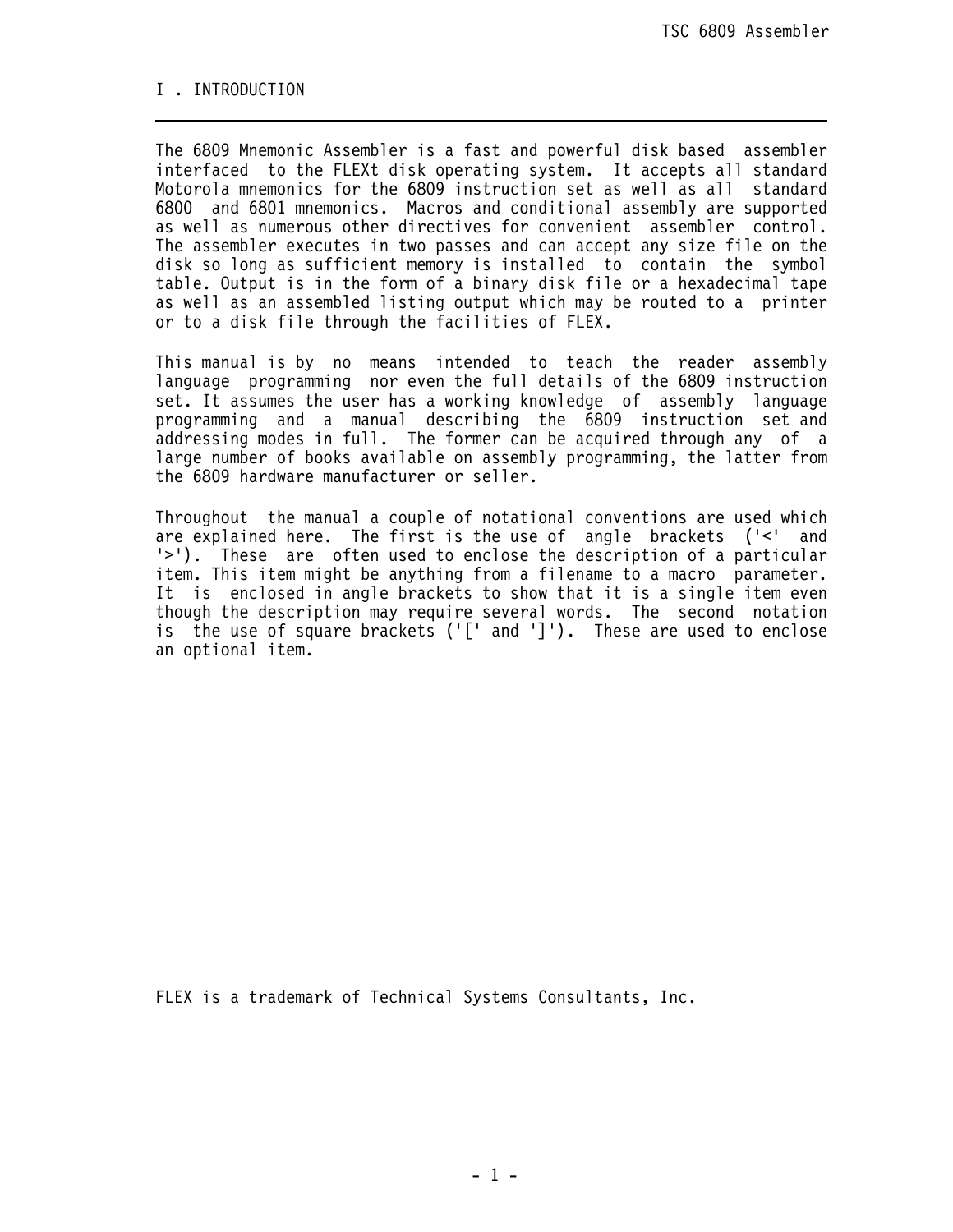# I . INTRODUCTION

The 6809 Mnemonic Assembler is a fast and powerful disk based assembler interfaced to the FLEXt disk operating system. It accepts all standard Motorola mnemonics for the 6809 instruction set as well as all standard 6800 and 6801 mnemonics. Macros and conditional assembly are supported as well as numerous other directives for convenient assembler control. The assembler executes in two passes and can accept any size file on the disk so long as sufficient memory is installed to contain the symbol table. Output is in the form of a binary disk file or a hexadecimal tape as well as an assembled listing output which may be routed to a printer or to a disk file through the facilities of FLEX.

This manual is by no means intended to teach the reader assembly language programming nor even the full details of the 6809 instruction set. It assumes the user has a working knowledge of assembly language programming and a manual describing the 6809 instruction set and addressing modes in full. The former can be acquired through any of a large number of books available on assembly programming, the latter from the 6809 hardware manufacturer or seller.

Throughout the manual a couple of notational conventions are used which are explained here. The first is the use of angle brackets ('<' and '>'). These are often used to enclose the description of a particular item. This item might be anything from a filename to a macro parameter. It is enclosed in angle brackets to show that it is a single item even though the description may require several words. The second notation is the use of square brackets ('[' and ']'). These are used to enclose an optional item.

FLEX is a trademark of Technical Systems Consultants, Inc.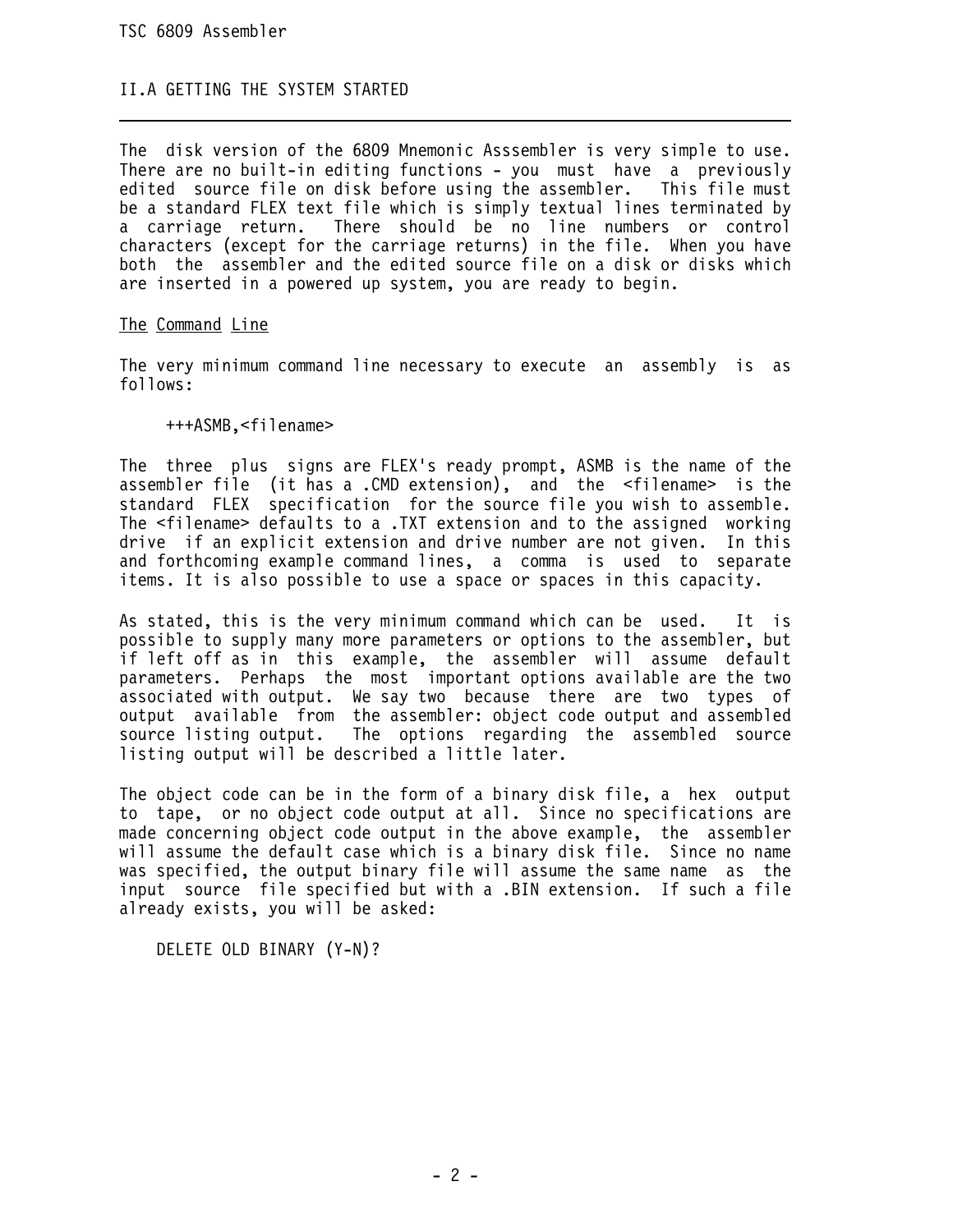# II.A GETTING THE SYSTEM STARTED

The disk version of the 6809 Mnemonic Asssembler is very simple to use. There are no built-in editing functions - you must have a previously edited source file on disk before using the assembler. This file must be a standard FLEX text file which is simply textual lines terminated by a carriage return. There should be no line numbers or control characters (except for the carriage returns) in the file. When you have both the assembler and the edited source file on a disk or disks which are inserted in a powered up system, you are ready to begin.

#### The Command Line

The very minimum command line necessary to execute an assembly is as follows:

#### +++ASMB,<filename>

The three plus signs are FLEX's ready prompt, ASMB is the name of the assembler file (it has a .CMD extension), and the <filename> is the standard FLEX specification for the source file you wish to assemble. The <filename> defaults to a .TXT extension and to the assigned working drive if an explicit extension and drive number are not given. In this and forthcoming example command lines, a comma is used to separate items. It is also possible to use a space or spaces in this capacity.

As stated, this is the very minimum command which can be used. It is possible to supply many more parameters or options to the assembler, but if left off as in this example, the assembler will assume default parameters. Perhaps the most important options available are the two associated with output. We say two because there are two types of output available from the assembler: object code output and assembled source listing output. The options regarding the assembled source listing output will be described a little later.

The object code can be in the form of a binary disk file, a hex output to tape, or no object code output at all. Since no specifications are made concerning object code output in the above example, the assembler will assume the default case which is a binary disk file. Since no name was specified, the output binary file will assume the same name as the input source file specified but with a .BIN extension. If such a file already exists, you will be asked:

DELETE OLD BINARY (Y-N)?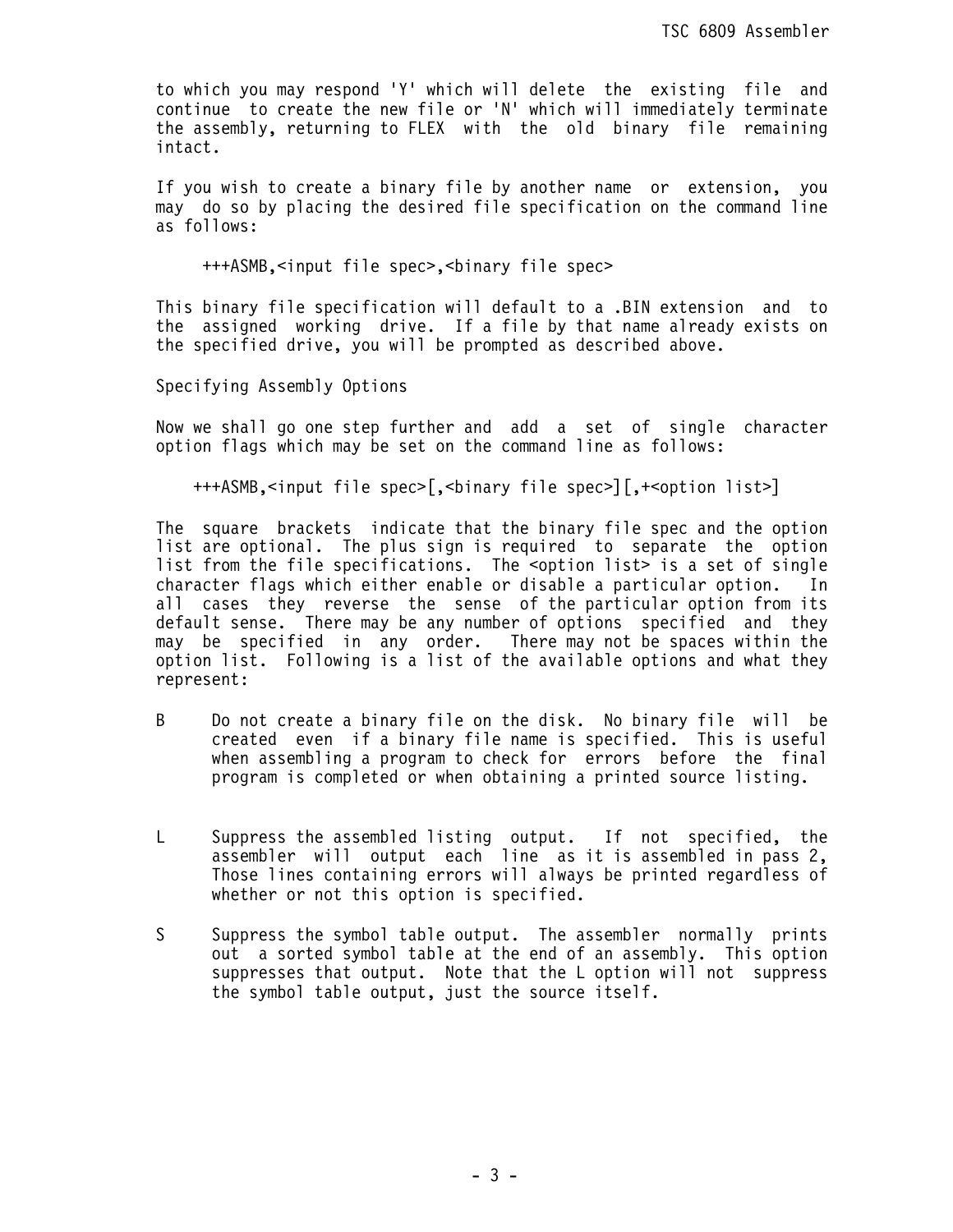to which you may respond 'Y' which will delete the existing file and continue to create the new file or 'N' which will immediately terminate the assembly, returning to FLEX with the old binary file remaining intact.

If you wish to create a binary file by another name or extension, you may do so by placing the desired file specification on the command line as follows:

+++ASMB,<input file spec>,<binary file spec>

This binary file specification will default to a .BIN extension and to the assigned working drive. If a file by that name already exists on the specified drive, you will be prompted as described above.

Specifying Assembly Options

Now we shall go one step further and add a set of single character option flags which may be set on the command line as follows:

+++ASMB,<input file spec>[,<binary file spec>][,+<option list>]

The square brackets indicate that the binary file spec and the option list are optional. The plus sign is required to separate the option list from the file specifications. The <option list> is a set of single character flags which either enable or disable a particular option. In all cases they reverse the sense of the particular option from its default sense. There may be any number of options specified and they may be specified in any order. There may not be spaces within the option list. Following is a list of the available options and what they represent:

- B Do not create a binary file on the disk. No binary file will be created even if a binary file name is specified. This is useful when assembling a program to check for errors before the final program is completed or when obtaining a printed source listing.
- L Suppress the assembled listing output. If not specified, the assembler will output each line as it is assembled in pass 2, Those lines containing errors will always be printed regardless of whether or not this option is specified.
- S Suppress the symbol table output. The assembler normally prints out a sorted symbol table at the end of an assembly. This option suppresses that output. Note that the L option will not suppress the symbol table output, just the source itself.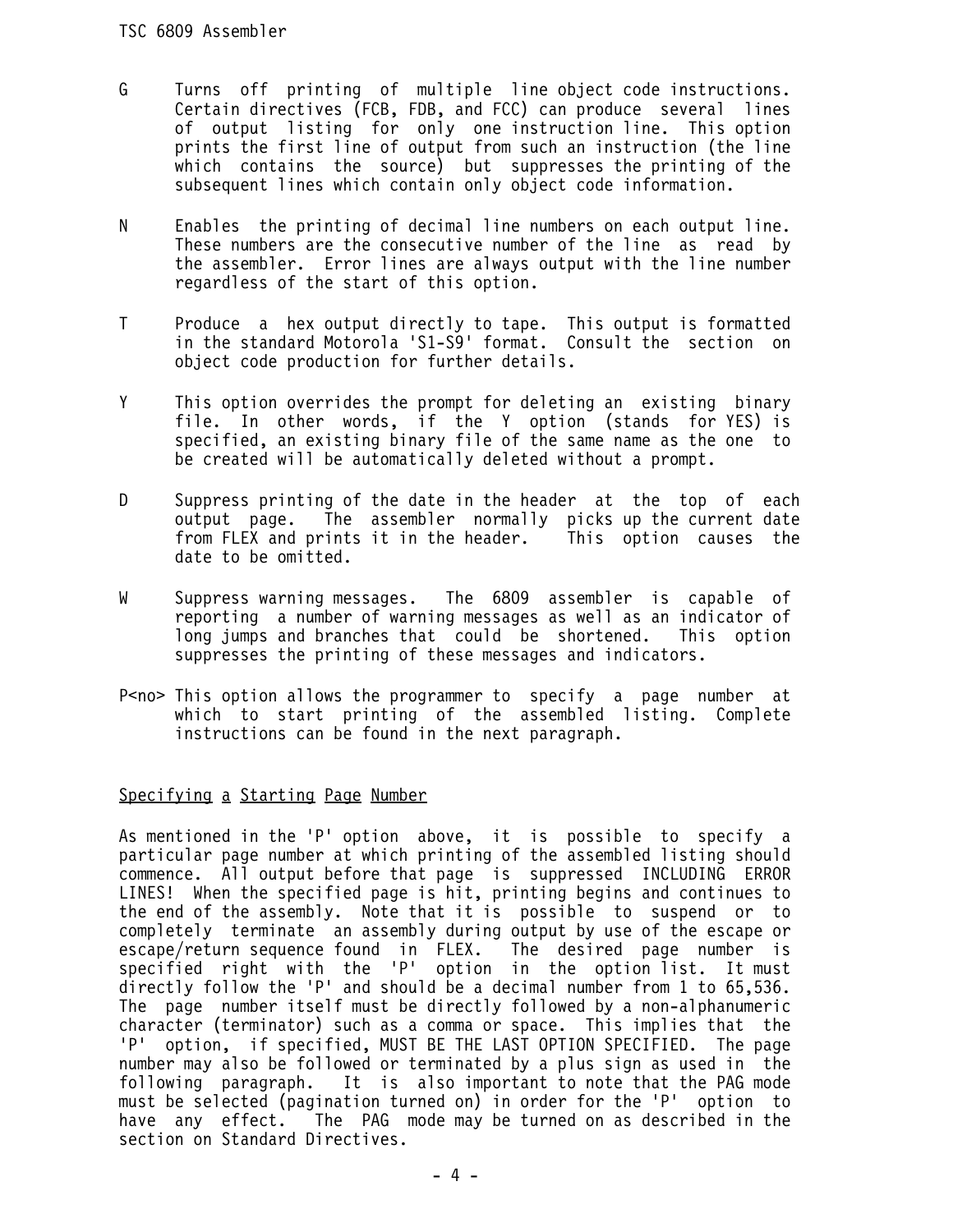- G Turns off printing of multiple line object code instructions. Certain directives (FCB, FDB, and FCC) can produce several lines of output listing for only one instruction line. This option prints the first line of output from such an instruction (the line which contains the source) but suppresses the printing of the subsequent lines which contain only object code information.
- N Enables the printing of decimal line numbers on each output line. These numbers are the consecutive number of the line as read by the assembler. Error lines are always output with the line number regardless of the start of this option.
- T Produce a hex output directly to tape. This output is formatted in the standard Motorola 'S1-S9' format. Consult the section on object code production for further details.
- Y This option overrides the prompt for deleting an existing binary file. In other words, if the Y option (stands for YES) is specified, an existing binary file of the same name as the one to be created will be automatically deleted without a prompt.
- D Suppress printing of the date in the header at the top of each output page. The assembler normally picks up the current date from FLEX and prints it in the header. This option causes the date to be omitted.
- W Suppress warning messages. The 6809 assembler is capable of reporting a number of warning messages as well as an indicator of long jumps and branches that could be shortened. This option suppresses the printing of these messages and indicators.
- P<no> This option allows the programmer to specify a page number at which to start printing of the assembled listing. Complete instructions can be found in the next paragraph.

# Specifying a Starting Page Number

As mentioned in the 'P' option above, it is possible to specify a particular page number at which printing of the assembled listing should commence. All output before that page is suppressed INCLUDING ERROR LINES! When the specified page is hit, printing begins and continues to the end of the assembly. Note that it is possible to suspend or to completely terminate an assembly during output by use of the escape or escape/return sequence found in FLEX. The desired page number is specified right with the 'P' option in the option list. It must directly follow the 'P' and should be a decimal number from 1 to 65,536. The page number itself must be directly followed by a non-alphanumeric character (terminator) such as a comma or space. This implies that the 'P' option, if specified, MUST BE THE LAST OPTION SPECIFIED. The page number may also be followed or terminated by a plus sign as used in the following paragraph. It is also important to note that the PAG mode must be selected (pagination turned on) in order for the 'P' option to have any effect. The PAG mode may be turned on as described in the section on Standard Directives.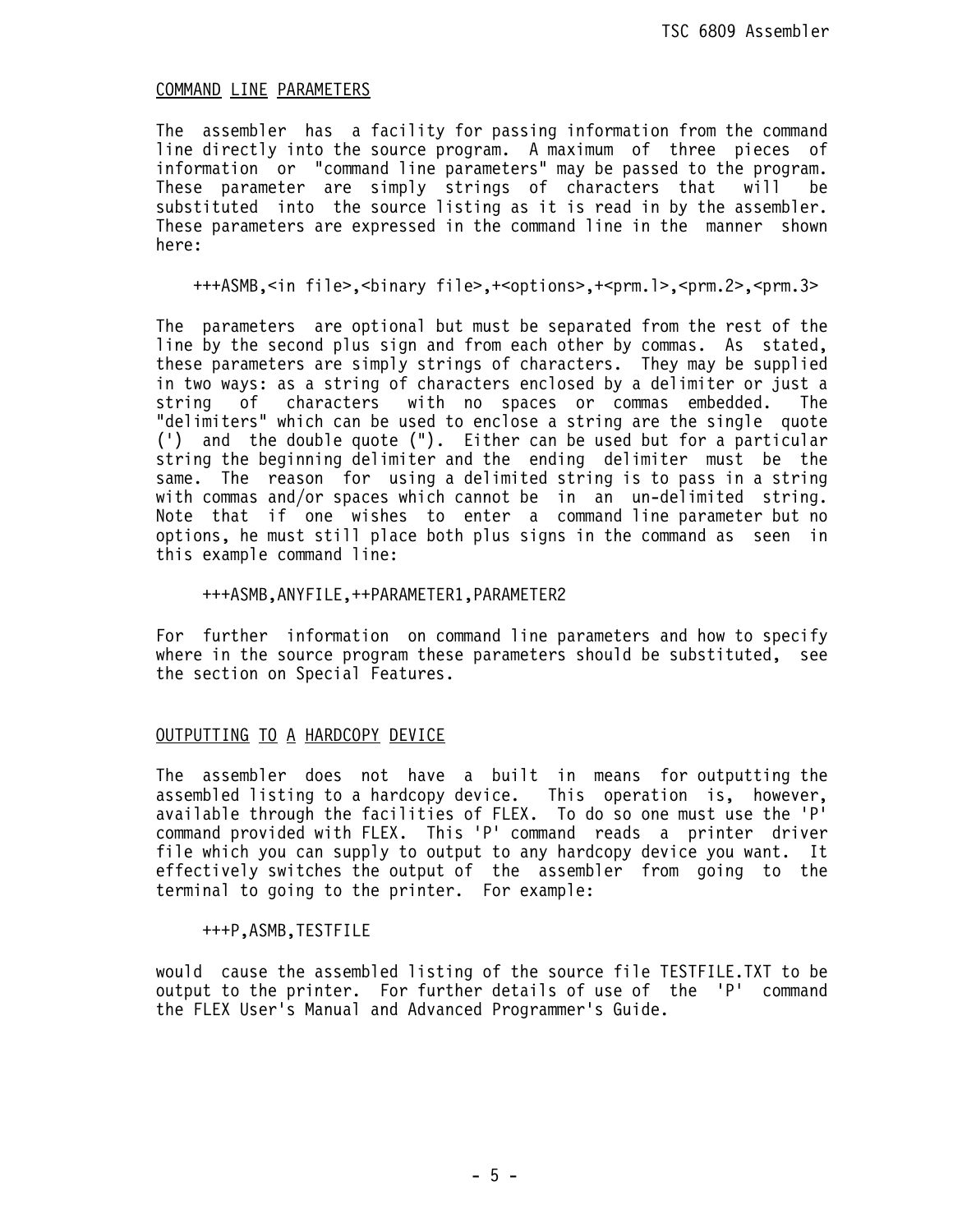# COMMAND LINE PARAMETERS

The assembler has a facility for passing information from the command line directly into the source program. A maximum of three pieces of information or "command line parameters" may be passed to the program. These parameter are simply strings of characters that will be substituted into the source listing as it is read in by the assembler. These parameters are expressed in the command line in the manner shown here:

+++ASMB,<in file>,<binary file>,+<options>,+<prm.l>,<prm.2>,<prm.3>

The parameters are optional but must be separated from the rest of the line by the second plus sign and from each other by commas. As stated, these parameters are simply strings of characters. They may be supplied in two ways: as a string of characters enclosed by a delimiter or just a string of characters with no spaces or commas embedded. The "delimiters" which can be used to enclose a string are the single quote (') and the double quote ("). Either can be used but for a particular string the beginning delimiter and the ending delimiter must be the same. The reason for using a delimited string is to pass in a string with commas and/or spaces which cannot be in an un-delimited string. Note that if one wishes to enter a command line parameter but no options, he must still place both plus signs in the command as seen in this example command line:

#### +++ASMB,ANYFILE,++PARAMETER1,PARAMETER2

For further information on command line parameters and how to specify where in the source program these parameters should be substituted, see the section on Special Features.

# OUTPUTTING TO A HARDCOPY DEVICE

The assembler does not have a built in means for outputting the assembled listing to a hardcopy device. This operation is, however, available through the facilities of FLEX. To do so one must use the 'P' command provided with FLEX. This 'P' command reads a printer driver file which you can supply to output to any hardcopy device you want. It effectively switches the output of the assembler from going to the terminal to going to the printer. For example:

#### +++P,ASMB,TESTFILE

would cause the assembled listing of the source file TESTFILE.TXT to be output to the printer. For further details of use of the 'P' command the FLEX User's Manual and Advanced Programmer's Guide.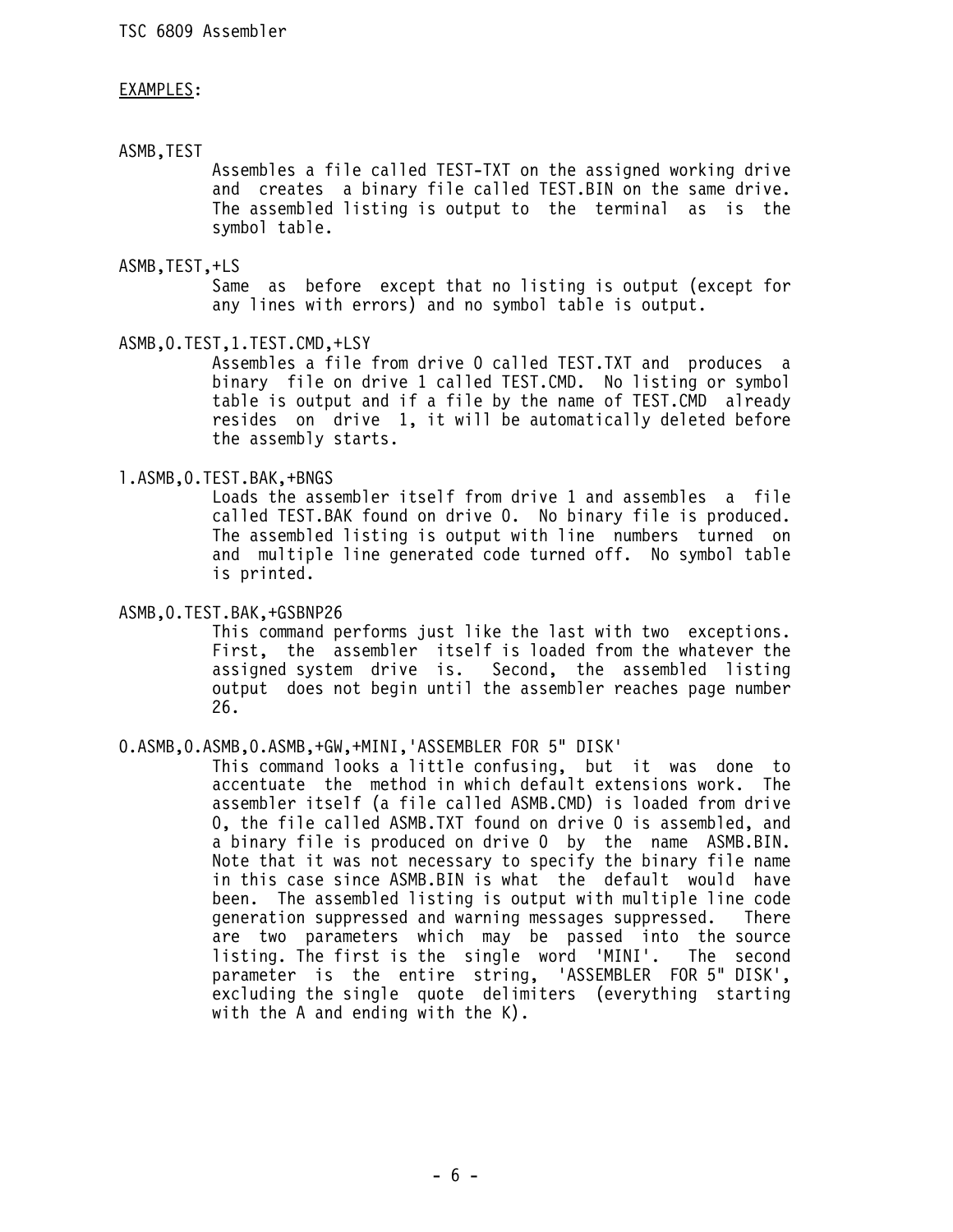# EXAMPLES:

#### ASMB,TEST

 Assembles a file called TEST-TXT on the assigned working drive and creates a binary file called TEST.BIN on the same drive. The assembled listing is output to the terminal as is the symbol table.

ASMB,TEST,+LS

 Same as before except that no listing is output (except for any lines with errors) and no symbol table is output.

ASMB,0.TEST,1.TEST.CMD,+LSY

 Assembles a file from drive 0 called TEST.TXT and produces a binary file on drive 1 called TEST.CMD. No listing or symbol table is output and if a file by the name of TEST.CMD already resides on drive 1, it will be automatically deleted before the assembly starts.

l.ASMB,0.TEST.BAK,+BNGS

 Loads the assembler itself from drive 1 and assembles a file called TEST.BAK found on drive 0. No binary file is produced. The assembled listing is output with line numbers turned on and multiple line generated code turned off. No symbol table is printed.

ASMB,0.TEST.BAK,+GSBNP26

 This command performs just like the last with two exceptions. First, the assembler itself is loaded from the whatever the assigned system drive is. Second, the assembled listing output does not begin until the assembler reaches page number 26.

# 0.ASMB,0.ASMB,0.ASMB,+GW,+MINI,'ASSEMBLER FOR 5" DISK'

 This command looks a little confusing, but it was done to accentuate the method in which default extensions work. The assembler itself (a file called ASMB.CMD) is loaded from drive 0, the file called ASMB.TXT found on drive 0 is assembled, and a binary file is produced on drive 0 by the name ASMB.BIN. Note that it was not necessary to specify the binary file name in this case since ASMB.BIN is what the default would have been. The assembled listing is output with multiple line code generation suppressed and warning messages suppressed. There are two parameters which may be passed into the source listing. The first is the single word 'MINI'. The second parameter is the entire string, 'ASSEMBLER FOR 5" DISK', excluding the single quote delimiters (everything starting with the A and ending with the K).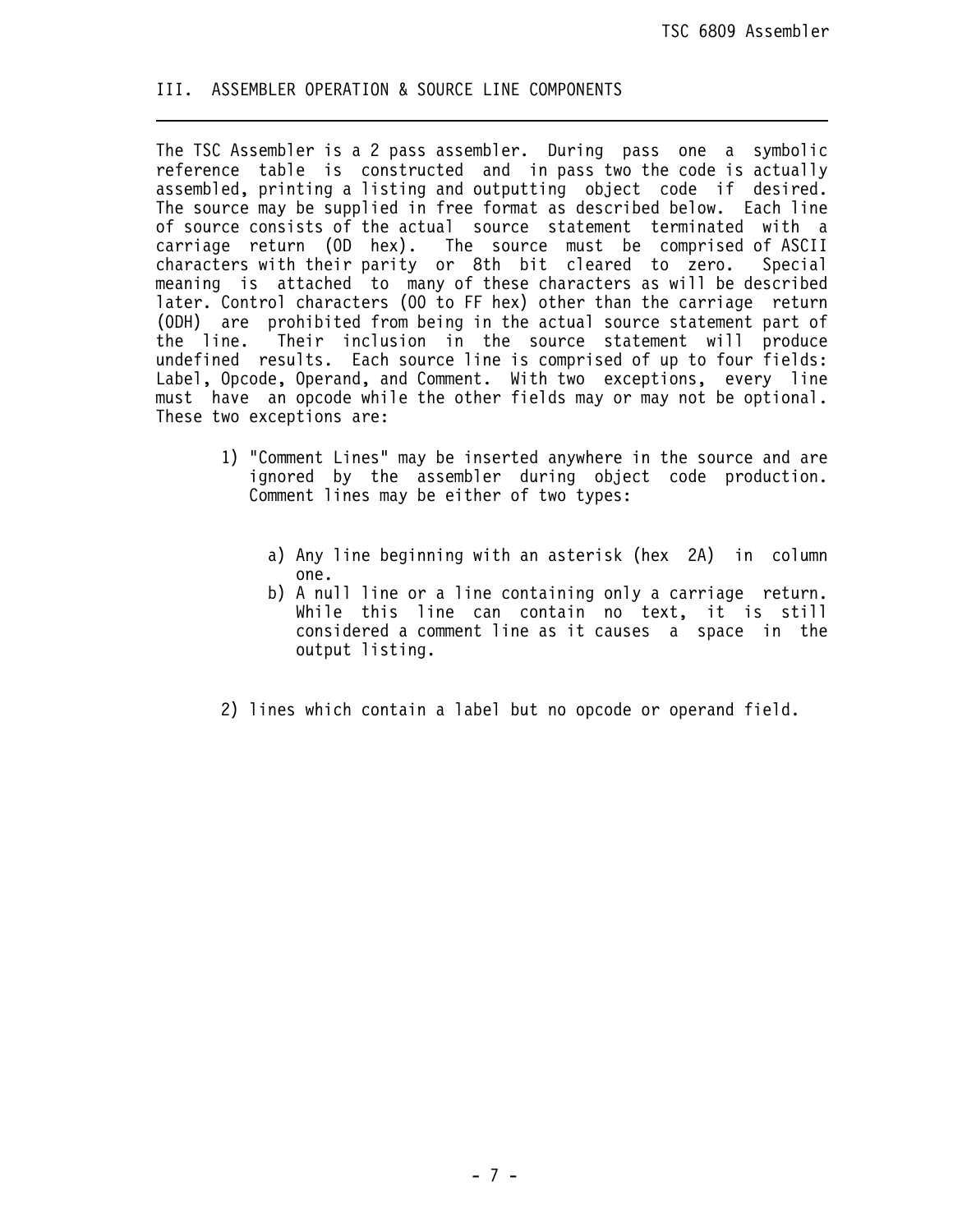# III. ASSEMBLER OPERATION & SOURCE LINE COMPONENTS

The TSC Assembler is a 2 pass assembler. During pass one a symbolic reference table is constructed and in pass two the code is actually assembled, printing a listing and outputting object code if desired. The source may be supplied in free format as described below. Each line of source consists of the actual source statement terminated with a carriage return (0D hex). The source must be comprised of ASCII characters with their parity or 8th bit cleared to zero. Special meaning is attached to many of these characters as will be described later. Control characters (00 to FF hex) other than the carriage return (0DH) are prohibited from being in the actual source statement part of the line. Their inclusion in the source statement will produce undefined results. Each source line is comprised of up to four fields: Label, Opcode, Operand, and Comment. With two exceptions, every line must have an opcode while the other fields may or may not be optional. These two exceptions are:

- 1) "Comment Lines" may be inserted anywhere in the source and are ignored by the assembler during object code production. Comment lines may be either of two types:
	- a) Any line beginning with an asterisk (hex 2A) in column one.
	- b) A null line or a line containing only a carriage return. While this line can contain no text, it is still considered a comment line as it causes a space in the output listing.
- 2) lines which contain a label but no opcode or operand field.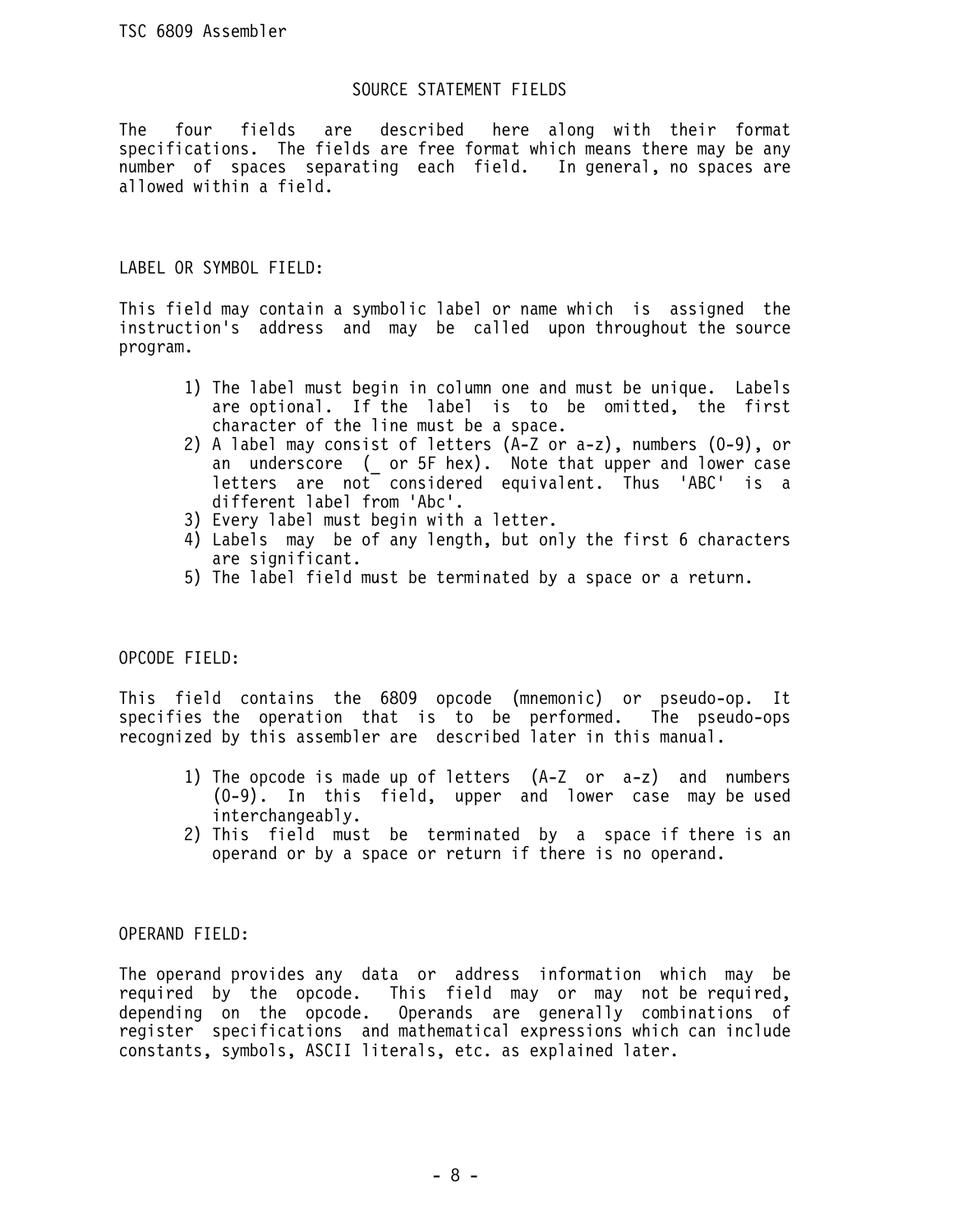# SOURCE STATEMENT FIELDS

The four fields are described here along with their format specifications. The fields are free format which means there may be any number of spaces separating each field. In general, no spaces are allowed within a field.

LABEL OR SYMBOL FIELD:

This field may contain a symbolic label or name which is assigned the instruction's address and may be called upon throughout the source program.

- 1) The label must begin in column one and must be unique. Labels are optional. If the label is to be omitted, the first character of the line must be a space.
- 2) A label may consist of letters (A-Z or a-z), numbers (0-9), or an underscore ( or 5F hex). Note that upper and lower case letters are not considered equivalent. Thus 'ABC' is a different label from 'Abc'.
- 3) Every label must begin with a letter.
- 4) Labels may be of any length, but only the first 6 characters are significant.
- 5) The label field must be terminated by a space or a return.

OPCODE FIELD:

This field contains the 6809 opcode (mnemonic) or pseudo-op. It specifies the operation that is to be performed. The pseudo-ops recognized by this assembler are described later in this manual.

- 1) The opcode is made up of letters (A-Z or a-z) and numbers (0-9). In this field, upper and lower case may be used interchangeably.
- 2) This field must be terminated by a space if there is an operand or by a space or return if there is no operand.

OPERAND FIELD:

The operand provides any data or address information which may be required by the opcode. This field may or may not be required, depending on the opcode. Operands are generally combinations of register specifications and mathematical expressions which can include constants, symbols, ASCII literals, etc. as explained later.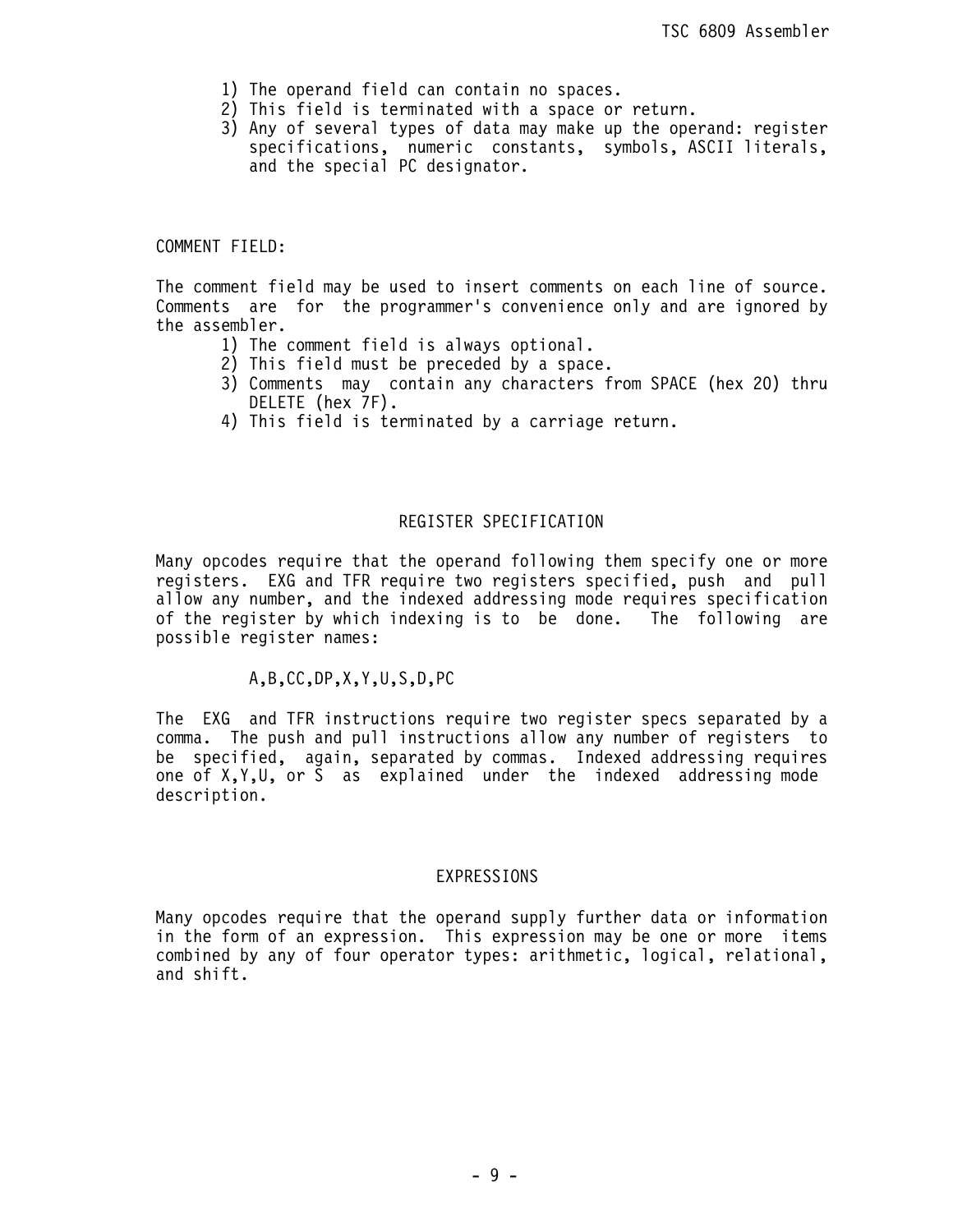- 1) The operand field can contain no spaces.
- 2) This field is terminated with a space or return.
- 3) Any of several types of data may make up the operand: register specifications, numeric constants, symbols, ASCII literals, and the special PC designator.

COMMENT FIELD:

The comment field may be used to insert comments on each line of source. Comments are for the programmer's convenience only and are ignored by the assembler.

- 1) The comment field is always optional.
- 2) This field must be preceded by a space.
- 3) Comments may contain any characters from SPACE (hex 20) thru DELETE (hex 7F).
- 4) This field is terminated by a carriage return.

#### REGISTER SPECIFICATION

Many opcodes require that the operand following them specify one or more registers. EXG and TFR require two registers specified, push and pull allow any number, and the indexed addressing mode requires specification of the register by which indexing is to be done. The following are possible register names:

#### A,B,CC,DP,X,Y,U,S,D,PC

The EXG and TFR instructions require two register specs separated by a comma. The push and pull instructions allow any number of registers to be specified, again, separated by commas. Indexed addressing requires one of X,Y,U, or S as explained under the indexed addressing mode description.

#### EXPRESSIONS

Many opcodes require that the operand supply further data or information in the form of an expression. This expression may be one or more items combined by any of four operator types: arithmetic, logical, relational, and shift.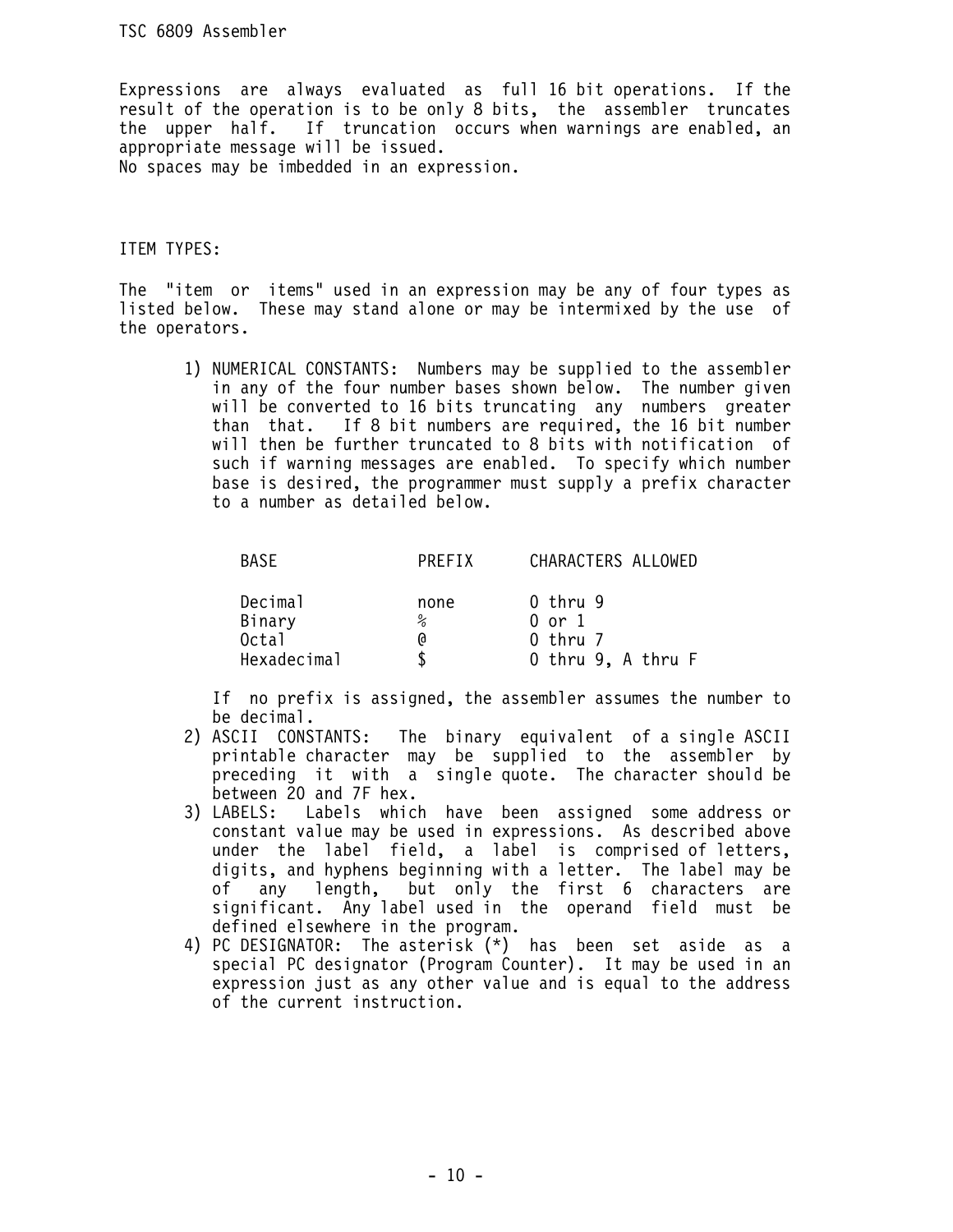Expressions are always evaluated as full 16 bit operations. If the result of the operation is to be only 8 bits, the assembler truncates the upper half. If truncation occurs when warnings are enabled, an appropriate message will be issued. No spaces may be imbedded in an expression.

ITEM TYPES:

The "item or items" used in an expression may be any of four types as listed below. These may stand alone or may be intermixed by the use of the operators.

 1) NUMERICAL CONSTANTS: Numbers may be supplied to the assembler in any of the four number bases shown below. The number given will be converted to 16 bits truncating any numbers greater than that. If 8 bit numbers are required, the 16 bit number will then be further truncated to 8 bits with notification of such if warning messages are enabled. To specify which number base is desired, the programmer must supply a prefix character to a number as detailed below.

| <b>BASE</b> | PREFIX | CHARACTERS ALLOWED |
|-------------|--------|--------------------|
| Decimal     | none   | 0 thru 9           |
| Binary      | z      | 0 or 1             |
| Octal       | Q)     | 0 thru 7           |
| Hexadecimal |        | 0 thru 9, A thru F |

 If no prefix is assigned, the assembler assumes the number to be decimal.

- 2) ASCII CONSTANTS: The binary equivalent of a single ASCII printable character may be supplied to the assembler by preceding it with a single quote. The character should be between 20 and 7F hex.
- 3) LABELS: Labels which have been assigned some address or constant value may be used in expressions. As described above under the label field, a label is comprised of letters, digits, and hyphens beginning with a letter. The label may be of any length, but only the first 6 characters are significant. Any label used in the operand field must be defined elsewhere in the program.
- 4) PC DESIGNATOR: The asterisk (\*) has been set aside as a special PC designator (Program Counter). It may be used in an expression just as any other value and is equal to the address of the current instruction.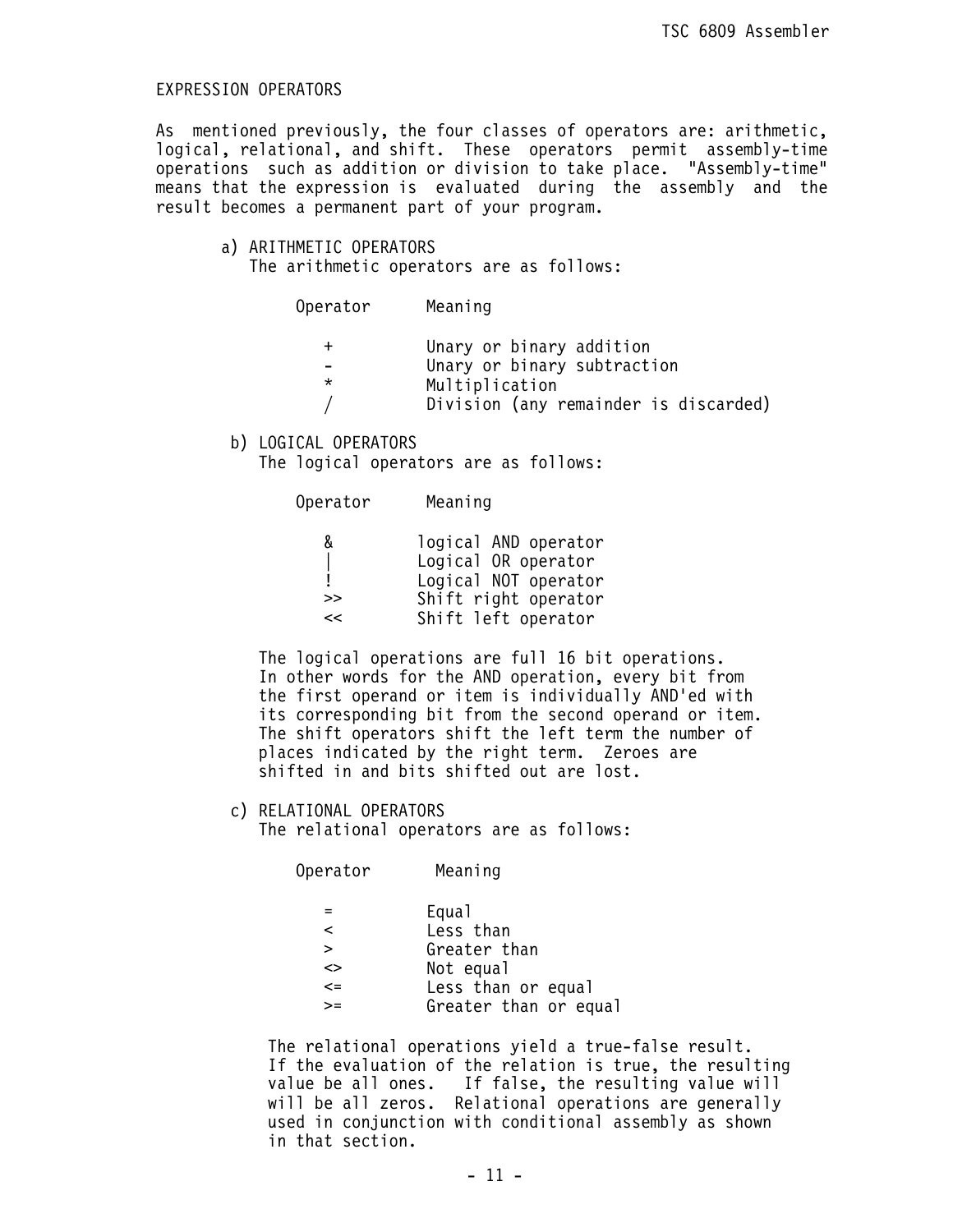#### EXPRESSION OPERATORS

As mentioned previously, the four classes of operators are: arithmetic, logical, relational, and shift. These operators permit assembly-time operations such as addition or division to take place. "Assembly-time" means that the expression is evaluated during the assembly and the result becomes a permanent part of your program.

#### a) ARITHMETIC OPERATORS

The arithmetic operators are as follows:

| Operator | Meaning                               |
|----------|---------------------------------------|
|          | Unary or binary addition              |
|          | Unary or binary subtraction           |
| $\star$  | Multiplication                        |
|          | Division (any remainder is discarded) |

# b) LOGICAL OPERATORS

The logical operators are as follows:

Operator Meaning

| 8  | logical AND operator |
|----|----------------------|
|    | Logical OR operator  |
|    | Logical NOT operator |
| >  | Shift right operator |
| << | Shift left operator  |

 The logical operations are full 16 bit operations. In other words for the AND operation, every bit from the first operand or item is individually AND'ed with its corresponding bit from the second operand or item. The shift operators shift the left term the number of places indicated by the right term. Zeroes are shifted in and bits shifted out are lost.

c) RELATIONAL OPERATORS

The relational operators are as follows:

Operator Meaning

|        | Equal                 |
|--------|-----------------------|
|        | Less than             |
|        | Greater than          |
| <>     | Not equal             |
| $\leq$ | Less than or equal    |
| $>=$   | Greater than or equal |

 The relational operations yield a true-false result. If the evaluation of the relation is true, the resulting value be all ones. If false, the resulting value will will be all zeros. Relational operations are generally used in conjunction with conditional assembly as shown in that section.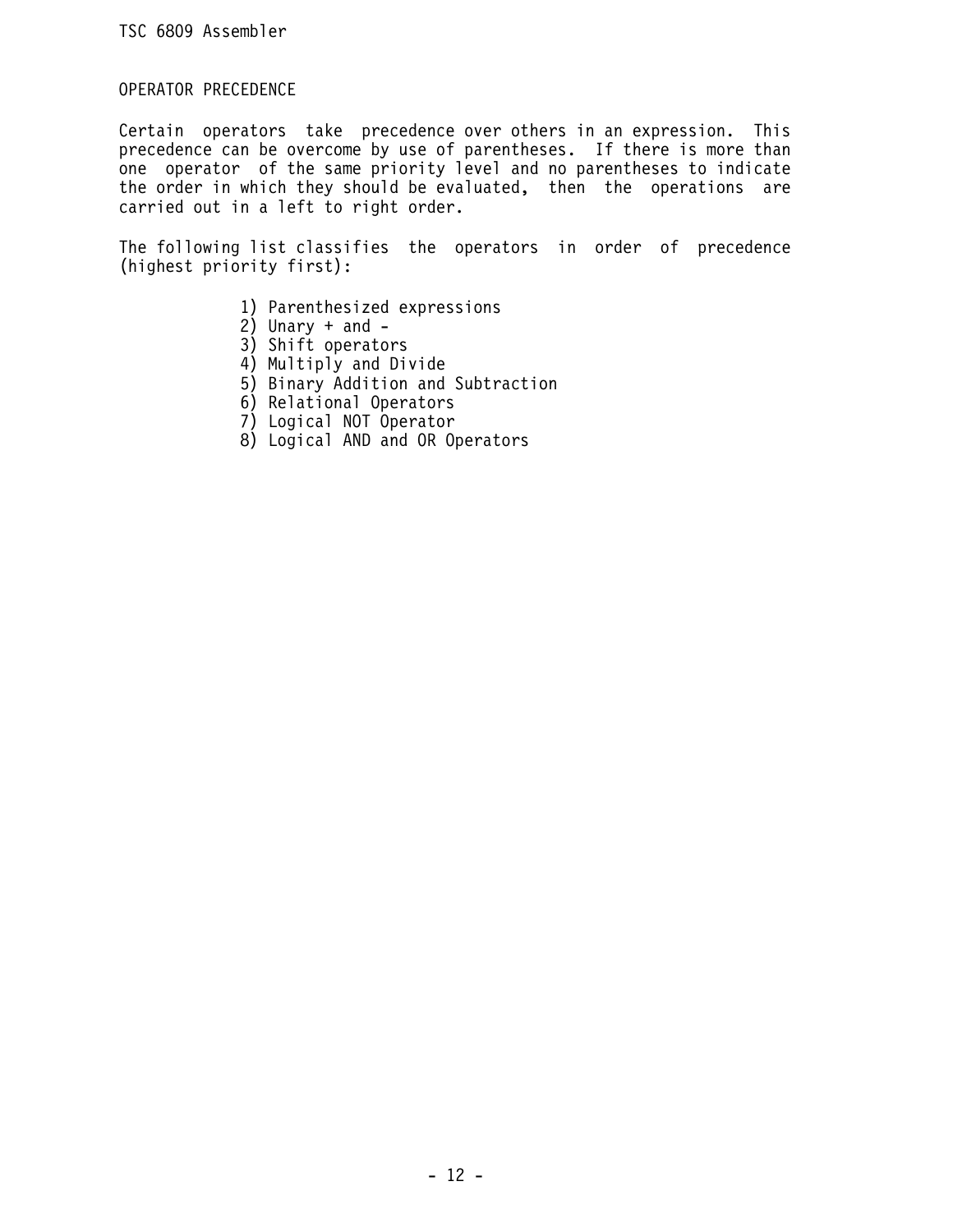# OPERATOR PRECEDENCE

Certain operators take precedence over others in an expression. This precedence can be overcome by use of parentheses. If there is more than one operator of the same priority level and no parentheses to indicate the order in which they should be evaluated, then the operations are carried out in a left to right order.

The following list classifies the operators in order of precedence (highest priority first):

- 1) Parenthesized expressions
- $2)$  Unary + and  $-$
- 3) Shift operators
- 4) Multiply and Divide
- 5) Binary Addition and Subtraction
- 6) Relational Operators
- 7) Logical NOT Operator
- 8) Logical AND and OR Operators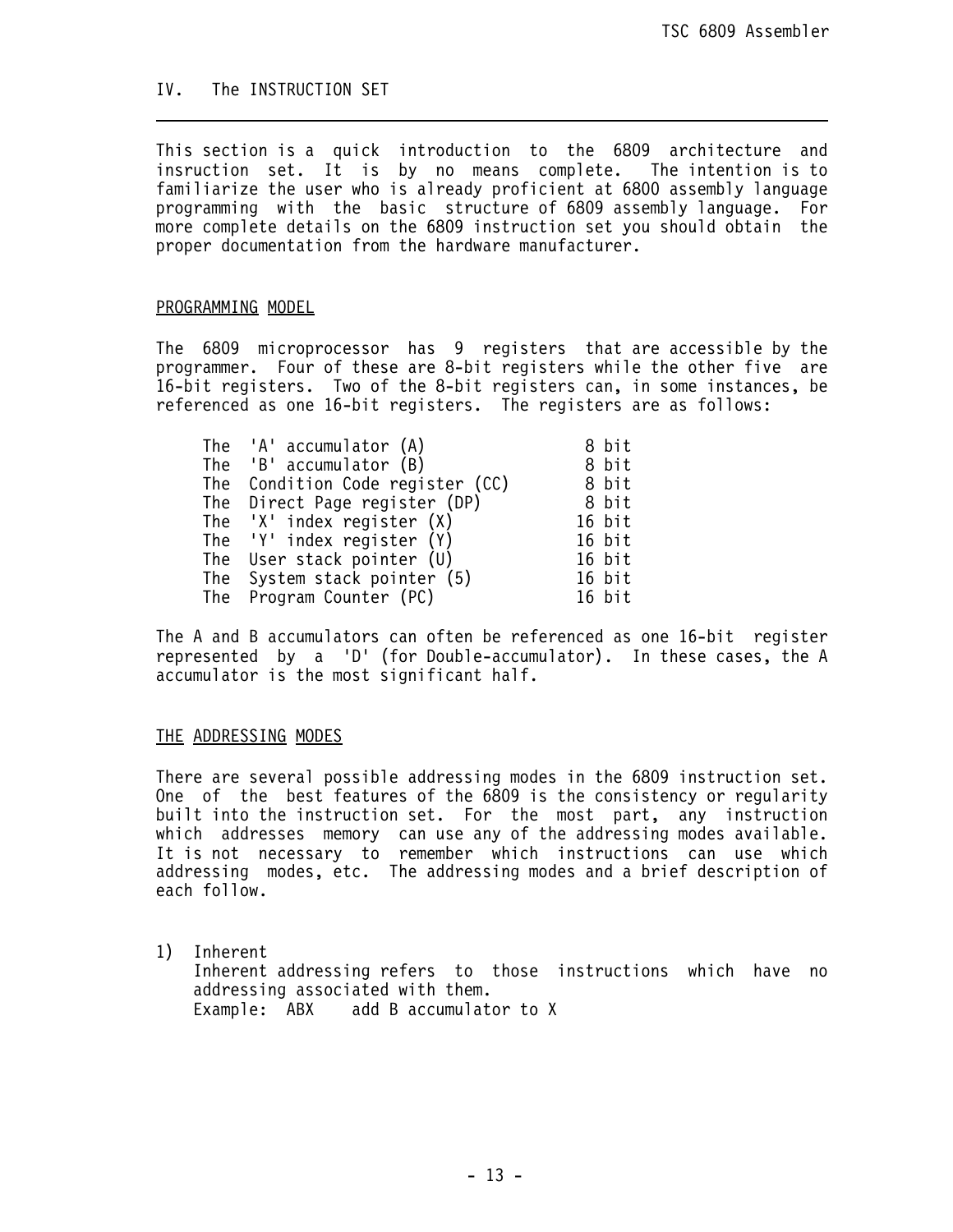IV. The INSTRUCTION SET

This section is a quick introduction to the 6809 architecture and insruction set. It is by no means complete. The intention is to familiarize the user who is already proficient at 6800 assembly language programming with the basic structure of 6809 assembly language. For more complete details on the 6809 instruction set you should obtain the proper documentation from the hardware manufacturer.

#### PROGRAMMING MODEL

The 6809 microprocessor has 9 registers that are accessible by the programmer. Four of these are 8-bit registers while the other five are 16-bit registers. Two of the 8-bit registers can, in some instances, be referenced as one 16-bit registers. The registers are as follows:

| The $'A'$ accumulator $(A)$      | 8 bit  |
|----------------------------------|--------|
| The $'B'$ accumulator $(B)$      | 8 bit  |
| The Condition Code register (CC) | 8 bit  |
| The Direct Page register (DP)    | 8 bit  |
| The $'X'$ index register $(X)$   | 16 bit |
| The $'Y'$ index register $(Y)$   | 16 bit |
| The User stack pointer (U)       | 16 bit |
| The System stack pointer (5)     | 16 bit |
| The Program Counter (PC)         | 16 bit |

The A and B accumulators can often be referenced as one 16-bit register represented by a 'D' (for Double-accumulator). In these cases, the A accumulator is the most significant half.

#### THE ADDRESSING MODES

There are several possible addressing modes in the 6809 instruction set. One of the best features of the 6809 is the consistency or regularity built into the instruction set. For the most part, any instruction which addresses memory can use any of the addressing modes available. It is not necessary to remember which instructions can use which addressing modes, etc. The addressing modes and a brief description of each follow.

1) Inherent Inherent addressing refers to those instructions which have no addressing associated with them. Example: ABX add B accumulator to X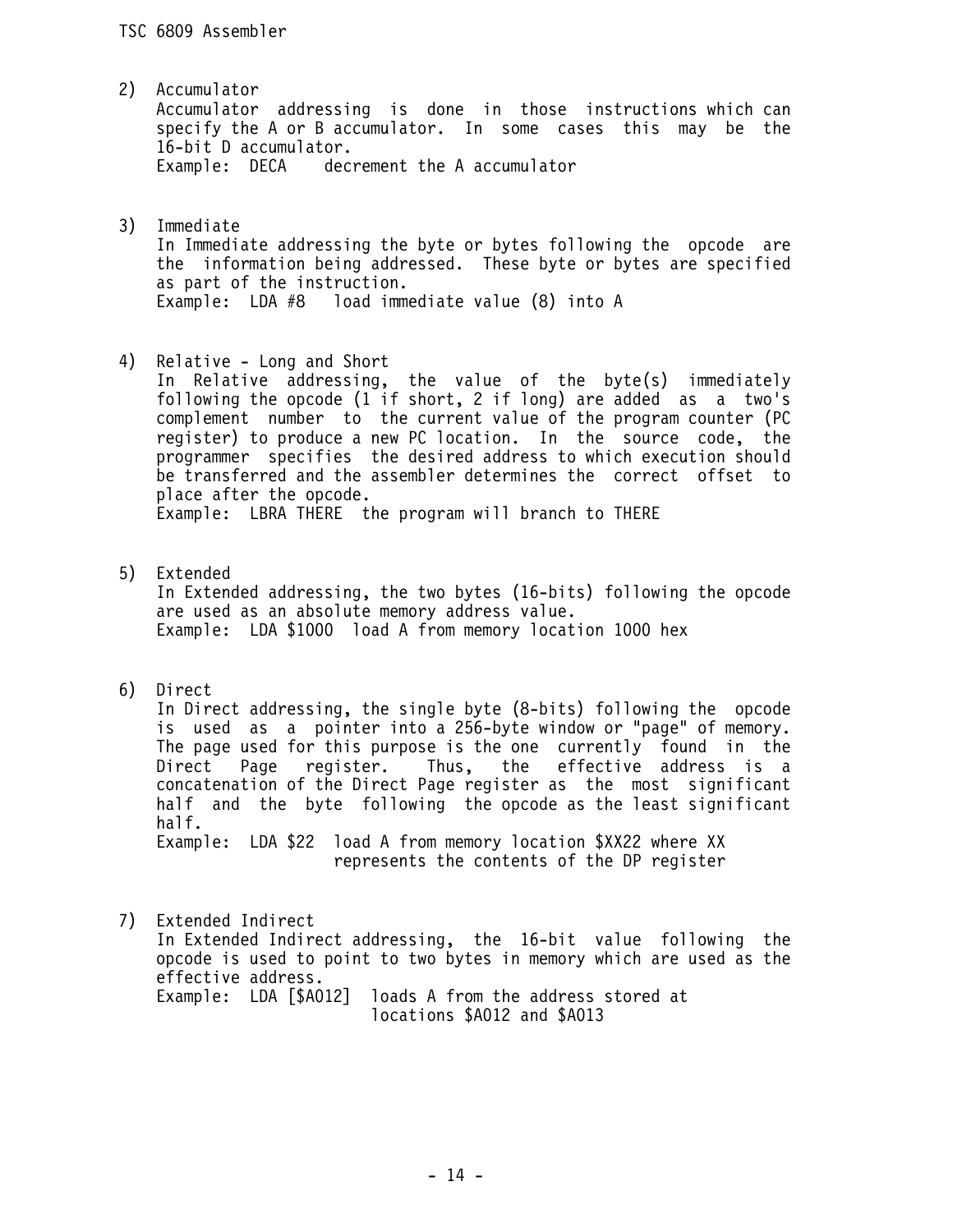- 2) Accumulator Accumulator addressing is done in those instructions which can specify the A or B accumulator. In some cases this may be the 16-bit D accumulator. Example: DECA decrement the A accumulator
- 3) Immediate In Immediate addressing the byte or bytes following the opcode are the information being addressed. These byte or bytes are specified as part of the instruction. Example: LDA #8 load immediate value (8) into A
- 4) Relative Long and Short In Relative addressing, the value of the byte(s) immediately following the opcode  $(1 \text{ if short}, 2 \text{ if long})$  are added as a two's complement number to the current value of the program counter (PC register) to produce a new PC location. In the source code, the programmer specifies the desired address to which execution should be transferred and the assembler determines the correct offset to place after the opcode. Example: LBRA THERE the program will branch to THERE
- 5) Extended In Extended addressing, the two bytes (16-bits) following the opcode are used as an absolute memory address value. Example: LDA \$1000 load A from memory location 1000 hex
- 6) Direct

 In Direct addressing, the single byte (8-bits) following the opcode is used as a pointer into a 256-byte window or "page" of memory. The page used for this purpose is the one currently found in the Direct Page register. Thus, the effective address is a concatenation of the Direct Page register as the most significant half and the byte following the opcode as the least significant half. Example: LDA \$22 load A from memory location \$XX22 where XX represents the contents of the DP register

7) Extended Indirect In Extended Indirect addressing, the 16-bit value following the opcode is used to point to two bytes in memory which are used as the effective address. Example: LDA [\$A012] loads A from the address stored at locations \$A012 and \$A013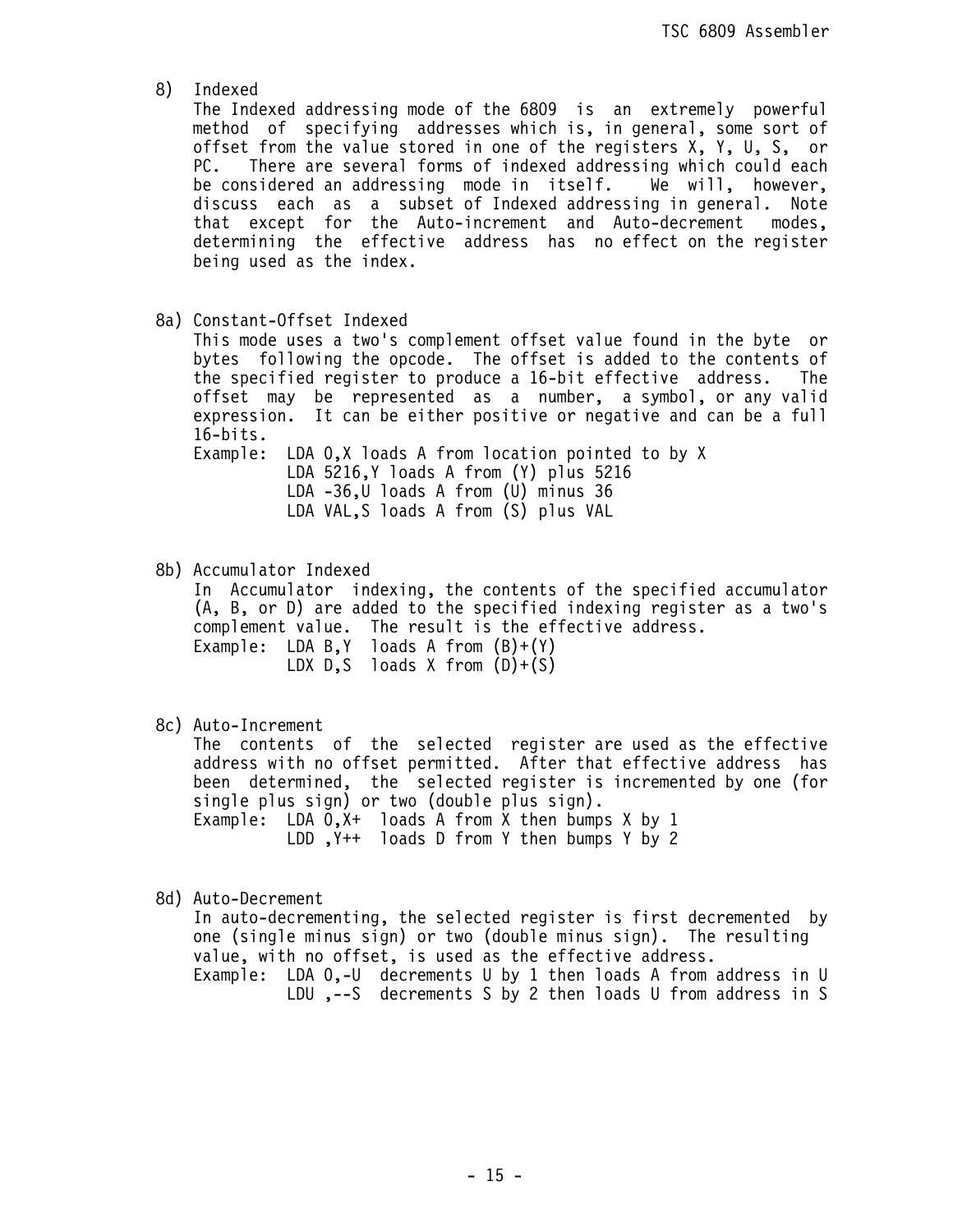8) Indexed

 The Indexed addressing mode of the 6809 is an extremely powerful method of specifying addresses which is, in general, some sort of offset from the value stored in one of the registers X, Y, U, S, or PC. There are several forms of indexed addressing which could each be considered an addressing mode in itself. We will, however, discuss each as a subset of Indexed addressing in general. Note that except for the Auto-increment and Auto-decrement modes, determining the effective address has no effect on the register being used as the index.

8a) Constant-Offset Indexed

 This mode uses a two's complement offset value found in the byte or bytes following the opcode. The offset is added to the contents of the specified register to produce a 16-bit effective address. The offset may be represented as a number, a symbol, or any valid expression. It can be either positive or negative and can be a full 16-bits. Example: LDA 0,X loads A from location pointed to by X

LDA 5216,Y loads A from (Y) plus 5216

LDA -36,U loads A from (U) minus 36

LDA VAL, S loads A from (S) plus VAL

8b) Accumulator Indexed

 In Accumulator indexing, the contents of the specified accumulator (A, B, or D) are added to the specified indexing register as a two's complement value. The result is the effective address. Example: LDA  $B, Y$  loads A from  $(B)+(Y)$ LDX  $D$ , S loads X from  $(D) + (S)$ 

8c) Auto-Increment

 The contents of the selected register are used as the effective address with no offset permitted. After that effective address has been determined, the selected register is incremented by one (for single plus sign) or two (double plus sign). Example: LDA 0,X+ loads A from X then bumps X by 1 LDD ,Y++ loads D from Y then bumps Y by 2

8d) Auto-Decrement

 In auto-decrementing, the selected register is first decremented by one (single minus sign) or two (double minus sign). The resulting value, with no offset, is used as the effective address. Example: LDA 0,-U decrements U by 1 then loads A from address in U LDU ,--S decrements S by 2 then loads U from address in S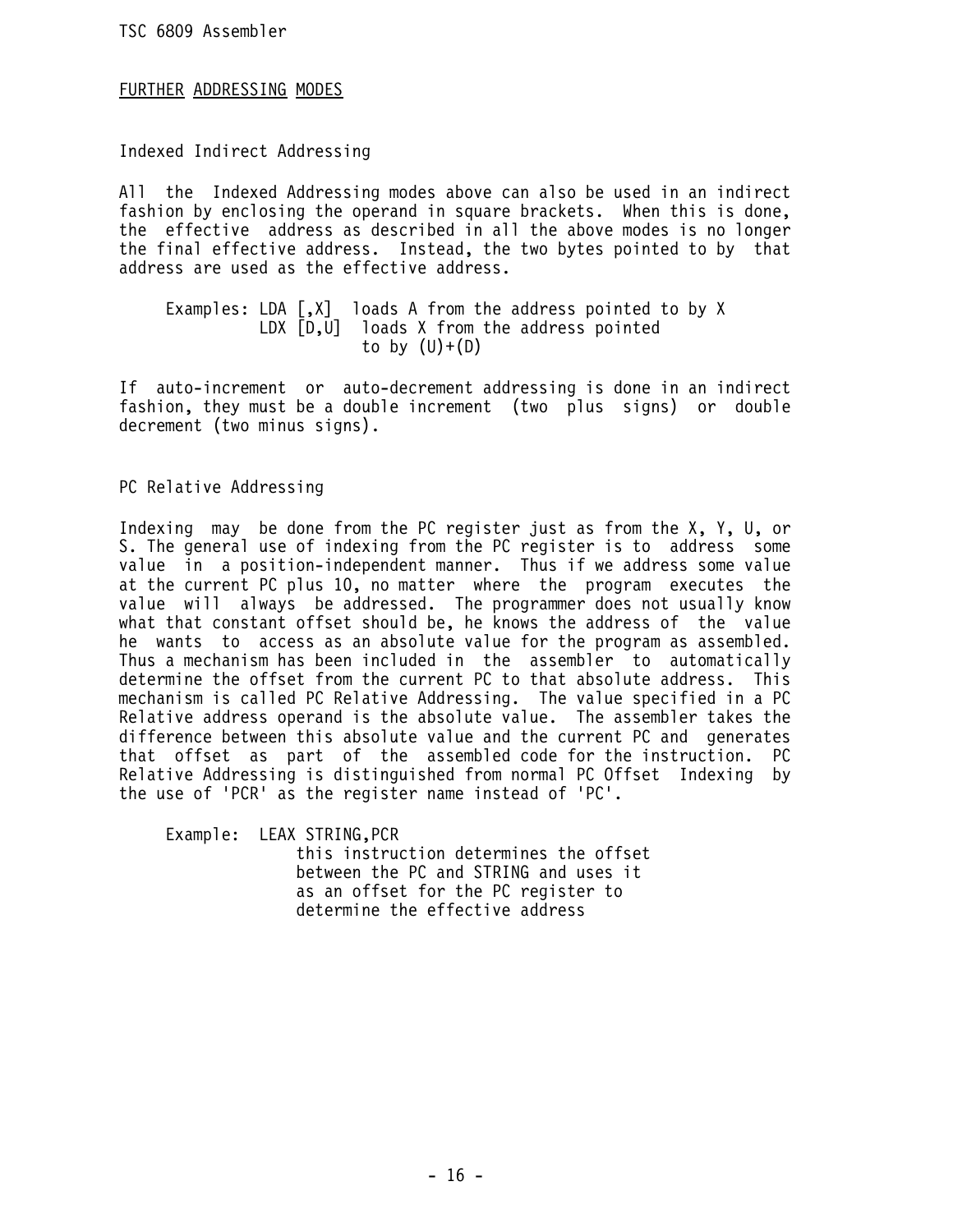TSC 6809 Assembler

#### FURTHER ADDRESSING MODES

Indexed Indirect Addressing

All the Indexed Addressing modes above can also be used in an indirect fashion by enclosing the operand in square brackets. When this is done, the effective address as described in all the above modes is no longer the final effective address. Instead, the two bytes pointed to by that address are used as the effective address.

Examples: LDA  $\lceil$ , X] loads A from the address pointed to by X LDX  $[D, \overline{U}]$  loads X from the address pointed to by  $(U)+(D)$ 

If auto-increment or auto-decrement addressing is done in an indirect fashion, they must be a double increment (two plus signs) or double decrement (two minus signs).

PC Relative Addressing

Indexing may be done from the PC register just as from the X, Y, U, or S. The general use of indexing from the PC register is to address some value in a position-independent manner. Thus if we address some value at the current PC plus 10, no matter where the program executes the value will always be addressed. The programmer does not usually know what that constant offset should be, he knows the address of the value he wants to access as an absolute value for the program as assembled. Thus a mechanism has been included in the assembler to automatically determine the offset from the current PC to that absolute address. This mechanism is called PC Relative Addressing. The value specified in a PC Relative address operand is the absolute value. The assembler takes the difference between this absolute value and the current PC and generates that offset as part of the assembled code for the instruction. PC Relative Addressing is distinguished from normal PC Offset Indexing by the use of 'PCR' as the register name instead of 'PC'.

Example: LEAX STRING,PCR

 this instruction determines the offset between the PC and STRING and uses it as an offset for the PC register to determine the effective address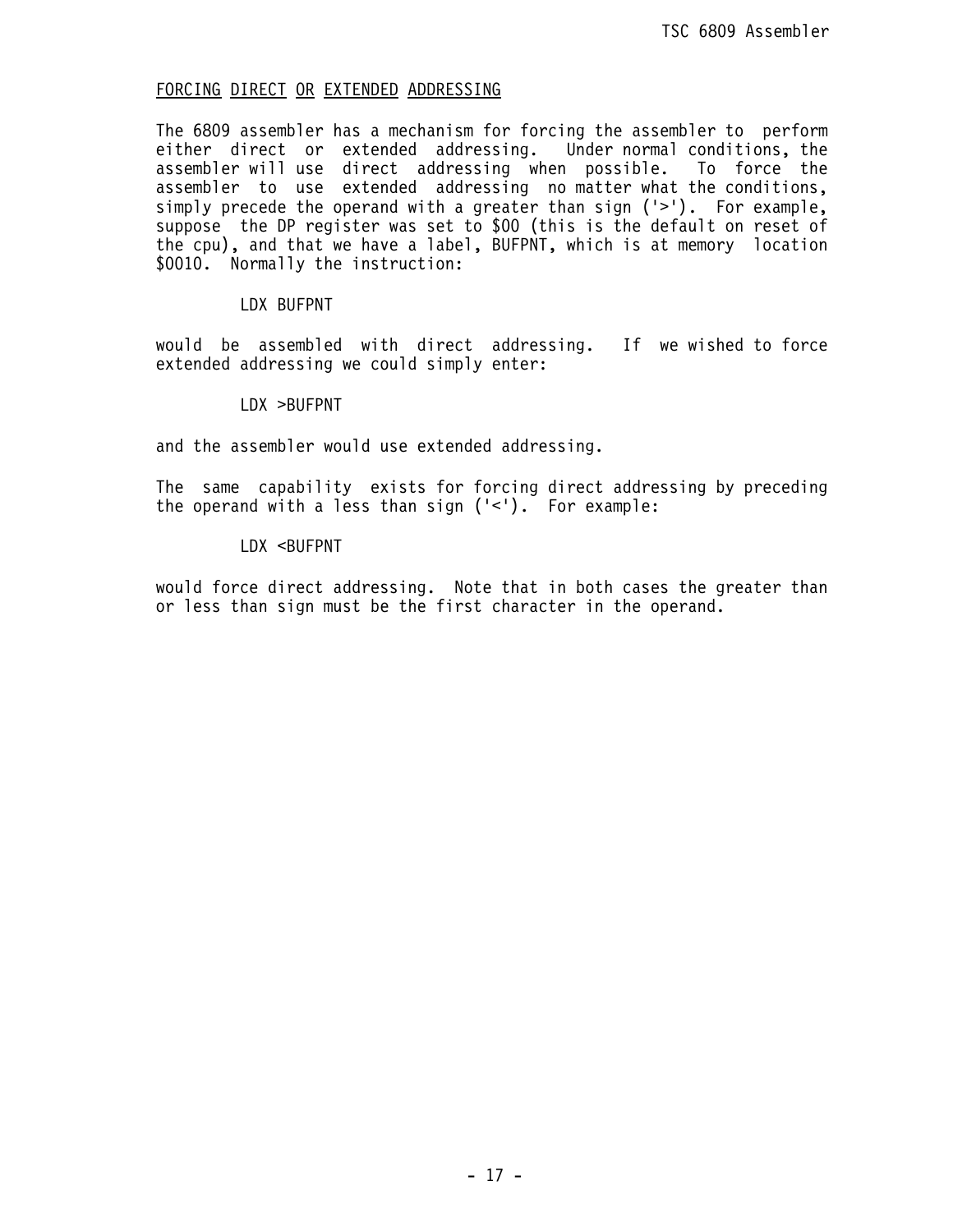# FORCING DIRECT OR EXTENDED ADDRESSING

The 6809 assembler has a mechanism for forcing the assembler to perform either direct or extended addressing. Under normal conditions, the assembler will use direct addressing when possible. To force the assembler to use extended addressing no matter what the conditions, simply precede the operand with a greater than sign ('>'). For example, suppose the DP register was set to \$00 (this is the default on reset of the cpu), and that we have a label, BUFPNT, which is at memory location \$0010. Normally the instruction:

#### LDX BUFPNT

would be assembled with direct addressing. If we wished to force extended addressing we could simply enter:

#### LDX >BUFPNT

and the assembler would use extended addressing.

The same capability exists for forcing direct addressing by preceding the operand with a less than sign  $('<')$ . For example:

#### LDX <BUFPNT

would force direct addressing. Note that in both cases the greater than or less than sign must be the first character in the operand.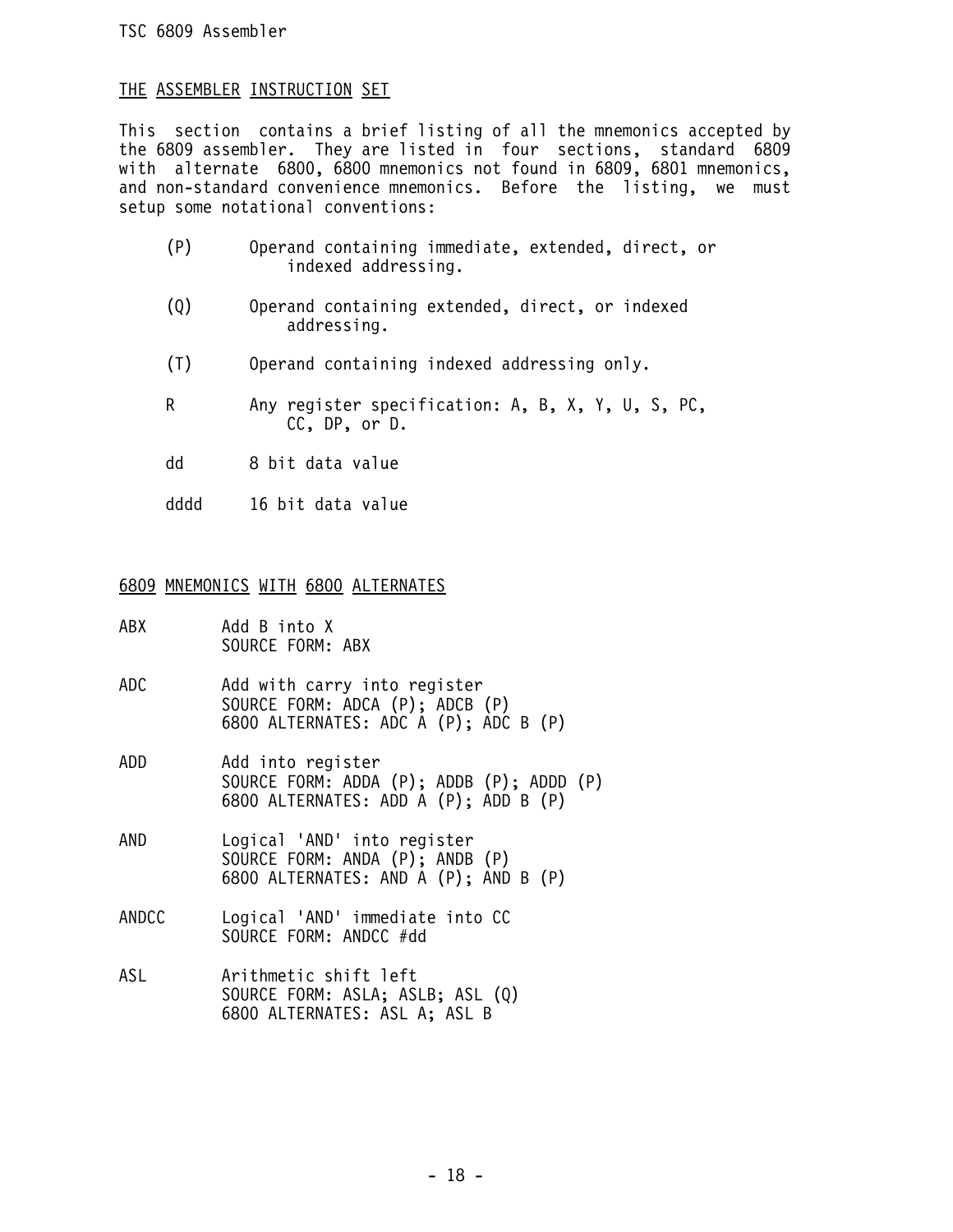# THE ASSEMBLER INSTRUCTION SET

This section contains a brief listing of all the mnemonics accepted by the 6809 assembler. They are listed in four sections, standard 6809 with alternate 6800, 6800 mnemonics not found in 6809, 6801 mnemonics, and non-standard convenience mnemonics. Before the listing, we must setup some notational conventions:

- (P) Operand containing immediate, extended, direct, or indexed addressing.
- (Q) Operand containing extended, direct, or indexed addressing.
- (T) Operand containing indexed addressing only.
- R Any register specification: A, B, X, Y, U, S, PC, CC, DP, or D.
- dd 8 bit data value
- dddd 16 bit data value

# 6809 MNEMONICS WITH 6800 ALTERNATES

- ABX Add B into X SOURCE FORM: ABX
- ADC Add with carry into register SOURCE FORM: ADCA (P); ADCB (P) 6800 ALTERNATES: ADC A (P); ADC B (P)
- ADD Add into register SOURCE FORM: ADDA (P); ADDB (P); ADDD (P) 6800 ALTERNATES: ADD A (P); ADD B (P)
- AND Logical 'AND' into register SOURCE FORM: ANDA (P); ANDB (P) 6800 ALTERNATES: AND A (P); AND B (P)
- ANDCC Logical 'AND' immediate into CC SOURCE FORM: ANDCC #dd
- ASL Arithmetic shift left SOURCE FORM: ASLA; ASLB; ASL (Q) 6800 ALTERNATES: ASL A; ASL B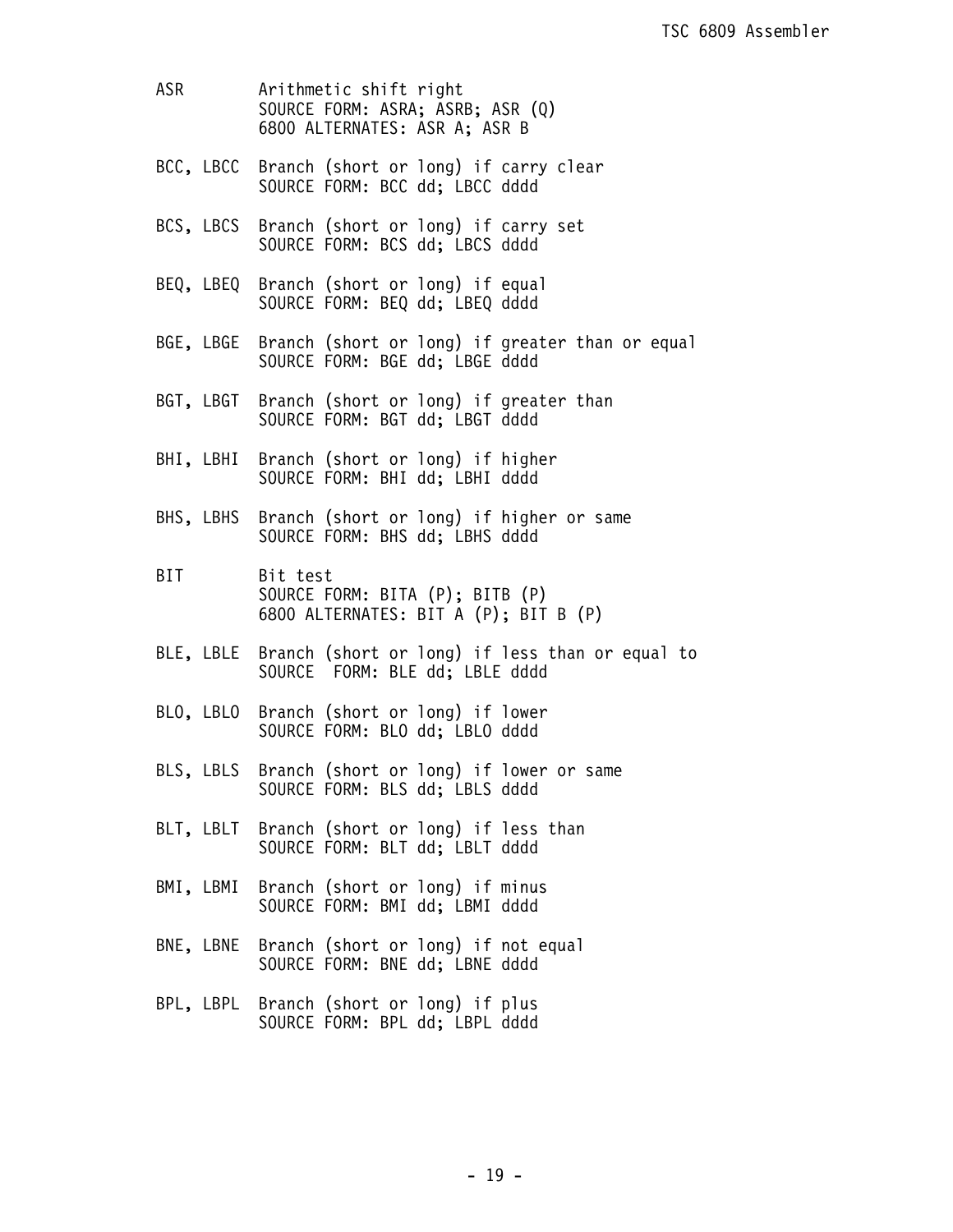- ASR Arithmetic shift right SOURCE FORM: ASRA; ASRB; ASR (Q) 6800 ALTERNATES: ASR A; ASR B
- BCC, LBCC Branch (short or long) if carry clear SOURCE FORM: BCC dd; LBCC dddd
- BCS, LBCS Branch (short or long) if carry set SOURCE FORM: BCS dd; LBCS dddd
- BEQ, LBEQ Branch (short or long) if equal SOURCE FORM: BEQ dd; LBEQ dddd
- BGE, LBGE Branch (short or long) if greater than or equal SOURCE FORM: BGE dd; LBGE dddd
- BGT, LBGT Branch (short or long) if greater than SOURCE FORM: BGT dd; LBGT dddd
- BHI, LBHI Branch (short or long) if higher SOURCE FORM: BHI dd; LBHI dddd
- BHS, LBHS Branch (short or long) if higher or same SOURCE FORM: BHS dd; LBHS dddd
- BIT Bit test SOURCE FORM: BITA (P); BITB (P) 6800 ALTERNATES: BIT A (P); BIT B (P)
- BLE, LBLE Branch (short or long) if less than or equal to SOURCE FORM: BLE dd; LBLE dddd
- BLO, LBLO Branch (short or long) if lower SOURCE FORM: BLO dd; LBLO dddd
- BLS, LBLS Branch (short or long) if lower or same SOURCE FORM: BLS dd; LBLS dddd
- BLT, LBLT Branch (short or long) if less than SOURCE FORM: BLT dd; LBLT dddd
- BMI, LBMI Branch (short or long) if minus SOURCE FORM: BMI dd; LBMI dddd
- BNE, LBNE Branch (short or long) if not equal SOURCE FORM: BNE dd; LBNE dddd
- BPL, LBPL Branch (short or long) if plus SOURCE FORM: BPL dd; LBPL dddd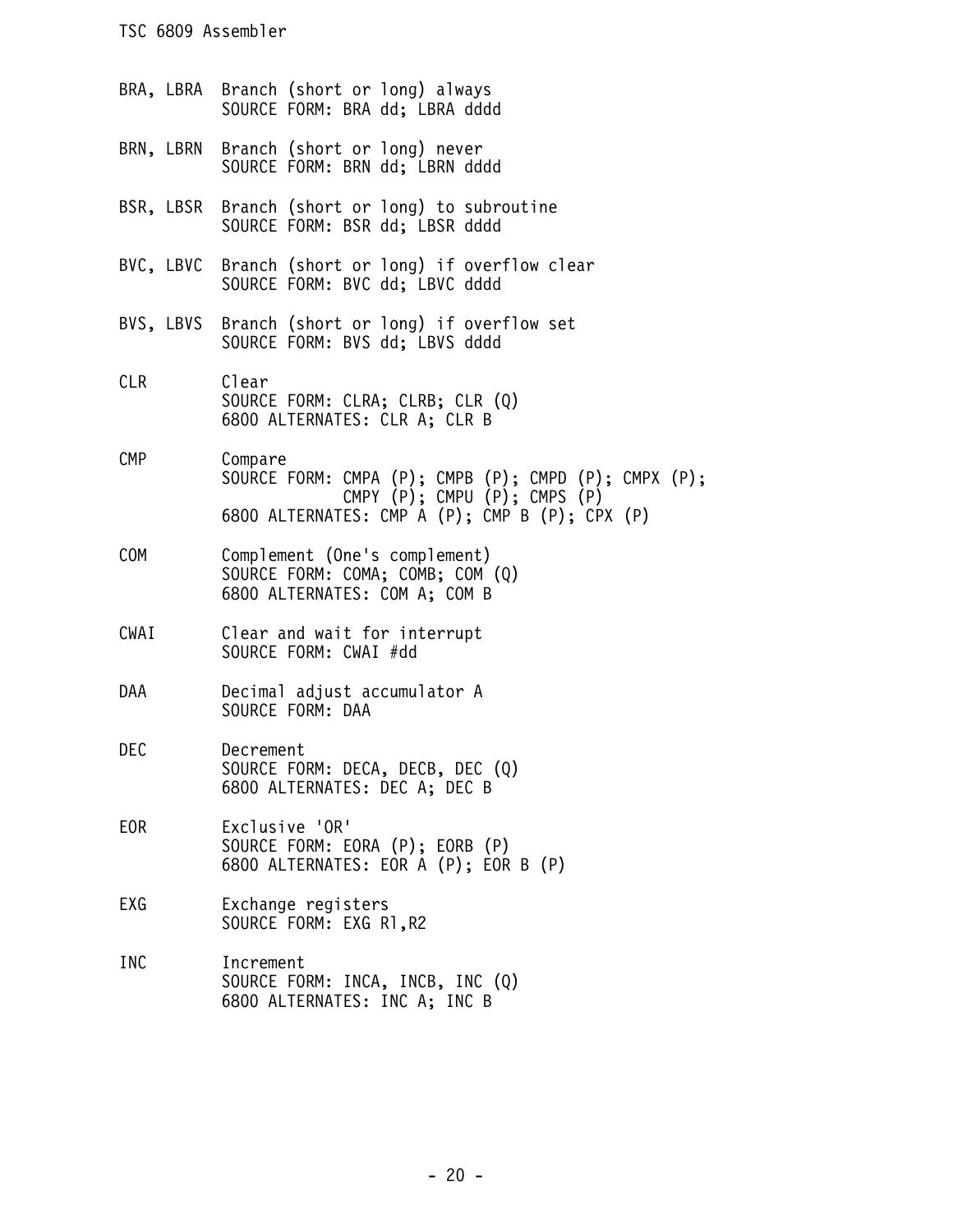|            | BRA, LBRA Branch (short or long) always<br>SOURCE FORM: BRA dd; LBRA dddd                                                                      |
|------------|------------------------------------------------------------------------------------------------------------------------------------------------|
|            | BRN, LBRN Branch (short or long) never<br>SOURCE FORM: BRN dd; LBRN dddd                                                                       |
|            | BSR, LBSR Branch (short or long) to subroutine<br>SOURCE FORM: BSR dd; LBSR dddd                                                               |
|            | BVC, LBVC Branch (short or long) if overflow clear<br>SOURCE FORM: BVC dd; LBVC dddd                                                           |
| BVS, LBVS  | Branch (short or long) if overflow set<br>SOURCE FORM: BVS dd; LBVS dddd                                                                       |
| <b>CLR</b> | Clear<br>SOURCE FORM: CLRA; CLRB; CLR (Q)<br>6800 ALTERNATES: CLR A; CLR B                                                                     |
| <b>CMP</b> | Compare<br>SOURCE FORM: CMPA (P); CMPB (P); CMPD (P); CMPX (P);<br>CMPY(P); CMPU(P); CMPS(P)<br>6800 ALTERNATES: CMP A (P); CMP B (P); CPX (P) |
| COM        | Complement (One's complement)<br>SOURCE FORM: COMA; COMB; COM (Q)<br>6800 ALTERNATES: COM A; COM B                                             |
| CWAI       | Clear and wait for interrupt<br>SOURCE FORM: CWAI #dd                                                                                          |
| DAA        | Decimal adjust accumulator A<br>SOURCE FORM: DAA                                                                                               |
| <b>DEC</b> | Decrement<br>SOURCE FORM: DECA, DECB, DEC (Q)<br>6800 ALTERNATES: DEC A; DEC B                                                                 |
| EOR        | Exclusive 'OR'<br>SOURCE FORM: EORA (P); EORB (P)<br>6800 ALTERNATES: EOR A (P); EOR B (P)                                                     |
| EXG        | Exchange registers<br>SOURCE FORM: EXG R1, R2                                                                                                  |
| INC        | Increment<br>SOURCE FORM: INCA, INCB, INC (Q)                                                                                                  |

6800 ALTERNATES: INC A; INC B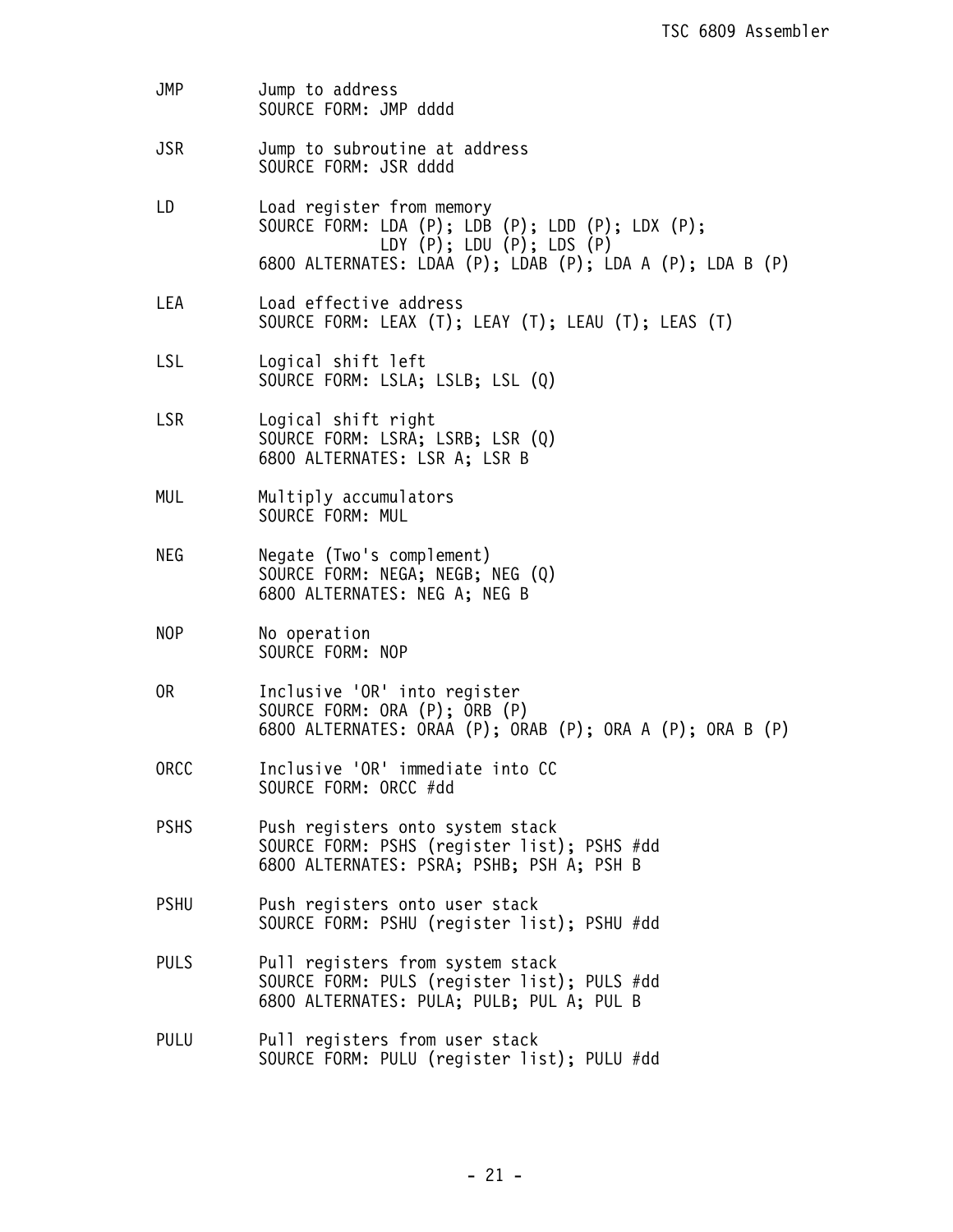| JMP         | Jump to address<br>SOURCE FORM: JMP dddd                                                                                                                                                    |
|-------------|---------------------------------------------------------------------------------------------------------------------------------------------------------------------------------------------|
| <b>JSR</b>  | Jump to subroutine at address<br>SOURCE FORM: JSR dddd                                                                                                                                      |
| LD.         | Load register from memory<br>SOURCE FORM: LDA $(P)$ ; LDB $(P)$ ; LDD $(P)$ ; LDX $(P)$ ;<br>LDY $(P)$ ; LDU $(P)$ ; LDS $(P)$<br>6800 ALTERNATES: LDAA (P); LDAB (P); LDA A (P); LDA B (P) |
| LEA         | Load effective address<br>SOURCE FORM: LEAX $(T)$ ; LEAY $(T)$ ; LEAU $(T)$ ; LEAS $(T)$                                                                                                    |
| LSL         | Logical shift left<br>SOURCE FORM: LSLA; LSLB; LSL (Q)                                                                                                                                      |
| LSR         | Logical shift right<br>SOURCE FORM: LSRA; LSRB; LSR (Q)<br>6800 ALTERNATES: LSR A; LSR B                                                                                                    |
| MUL         | Multiply accumulators<br>SOURCE FORM: MUL                                                                                                                                                   |
| NEG         | Negate (Two's complement)<br>SOURCE FORM: NEGA; NEGB; NEG (Q)<br>6800 ALTERNATES: NEG A; NEG B                                                                                              |
| NOP         | No operation<br>SOURCE FORM: NOP                                                                                                                                                            |
| 0R          | Inclusive 'OR' into register<br>SOURCE FORM: ORA (P); ORB (P)<br>6800 ALTERNATES: ORAA (P); ORAB (P); ORA A (P); ORA B (P)                                                                  |
| <b>ORCC</b> | Inclusive 'OR' immediate into CC<br>SOURCE FORM: ORCC #dd                                                                                                                                   |
| <b>PSHS</b> | Push registers onto system stack<br>SOURCE FORM: PSHS (register list); PSHS #dd<br>6800 ALTERNATES: PSRA; PSHB; PSH A; PSH B                                                                |
| <b>PSHU</b> | Push registers onto user stack<br>SOURCE FORM: PSHU (register list); PSHU #dd                                                                                                               |
| <b>PULS</b> | Pull registers from system stack<br>SOURCE FORM: PULS (register list); PULS #dd<br>6800 ALTERNATES: PULA; PULB; PUL A; PUL B                                                                |
| PULU        | Pull registers from user stack<br>SOURCE FORM: PULU (register list); PULU #dd                                                                                                               |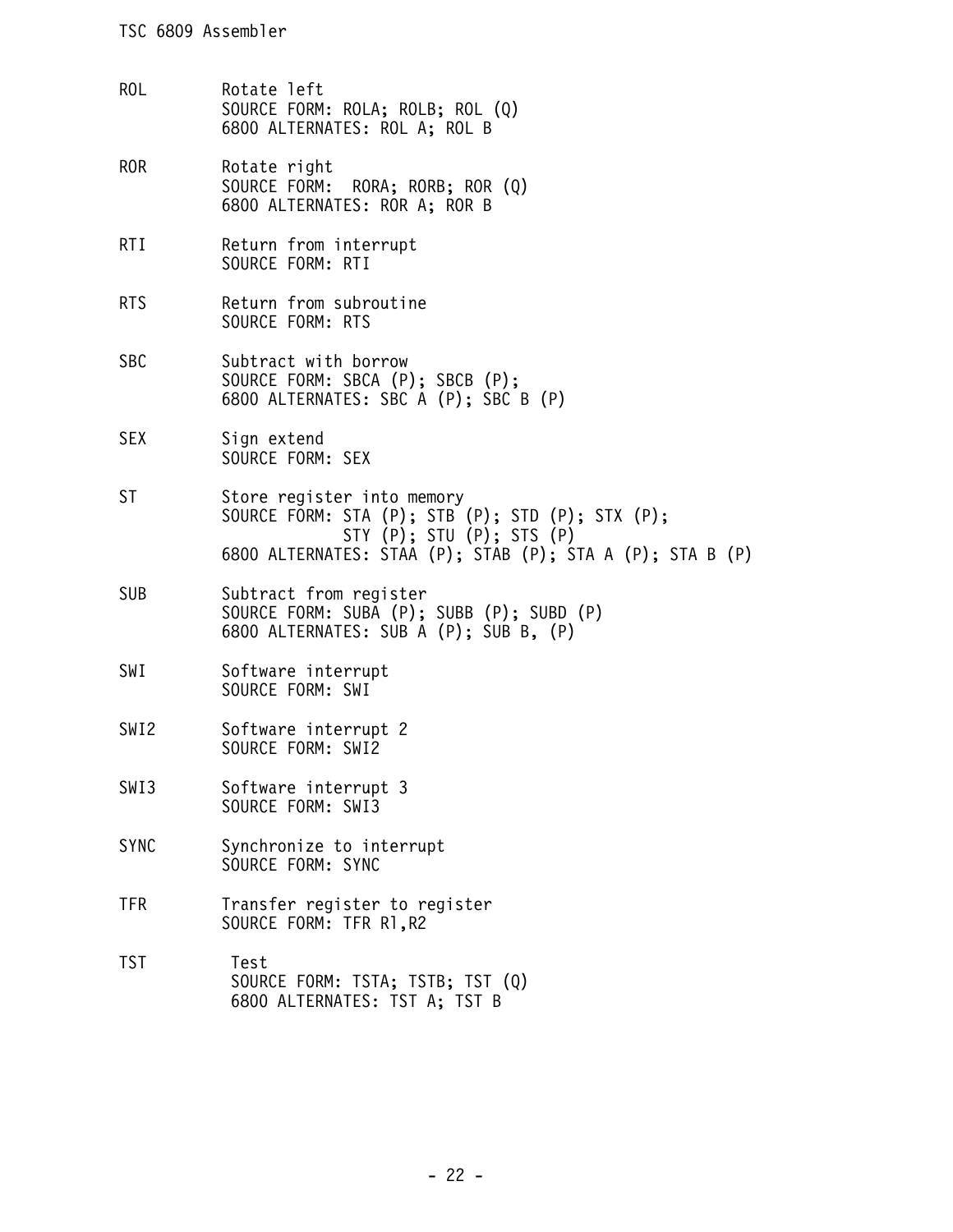- ROL Rotate left SOURCE FORM: ROLA; ROLB; ROL (Q) 6800 ALTERNATES: ROL A; ROL B
- ROR Rotate right SOURCE FORM: RORA; RORB; ROR (Q) 6800 ALTERNATES: ROR A; ROR B
- RTI Return from interrupt SOURCE FORM: RTI
- RTS Return from subroutine SOURCE FORM: RTS
- SBC Subtract with borrow SOURCE FORM: SBCA (P); SBCB (P); 6800 ALTERNATES: SBC A (P); SBC B (P)
- SEX Sign extend SOURCE FORM: SEX
- ST Store register into memory SOURCE FORM: STA (P); STB (P); STD (P); STX (P); STY (P); STU (P); STS (P) 6800 ALTERNATES: STAA (P); STAB (P); STA A (P); STA B (P)
- SUB Subtract from register SOURCE FORM: SUBA (P); SUBB (P); SUBD (P) 6800 ALTERNATES: SUB A (P); SUB B, (P)
- SWI Software interrupt SOURCE FORM: SWI
- SWI2 Software interrupt 2 SOURCE FORM: SWI2
- SWI3 Software interrupt 3 SOURCE FORM: SWI3
- SYNC Synchronize to interrupt SOURCE FORM: SYNC
- TFR Transfer register to register SOURCE FORM: TFR Rl,R2
- TST Test SOURCE FORM: TSTA; TSTB; TST (Q) 6800 ALTERNATES: TST A; TST B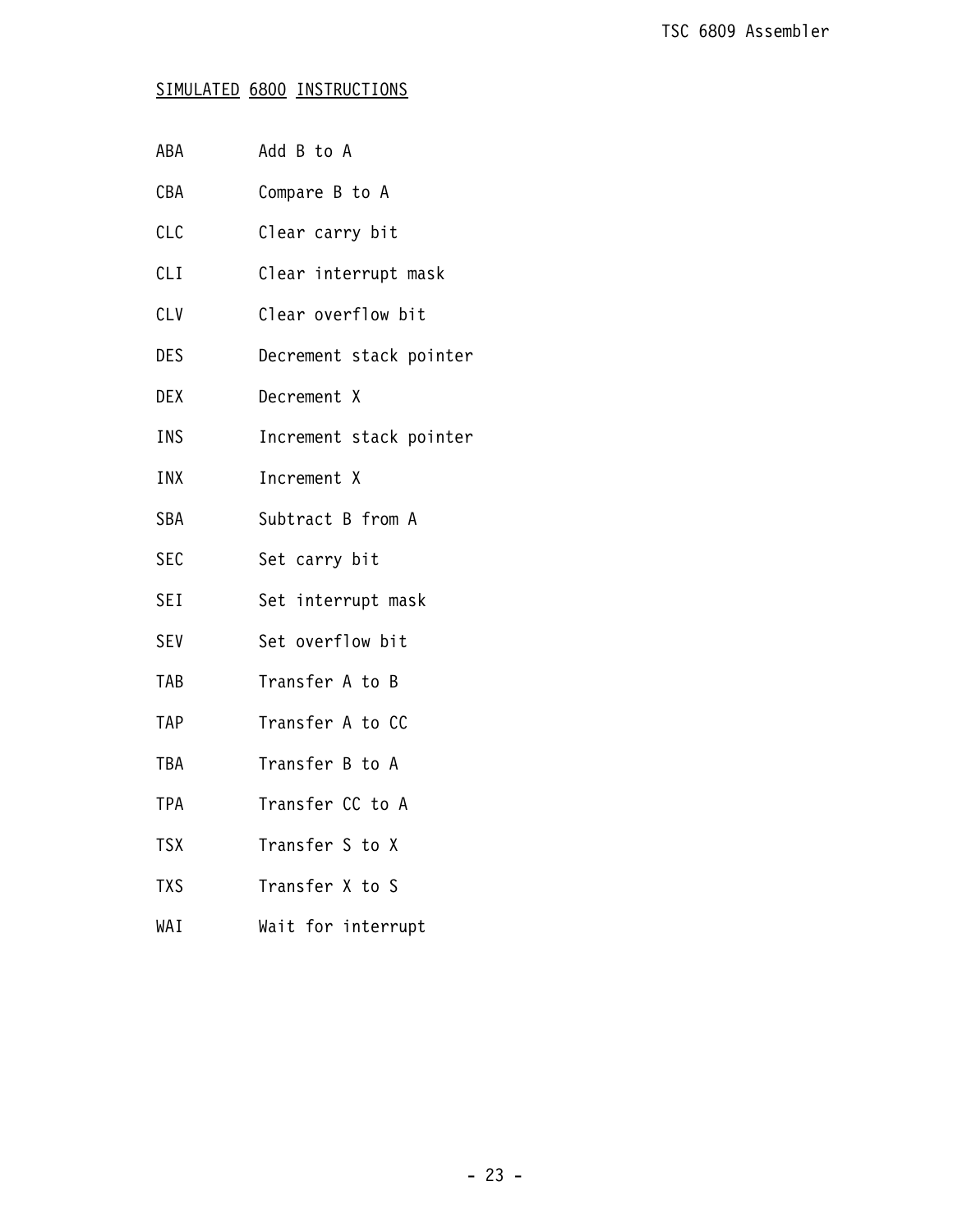# SIMULATED 6800 INSTRUCTIONS

| ABA        | Add B to A              |
|------------|-------------------------|
| CBA        | Compare B to A          |
| CLC        | Clear carry bit         |
| CLI        | Clear interrupt mask    |
| CLV        | Clear overflow bit      |
| <b>DES</b> | Decrement stack pointer |
| DEX        | Decrement X             |
| INS        | Increment stack pointer |
| INX        | Increment X             |
| SBA        | Subtract B from A       |
| <b>SEC</b> | Set carry bit           |
| SEI        | Set interrupt mask      |
| <b>SEV</b> | Set overflow bit        |
| TAB        | Transfer A to B         |
| <b>TAP</b> | Transfer A to CC        |
| TBA        | Transfer B to A         |
| <b>TPA</b> | Transfer CC to A        |
| <b>TSX</b> | Transfer S to X         |
| <b>TXS</b> | Transfer X to S         |
| WAI        | Wait for interrupt      |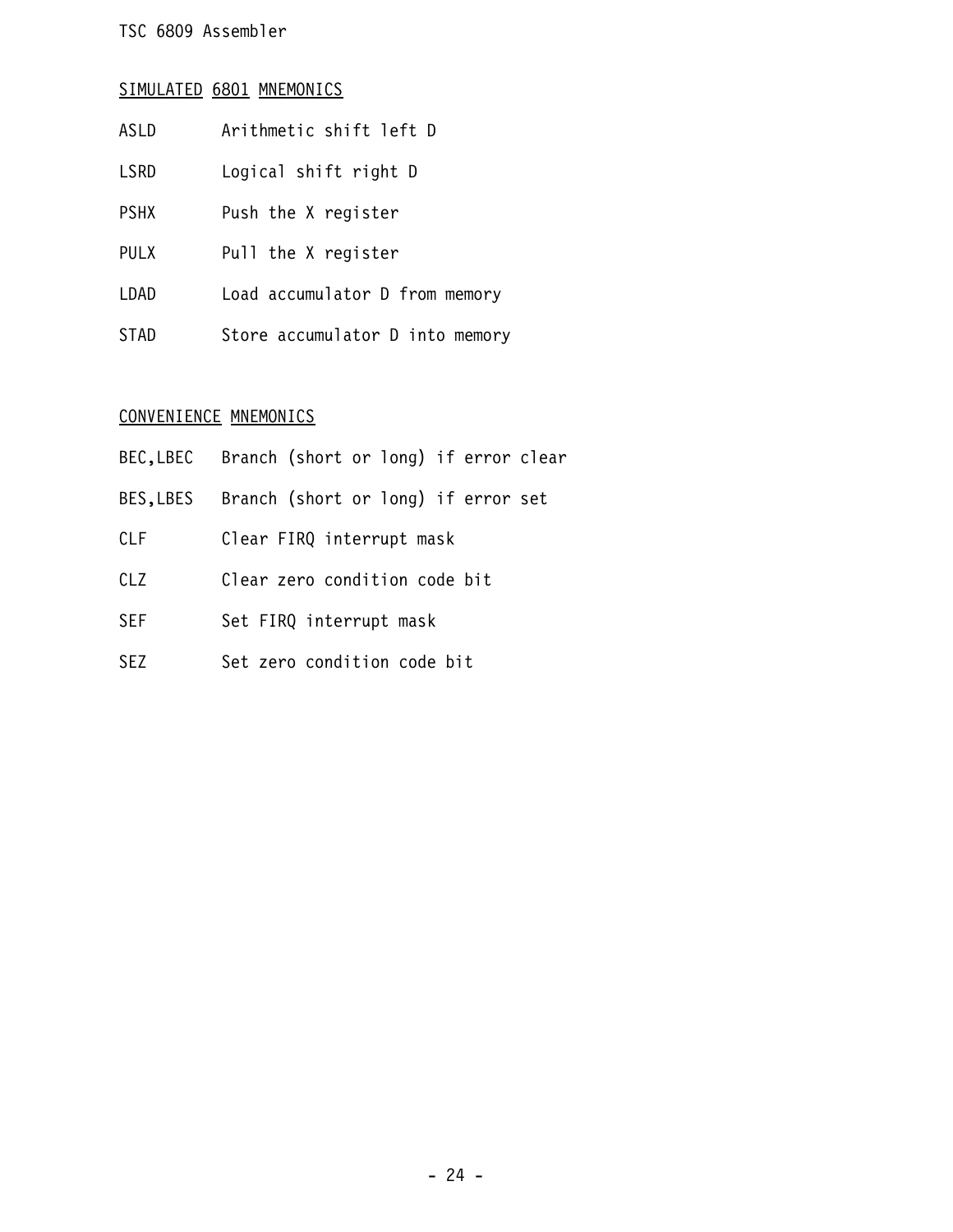# TSC 6809 Assembler

# SIMULATED 6801 MNEMONICS

- ASLD Arithmetic shift left D
- LSRD Logical shift right D
- PSHX Push the X register
- PULX Pull the X register
- LDAD Load accumulator D from memory
- STAD Store accumulator D into memory

# CONVENIENCE MNEMONICS

- BEC,LBEC Branch (short or long) if error clear
- BES,LBES Branch (short or long) if error set
- CLF Clear FIRQ interrupt mask
- CLZ Clear zero condition code bit
- SEF Set FIRQ interrupt mask
- SEZ Set zero condition code bit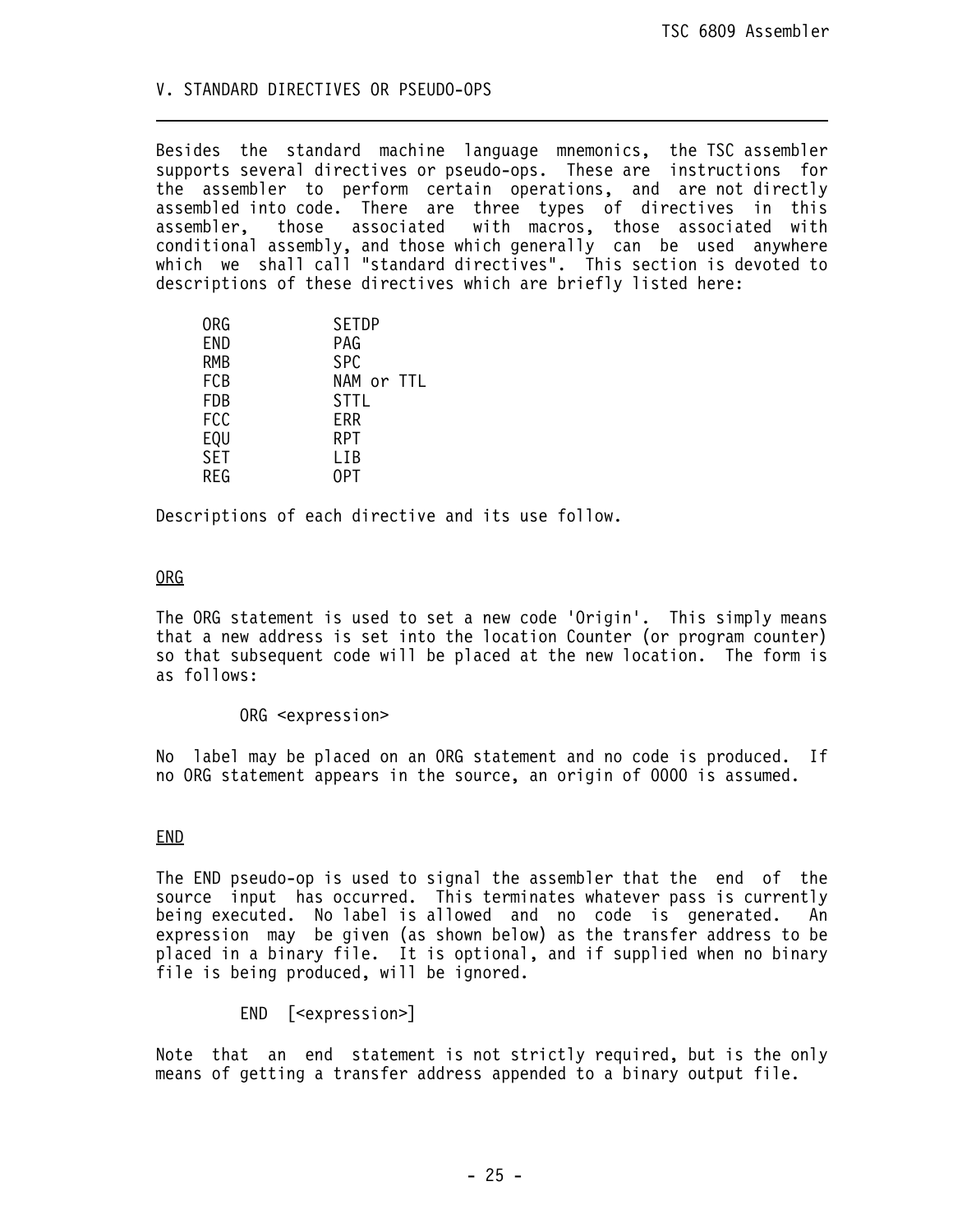#### V. STANDARD DIRECTIVES OR PSEUDO-OPS

Besides the standard machine language mnemonics, the TSC assembler supports several directives or pseudo-ops. These are instructions for the assembler to perform certain operations, and are not directly assembled into code. There are three types of directives in this assembler, those associated with macros, those associated with conditional assembly, and those which generally can be used anywhere which we shall call "standard directives". This section is devoted to descriptions of these directives which are briefly listed here:

| <b>SETDP</b> |
|--------------|
| PAG          |
| <b>SPC</b>   |
| NAM or TTL   |
| <b>STTL</b>  |
| <b>ERR</b>   |
| RPT          |
| LIB          |
| NPT          |
|              |

Descriptions of each directive and its use follow.

#### ORG

The ORG statement is used to set a new code 'Origin'. This simply means that a new address is set into the location Counter (or program counter) so that subsequent code will be placed at the new location. The form is as follows:

#### ORG <expression>

No label may be placed on an ORG statement and no code is produced. If no ORG statement appears in the source, an origin of 0000 is assumed.

#### END

The END pseudo-op is used to signal the assembler that the end of the source input has occurred. This terminates whatever pass is currently<br>being executed. No label is allowed and no code is generated. An being executed. No label is allowed and no code is generated. expression may be given (as shown below) as the transfer address to be placed in a binary file. It is optional, and if supplied when no binary file is being produced, will be ignored.

END [<expression>]

Note that an end statement is not strictly required, but is the only means of getting a transfer address appended to a binary output file.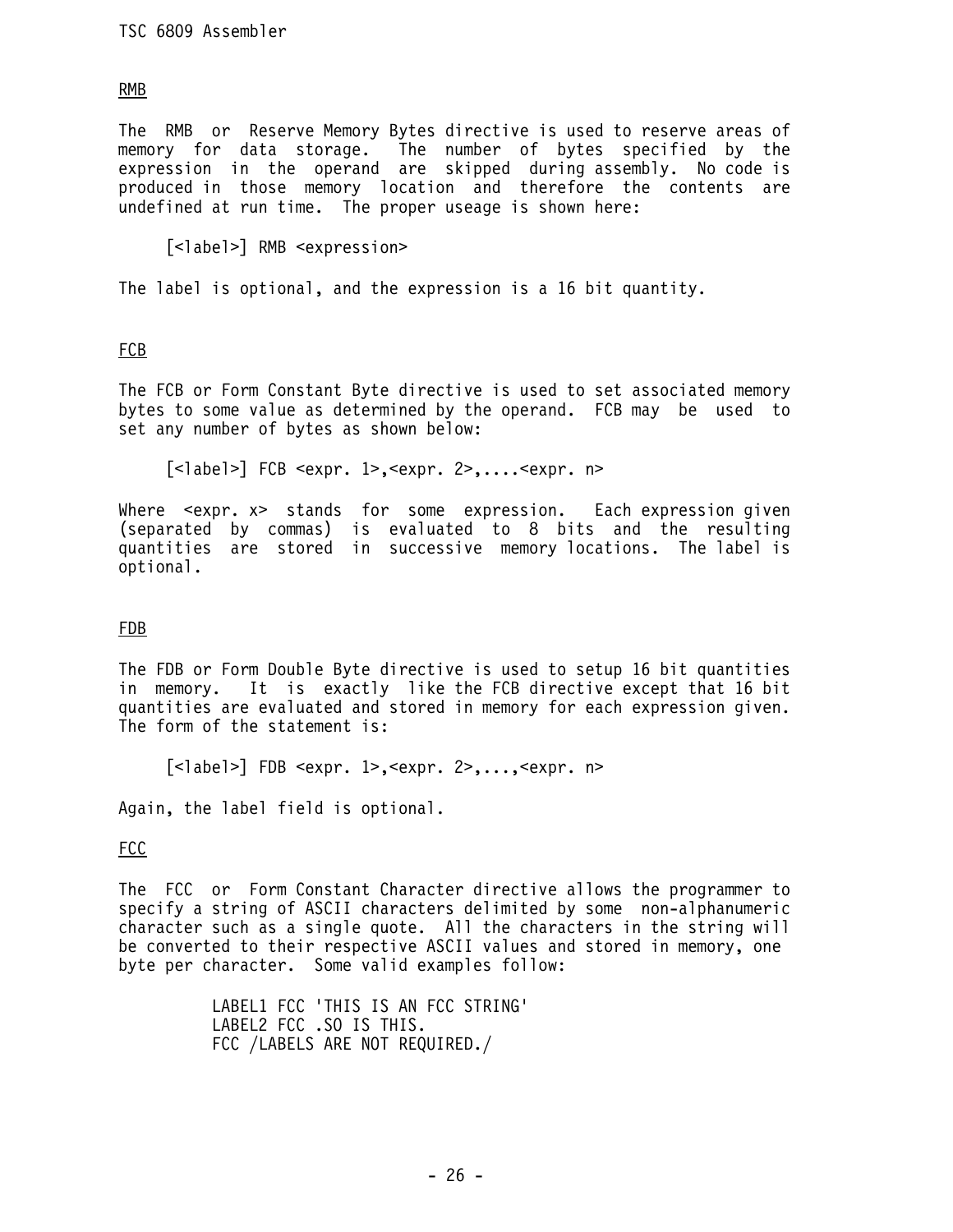# RMB

The RMB or Reserve Memory Bytes directive is used to reserve areas of memory for data storage. The number of bytes specified by the expression in the operand are skipped during assembly. No code is produced in those memory location and therefore the contents are undefined at run time. The proper useage is shown here:

[<label>] RMB <expression>

The label is optional, and the expression is a 16 bit quantity.

# **FCB**

The FCB or Form Constant Byte directive is used to set associated memory bytes to some value as determined by the operand. FCB may be used to set any number of bytes as shown below:

 $\lceil$ <label>] FCB <expr. 1>,<expr. 2>,....<expr. n>

Where <expr. x> stands for some expression. Each expression given (separated by commas) is evaluated to 8 bits and the resulting quantities are stored in successive memory locations. The label is optional.

# FDB

The FDB or Form Double Byte directive is used to setup 16 bit quantities in memory. It is exactly like the FCB directive except that 16 bit quantities are evaluated and stored in memory for each expression given. The form of the statement is:

 $\lceil$ <label> $\rceil$  FDB <expr. 1>,<expr. 2>,...,<expr. n>

Again, the label field is optional.

# FCC

The FCC or Form Constant Character directive allows the programmer to specify a string of ASCII characters delimited by some non-alphanumeric character such as a single quote. All the characters in the string will be converted to their respective ASCII values and stored in memory, one byte per character. Some valid examples follow:

> LABEL1 FCC 'THIS IS AN FCC STRING' LABEL2 FCC .SO IS THIS. FCC /LABELS ARE NOT REQUIRED./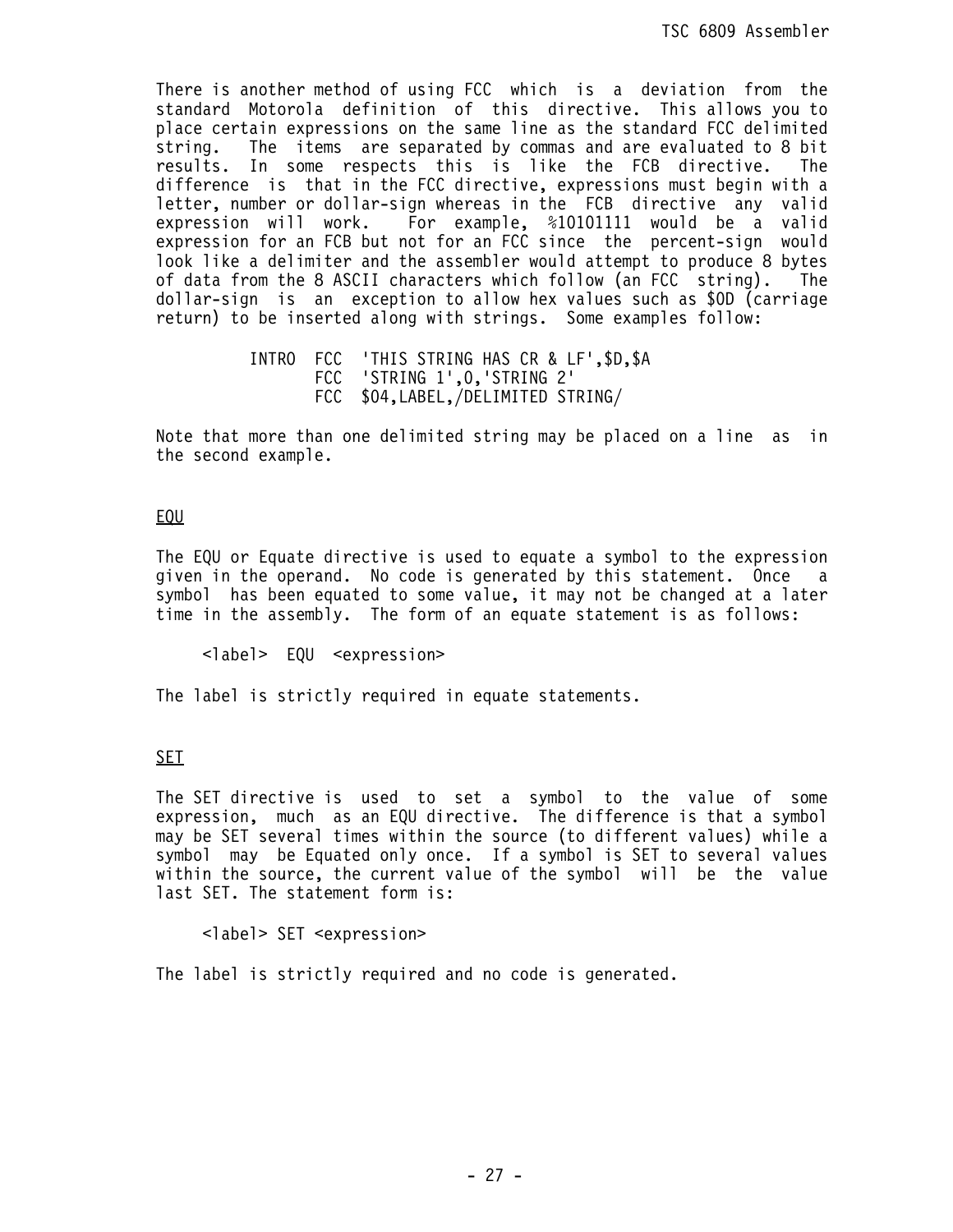There is another method of using FCC which is a deviation from the standard Motorola definition of this directive. This allows you to place certain expressions on the same line as the standard FCC delimited string. The items are separated by commas and are evaluated to 8 bit results. In some respects this is like the FCB directive. The difference is that in the FCC directive, expressions must begin with a letter, number or dollar-sign whereas in the FCB directive any valid<br>expression will work. For example, %10101111 would be a valid For example, %10101111 would be a valid expression for an FCB but not for an FCC since the percent-sign would look like a delimiter and the assembler would attempt to produce 8 bytes of data from the 8 ASCII characters which follow (an FCC string). The dollar-sign is an exception to allow hex values such as \$0D (carriage return) to be inserted along with strings. Some examples follow:

> INTRO FCC 'THIS STRING HAS CR & LF',\$D,\$A FCC 'STRING 1',0,'STRING 2' FCC \$04,LABEL,/DELIMITED STRING/

Note that more than one delimited string may be placed on a line as in the second example.

#### EQU

The EQU or Equate directive is used to equate a symbol to the expression given in the operand. No code is generated by this statement. Once a symbol has been equated to some value, it may not be changed at a later time in the assembly. The form of an equate statement is as follows:

<label> EQU <expression>

The label is strictly required in equate statements.

# SET

The SET directive is used to set a symbol to the value of some expression, much as an EQU directive. The difference is that a symbol may be SET several times within the source (to different values) while a symbol may be Equated only once. If a symbol is SET to several values within the source, the current value of the symbol will be the value last SET. The statement form is:

<label> SET <expression>

The label is strictly required and no code is generated.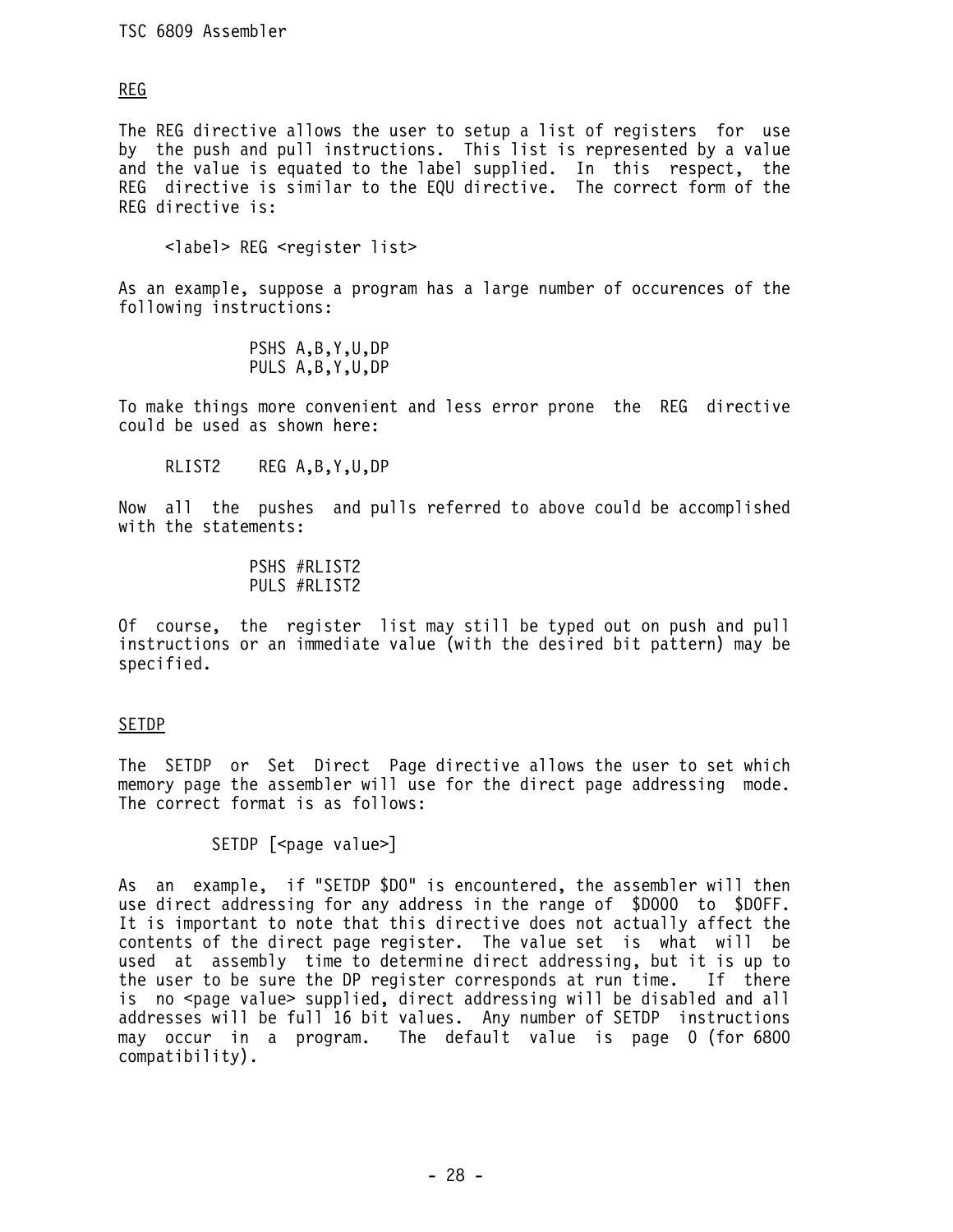# REG

The REG directive allows the user to setup a list of registers for use by the push and pull instructions. This list is represented by a value and the value is equated to the label supplied. In this respect, the REG directive is similar to the EQU directive. The correct form of the REG directive is:

<label> REG <register list>

As an example, suppose a program has a large number of occurences of the following instructions:

> PSHS A,B,Y,U,DP PULS A,B,Y,U,DP

To make things more convenient and less error prone the REG directive could be used as shown here:

RLIST2 REG A,B,Y,U,DP

Now all the pushes and pulls referred to above could be accomplished with the statements:

> PSHS #RLIST2 PULS #RLIST2

Of course, the register list may still be typed out on push and pull instructions or an immediate value (with the desired bit pattern) may be specified.

# SETDP

The SETDP or Set Direct Page directive allows the user to set which memory page the assembler will use for the direct page addressing mode. The correct format is as follows:

SETDP [<page value>]

As an example, if "SETDP \$D0" is encountered, the assembler will then use direct addressing for any address in the range of \$D000 to \$D0FF. It is important to note that this directive does not actually affect the contents of the direct page register. The value set is what will be used at assembly time to determine direct addressing, but it is up to the user to be sure the DP register corresponds at run time. If there is no <page value> supplied, direct addressing will be disabled and all addresses will be full 16 bit values. Any number of SETDP instructions may occur in a program. The default value is page 0 (for 6800 compatibility).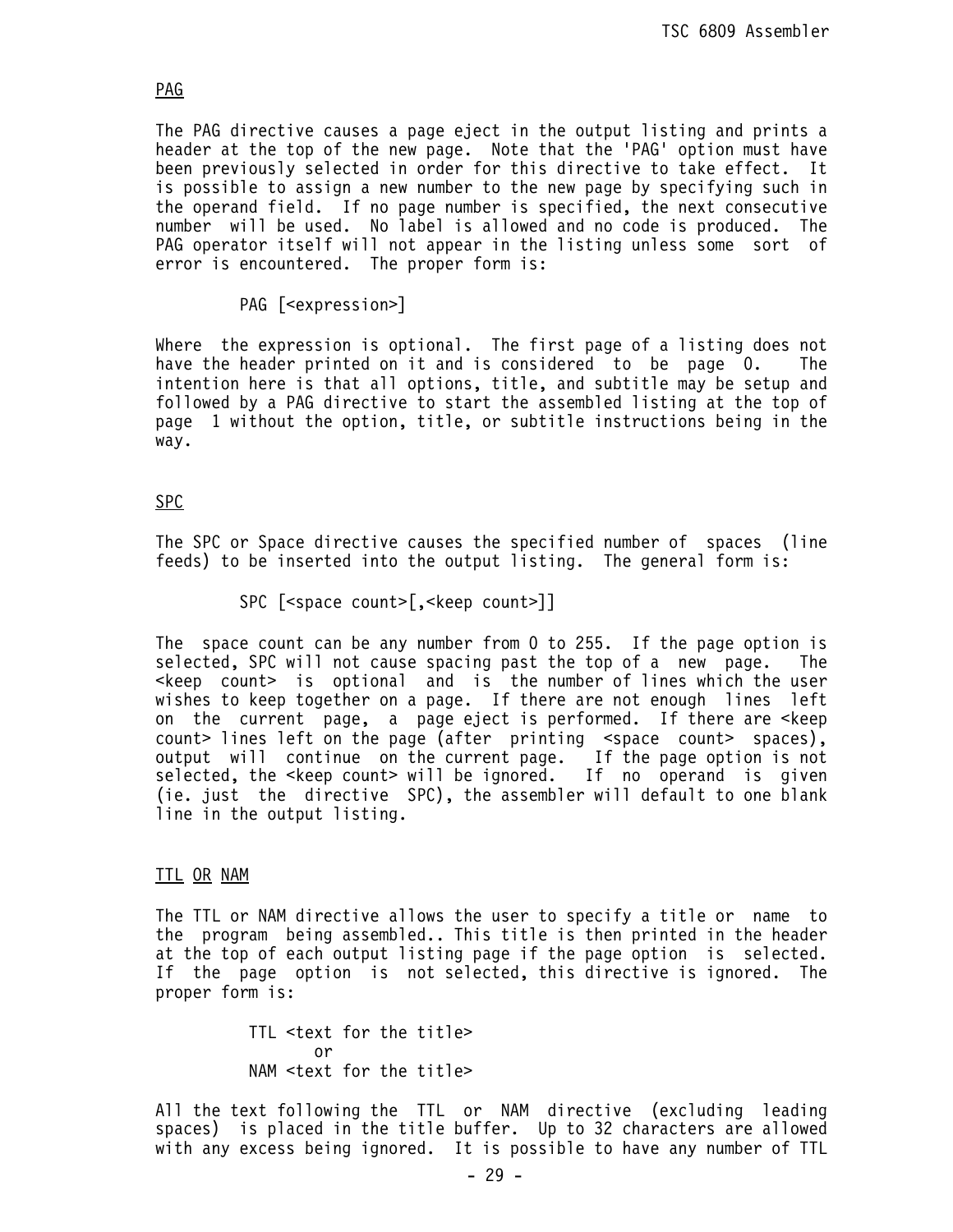#### PAG

The PAG directive causes a page eject in the output listing and prints a header at the top of the new page. Note that the 'PAG' option must have been previously selected in order for this directive to take effect. It is possible to assign a new number to the new page by specifying such in the operand field. If no page number is specified, the next consecutive number will be used. No label is allowed and no code is produced. The PAG operator itself will not appear in the listing unless some sort of error is encountered. The proper form is:

#### PAG [<expression>]

Where the expression is optional. The first page of a listing does not have the header printed on it and is considered to be page 0. The intention here is that all options, title, and subtitle may be setup and followed by a PAG directive to start the assembled listing at the top of page 1 without the option, title, or subtitle instructions being in the way.

#### SPC

The SPC or Space directive causes the specified number of spaces (line feeds) to be inserted into the output listing. The general form is:

# SPC [<space count>[,<keep count>]]

The space count can be any number from 0 to 255. If the page option is selected, SPC will not cause spacing past the top of a new page. The <keep count> is optional and is the number of lines which the user wishes to keep together on a page. If there are not enough lines left on the current page, a page eject is performed. If there are <keep count> lines left on the page (after printing <space count> spaces), output will continue on the current page. If the page option is not selected, the <keep count> will be ignored. If no operand is given (ie. just the directive SPC), the assembler will default to one blank line in the output listing.

#### TTL OR NAM

The TTL or NAM directive allows the user to specify a title or name to the program being assembled.. This title is then printed in the header at the top of each output listing page if the page option is selected. If the page option is not selected, this directive is ignored. The proper form is:

 TTL <text for the title> **or** the contract of the contract of the contract of the contract of the contract of the contract of the contract of the contract of the contract of the contract of the contract of the contract of the contract of the contr NAM <text for the title>

All the text following the TTL or NAM directive (excluding leading spaces) is placed in the title buffer. Up to 32 characters are allowed with any excess being ignored. It is possible to have any number of TTL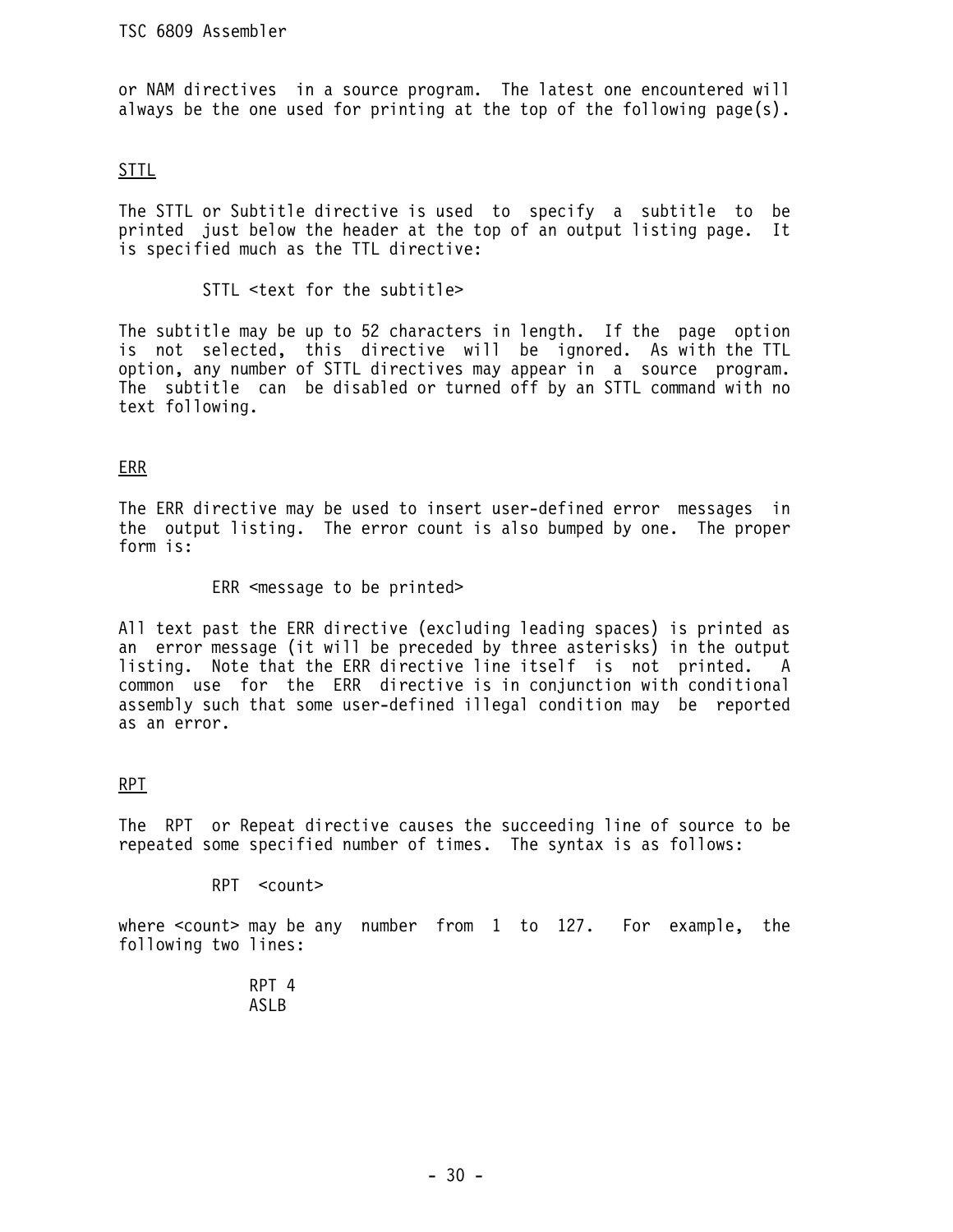or NAM directives in a source program. The latest one encountered will always be the one used for printing at the top of the following page(s).

# STTL

The STTL or Subtitle directive is used to specify a subtitle to be printed just below the header at the top of an output listing page. It is specified much as the TTL directive:

# STTL <text for the subtitle>

The subtitle may be up to 52 characters in length. If the page option is not selected, this directive will be ignored. As with the TTL option, any number of STTL directives may appear in a source program. The subtitle can be disabled or turned off by an STTL command with no text following.

# ERR

The ERR directive may be used to insert user-defined error messages in the output listing. The error count is also bumped by one. The proper form is:

#### ERR <message to be printed>

All text past the ERR directive (excluding leading spaces) is printed as an error message (it will be preceded by three asterisks) in the output listing. Note that the ERR directive line itself is not printed. A common use for the ERR directive is in conjunction with conditional assembly such that some user-defined illegal condition may be reported as an error.

#### RPT

The RPT or Repeat directive causes the succeeding line of source to be repeated some specified number of times. The syntax is as follows:

RPT <count>

where <count> may be any number from 1 to 127. For example, the following two lines:

> RPT 4 ASLB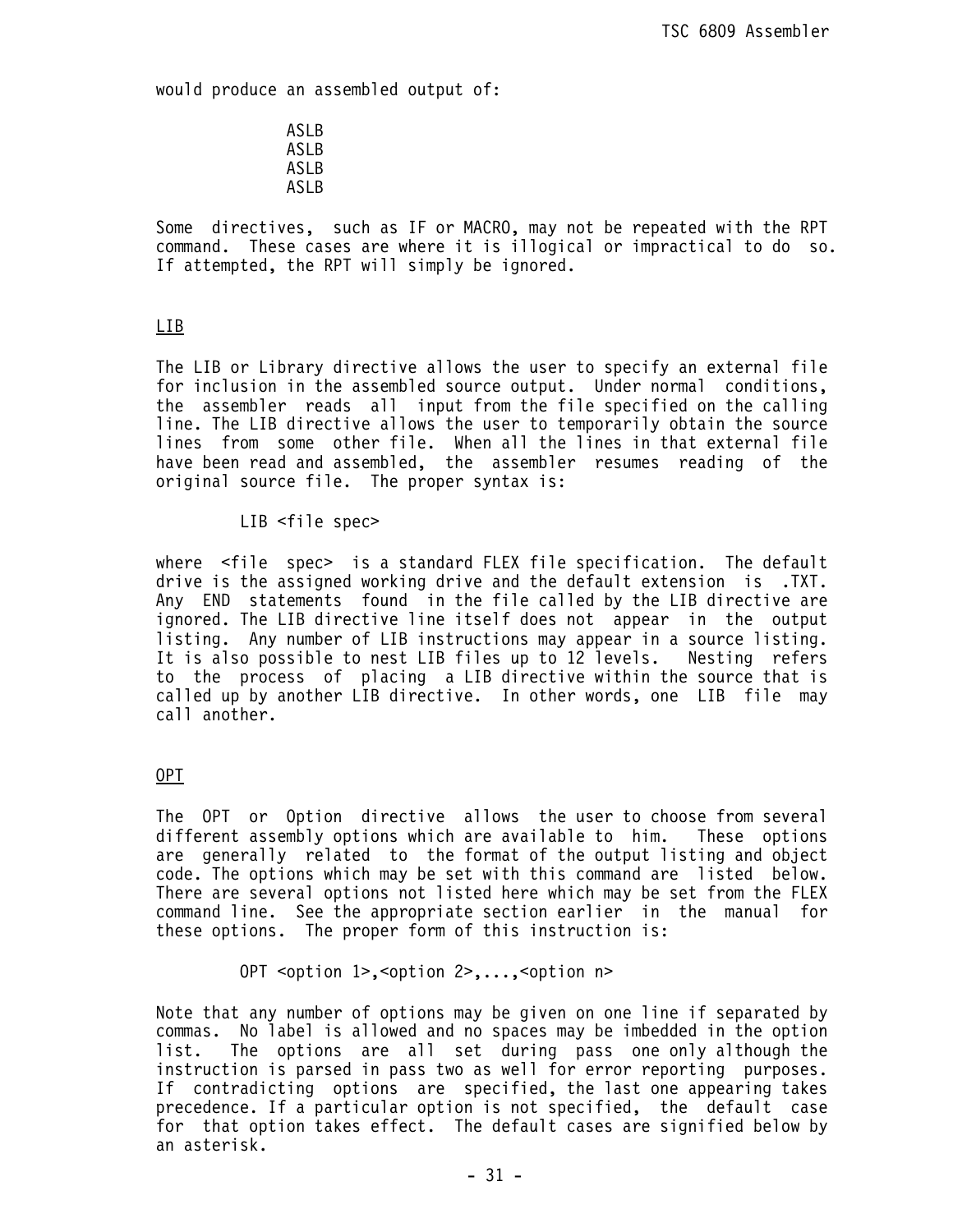would produce an assembled output of:

 ASLB ASLB ASLB ASLB

Some directives, such as IF or MACRO, may not be repeated with the RPT command. These cases are where it is illogical or impractical to do so. If attempted, the RPT will simply be ignored.

# LIB

The LIB or Library directive allows the user to specify an external file for inclusion in the assembled source output. Under normal conditions, the assembler reads all input from the file specified on the calling line. The LIB directive allows the user to temporarily obtain the source lines from some other file. When all the lines in that external file have been read and assembled, the assembler resumes reading of the original source file. The proper syntax is:

LIB <file spec>

where <file spec> is a standard FLEX file specification. The default drive is the assigned working drive and the default extension is .TXT. Any END statements found in the file called by the LIB directive are ignored. The LIB directive line itself does not appear in the output listing. Any number of LIB instructions may appear in a source listing. It is also possible to nest LIB files up to 12 levels. Nesting refers to the process of placing a LIB directive within the source that is called up by another LIB directive. In other words, one LIB file may call another.

# OPT

The OPT or Option directive allows the user to choose from several different assembly options which are available to him. These options are generally related to the format of the output listing and object code. The options which may be set with this command are listed below. There are several options not listed here which may be set from the FLEX command line. See the appropriate section earlier in the manual for these options. The proper form of this instruction is:

OPT <option 1>,<option 2>,...,<option n>

Note that any number of options may be given on one line if separated by commas. No label is allowed and no spaces may be imbedded in the option list. The options are all set during pass one only although the instruction is parsed in pass two as well for error reporting purposes. If contradicting options are specified, the last one appearing takes precedence. If a particular option is not specified, the default case for that option takes effect. The default cases are signified below by an asterisk.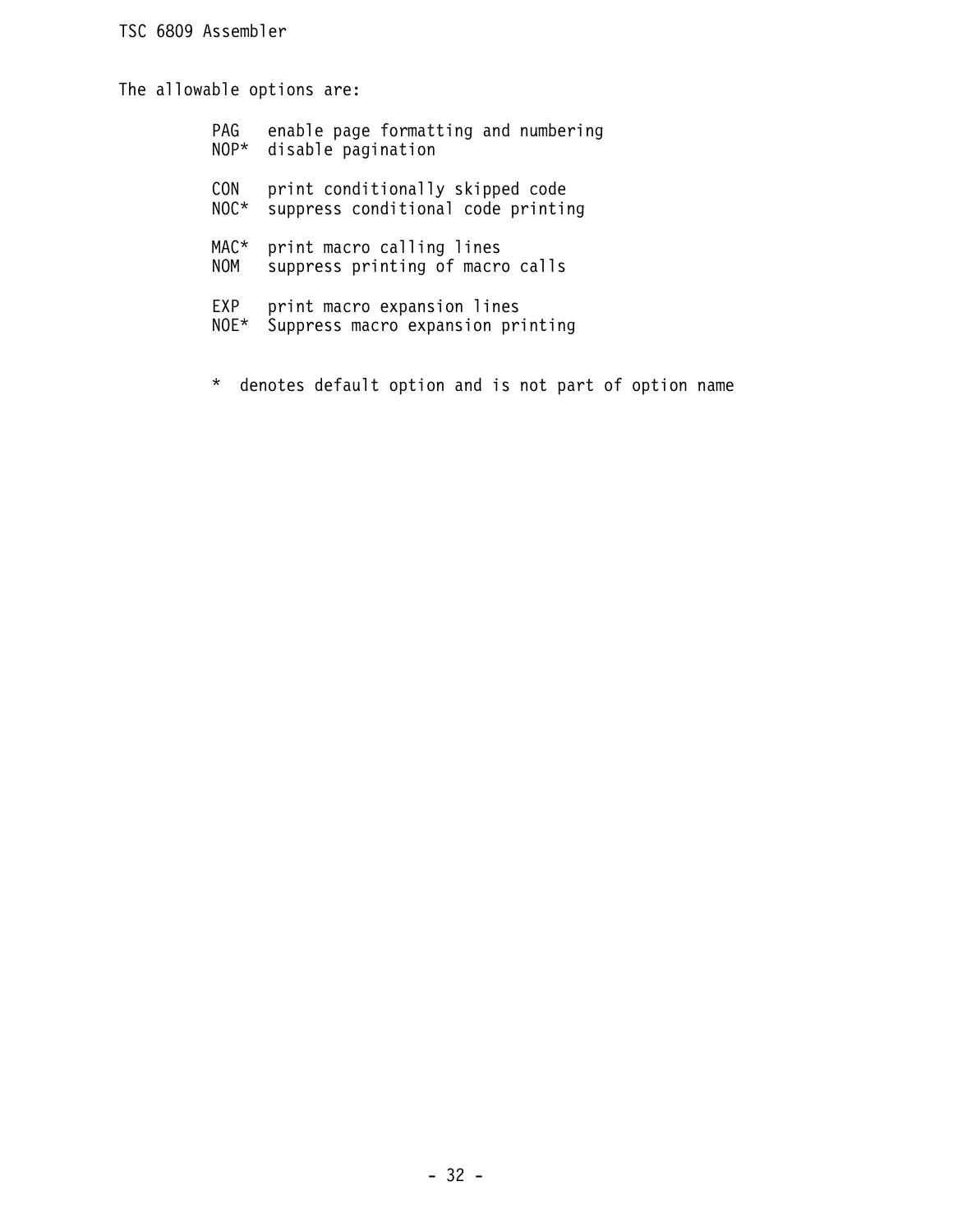The allowable options are:

PAG enable page formatting and numbering<br>NOP\* disable pagination disable pagination CON print conditionally skipped code<br>NOC\* suppress conditional code printir suppress conditional code printing MAC\* print macro calling lines<br>NOM suppress printing of macro suppress printing of macro calls EXP print macro expansion lines NOE\* Suppress macro expansion printing

\* denotes default option and is not part of option name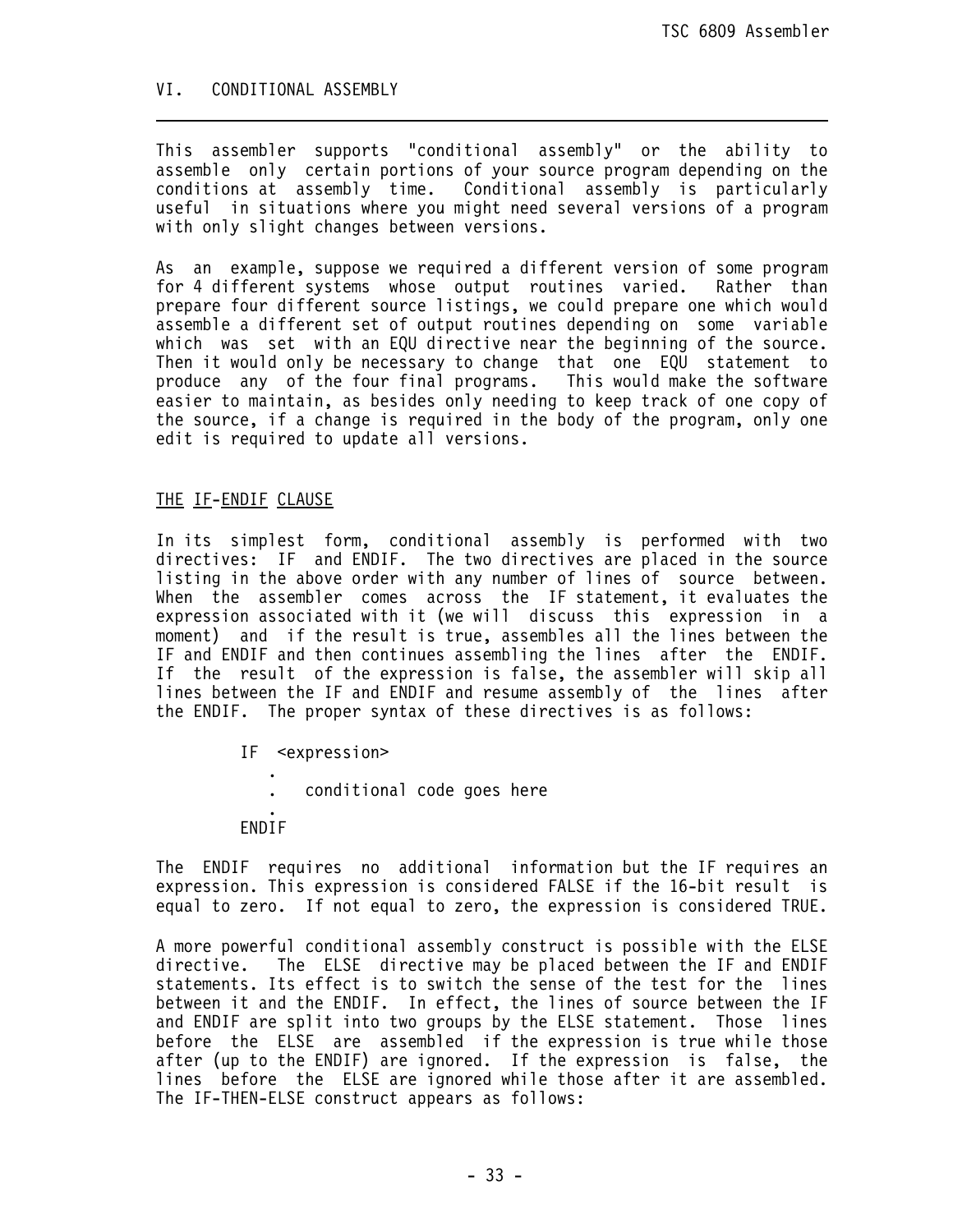#### VI. CONDITIONAL ASSEMBLY

This assembler supports "conditional assembly" or the ability to assemble only certain portions of your source program depending on the conditions at assembly time. Conditional assembly is particularly useful in situations where you might need several versions of a program with only slight changes between versions.

As an example, suppose we required a different version of some program for 4 different systems whose output routines varied. Rather than prepare four different source listings, we could prepare one which would assemble a different set of output routines depending on some variable which was set with an EQU directive near the beginning of the source. Then it would only be necessary to change that one EQU statement to produce any of the four final programs. This would make the software easier to maintain, as besides only needing to keep track of one copy of the source, if a change is required in the body of the program, only one edit is required to update all versions.

# THE IF-ENDIF CLAUSE

In its simplest form, conditional assembly is performed with two directives: IF and ENDIF. The two directives are placed in the source listing in the above order with any number of lines of source between. When the assembler comes across the IF statement, it evaluates the expression associated with it (we will discuss this expression in a moment) and if the result is true, assembles all the lines between the IF and ENDIF and then continues assembling the lines after the ENDIF. If the result of the expression is false, the assembler will skip all lines between the IF and ENDIF and resume assembly of the lines after the ENDIF. The proper syntax of these directives is as follows:

IF <expression>

.

. conditional code goes here

.

ENDIF

The ENDIF requires no additional information but the IF requires an expression. This expression is considered FALSE if the 16-bit result is equal to zero. If not equal to zero, the expression is considered TRUE.

A more powerful conditional assembly construct is possible with the ELSE directive. The ELSE directive may be placed between the IF and ENDIF statements. Its effect is to switch the sense of the test for the lines between it and the ENDIF. In effect, the lines of source between the IF and ENDIF are split into two groups by the ELSE statement. Those lines before the ELSE are assembled if the expression is true while those after (up to the ENDIF) are ignored. If the expression is false, the lines before the ELSE are ignored while those after it are assembled. The IF-THEN-ELSE construct appears as follows: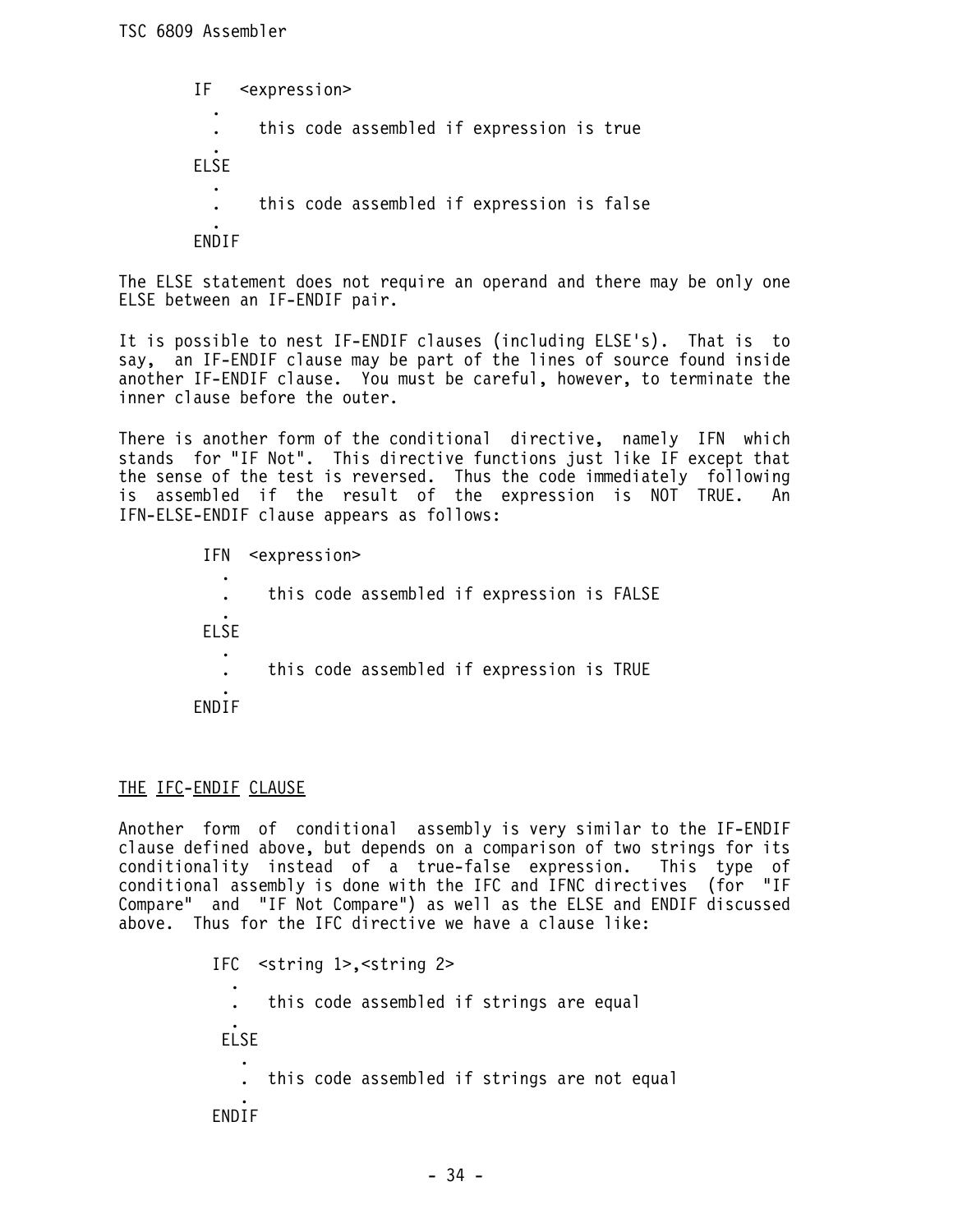IF <expression> . . this code assembled if expression is true . ELSE . . this code assembled if expression is false . ENDIF

The ELSE statement does not require an operand and there may be only one ELSE between an IF-ENDIF pair.

It is possible to nest IF-ENDIF clauses (including ELSE's). That is to say, an IF-ENDIF clause may be part of the lines of source found inside another IF-ENDIF clause. You must be careful, however, to terminate the inner clause before the outer.

There is another form of the conditional directive, namely IFN which stands for "IF Not". This directive functions just like IF except that the sense of the test is reversed. Thus the code immediately following is assembled if the result of the expression is NOT TRUE. An IFN-ELSE-ENDIF clause appears as follows:

 IFN <expression> . . this code assembled if expression is FALSE . ELSE . . this code assembled if expression is TRUE . ENDIF

# THE IFC-ENDIF CLAUSE

Another form of conditional assembly is very similar to the IF-ENDIF clause defined above, but depends on a comparison of two strings for its conditionality instead of a true-false expression. This type of conditional assembly is done with the IFC and IFNC directives (for "IF Compare" and "IF Not Compare") as well as the ELSE and ENDIF discussed above. Thus for the IFC directive we have a clause like:

 IFC <string 1>,<string 2> . . this code assembled if strings are equal . ELSE . . this code assembled if strings are not equal . ENDIF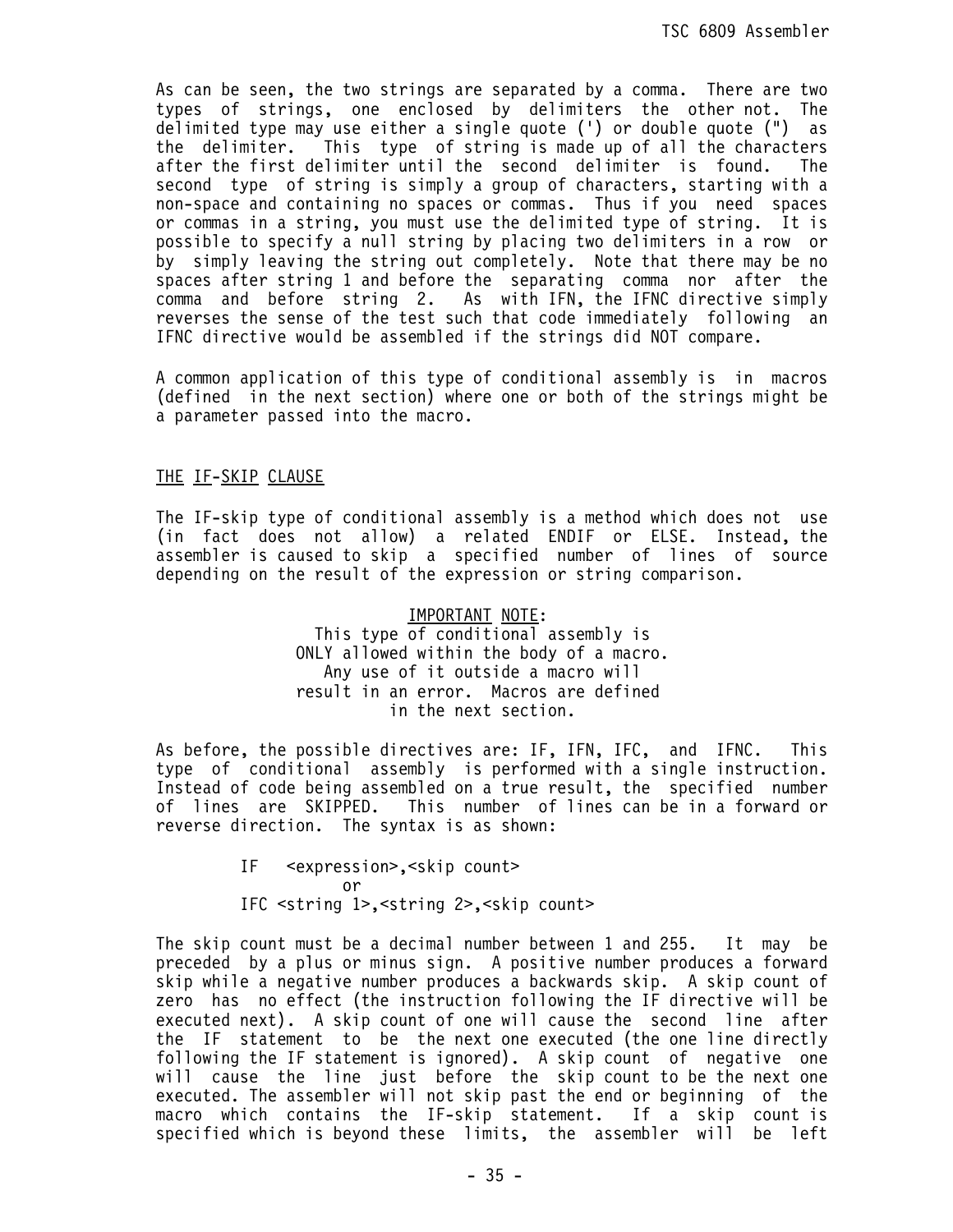As can be seen, the two strings are separated by a comma. There are two types of strings, one enclosed by delimiters the other not. The delimited type may use either a single quote (') or double quote (") as the delimiter. This type of string is made up of all the characters after the first delimiter until the second delimiter is found. The second type of string is simply a group of characters, starting with a non-space and containing no spaces or commas. Thus if you need spaces or commas in a string, you must use the delimited type of string. It is possible to specify a null string by placing two delimiters in a row or by simply leaving the string out completely. Note that there may be no spaces after string 1 and before the separating comma nor after the comma and before string 2. As with IFN, the IFNC directive simply reverses the sense of the test such that code immediately following an IFNC directive would be assembled if the strings did NOT compare.

A common application of this type of conditional assembly is in macros (defined in the next section) where one or both of the strings might be a parameter passed into the macro.

# THE IF-SKIP CLAUSE

The IF-skip type of conditional assembly is a method which does not use (in fact does not allow) a related ENDIF or ELSE. Instead, the assembler is caused to skip a specified number of lines of source depending on the result of the expression or string comparison.

> IMPORTANT NOTE: This type of conditional assembly is ONLY allowed within the body of a macro. Any use of it outside a macro will result in an error. Macros are defined in the next section.

As before, the possible directives are: IF, IFN, IFC, and IFNC. This type of conditional assembly is performed with a single instruction. Instead of code being assembled on a true result, the specified number of lines are SKIPPED. This number of lines can be in a forward or reverse direction. The syntax is as shown:

 IF <expression>,<skip count> **or** the contract of the contract of the contract of the contract of the contract of the contract of the contract of the contract of the contract of the contract of the contract of the contract of the contract of the contr IFC <string 1>,<string 2>,<skip count>

The skip count must be a decimal number between 1 and 255. It may be preceded by a plus or minus sign. A positive number produces a forward skip while a negative number produces a backwards skip. A skip count of zero has no effect (the instruction following the IF directive will be executed next). A skip count of one will cause the second line after the IF statement to be the next one executed (the one line directly following the IF statement is ignored). A skip count of negative one will cause the line just before the skip count to be the next one executed. The assembler will not skip past the end or beginning of the macro which contains the IF-skip statement. If a skip count is specified which is beyond these limits, the assembler will be left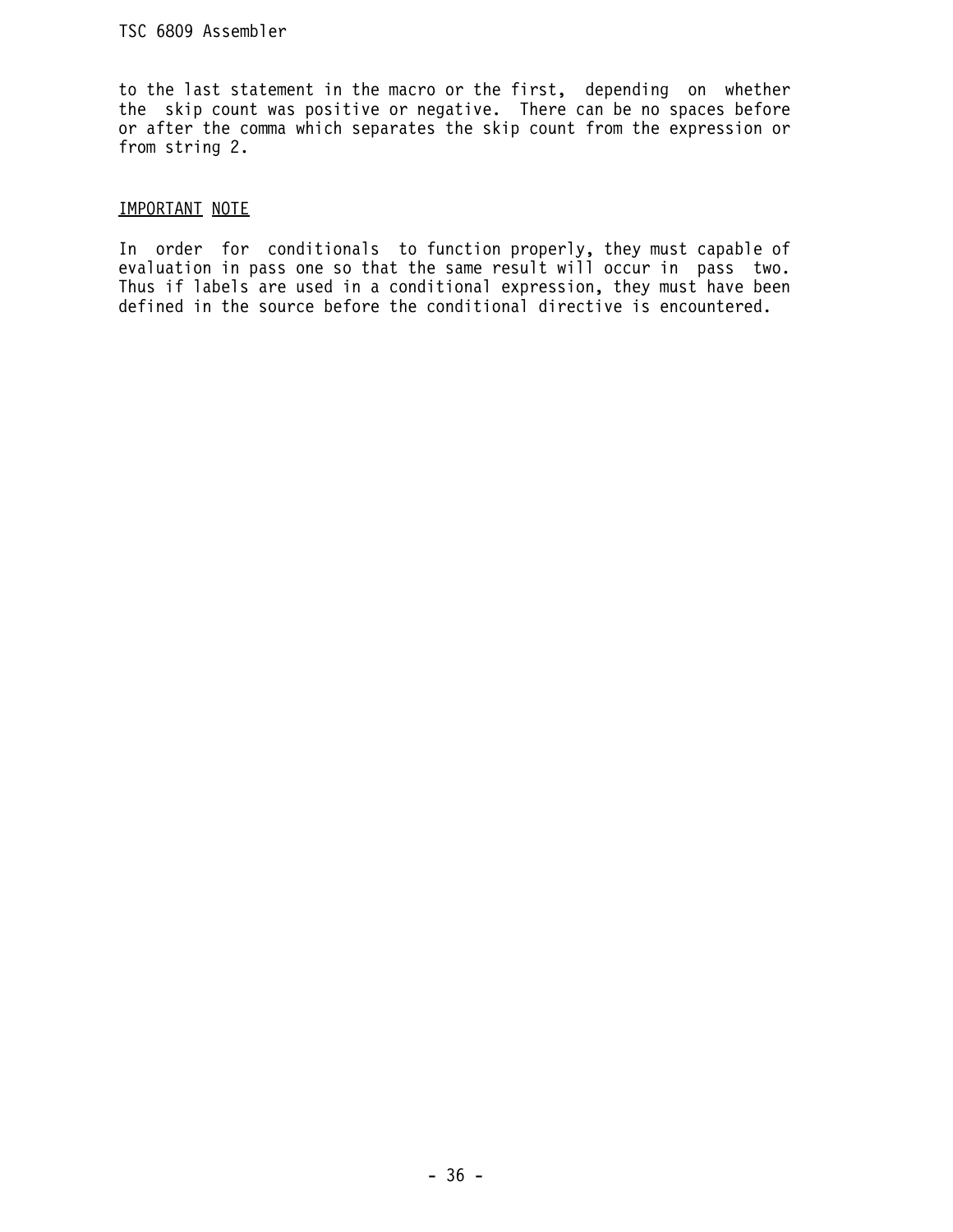to the last statement in the macro or the first, depending on whether the skip count was positive or negative. There can be no spaces before or after the comma which separates the skip count from the expression or from string 2.

#### IMPORTANT NOTE

In order for conditionals to function properly, they must capable of evaluation in pass one so that the same result will occur in pass two. Thus if labels are used in a conditional expression, they must have been defined in the source before the conditional directive is encountered.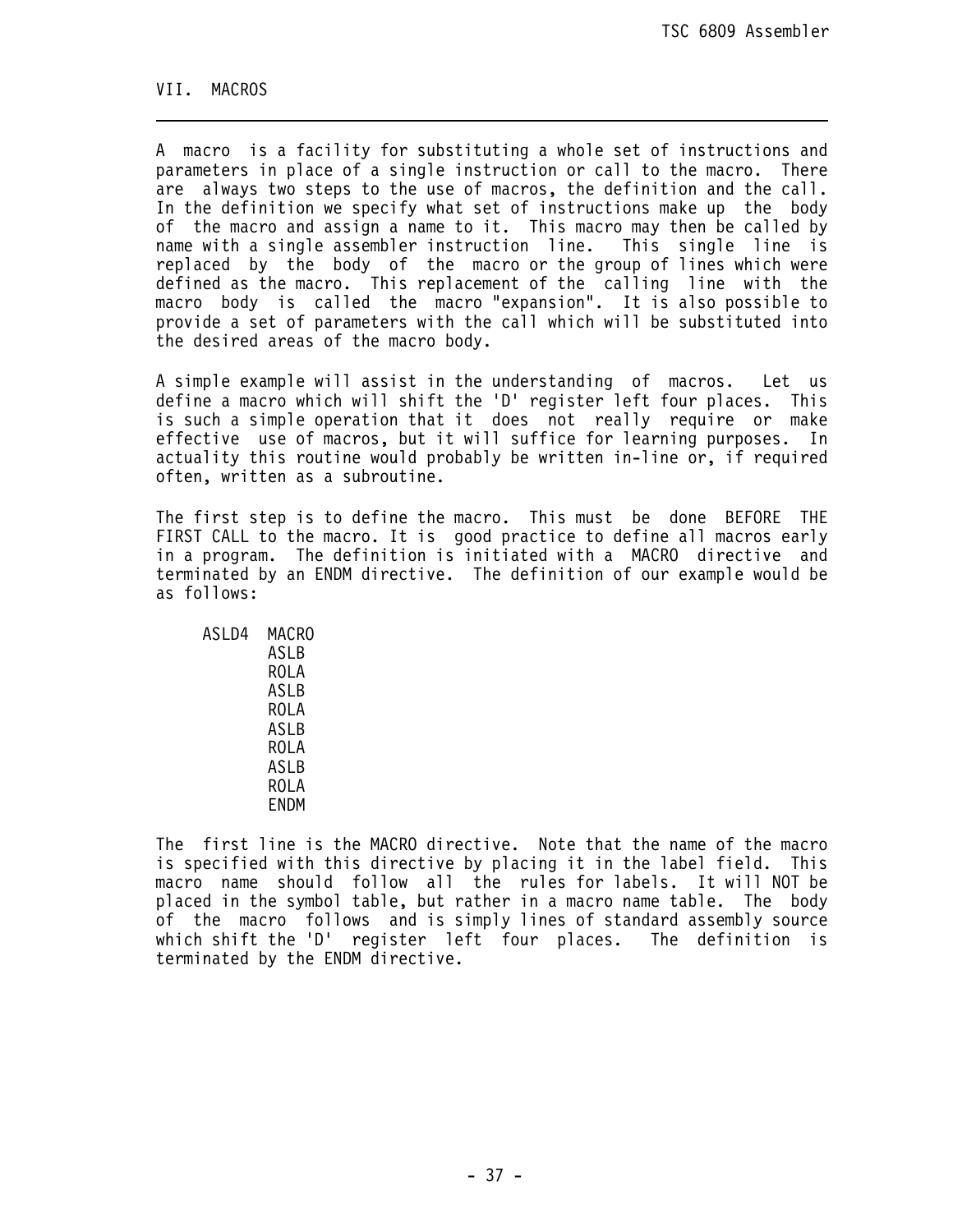VII. MACROS

A macro is a facility for substituting a whole set of instructions and parameters in place of a single instruction or call to the macro. There are always two steps to the use of macros, the definition and the call. In the definition we specify what set of instructions make up the body of the macro and assign a name to it. This macro may then be called by name with a single assembler instruction line. This single line is replaced by the body of the macro or the group of lines which were defined as the macro. This replacement of the calling line with the macro body is called the macro "expansion". It is also possible to provide a set of parameters with the call which will be substituted into the desired areas of the macro body.

A simple example will assist in the understanding of macros. Let us define a macro which will shift the 'D' register left four places. This is such a simple operation that it does not really require or make effective use of macros, but it will suffice for learning purposes. In actuality this routine would probably be written in-line or, if required often, written as a subroutine.

The first step is to define the macro. This must be done BEFORE THE FIRST CALL to the macro. It is good practice to define all macros early in a program. The definition is initiated with a MACRO directive and terminated by an ENDM directive. The definition of our example would be as follows:

 ASLD4 MACRO ASLB ROLA ASLB ROLA ASLB ROLA ASLB ROLA ENDM

The first line is the MACRO directive. Note that the name of the macro is specified with this directive by placing it in the label field. This macro name should follow all the rules for labels. It will NOT be placed in the symbol table, but rather in a macro name table. The body of the macro follows and is simply lines of standard assembly source which shift the 'D' register left four places. The definition is terminated by the ENDM directive.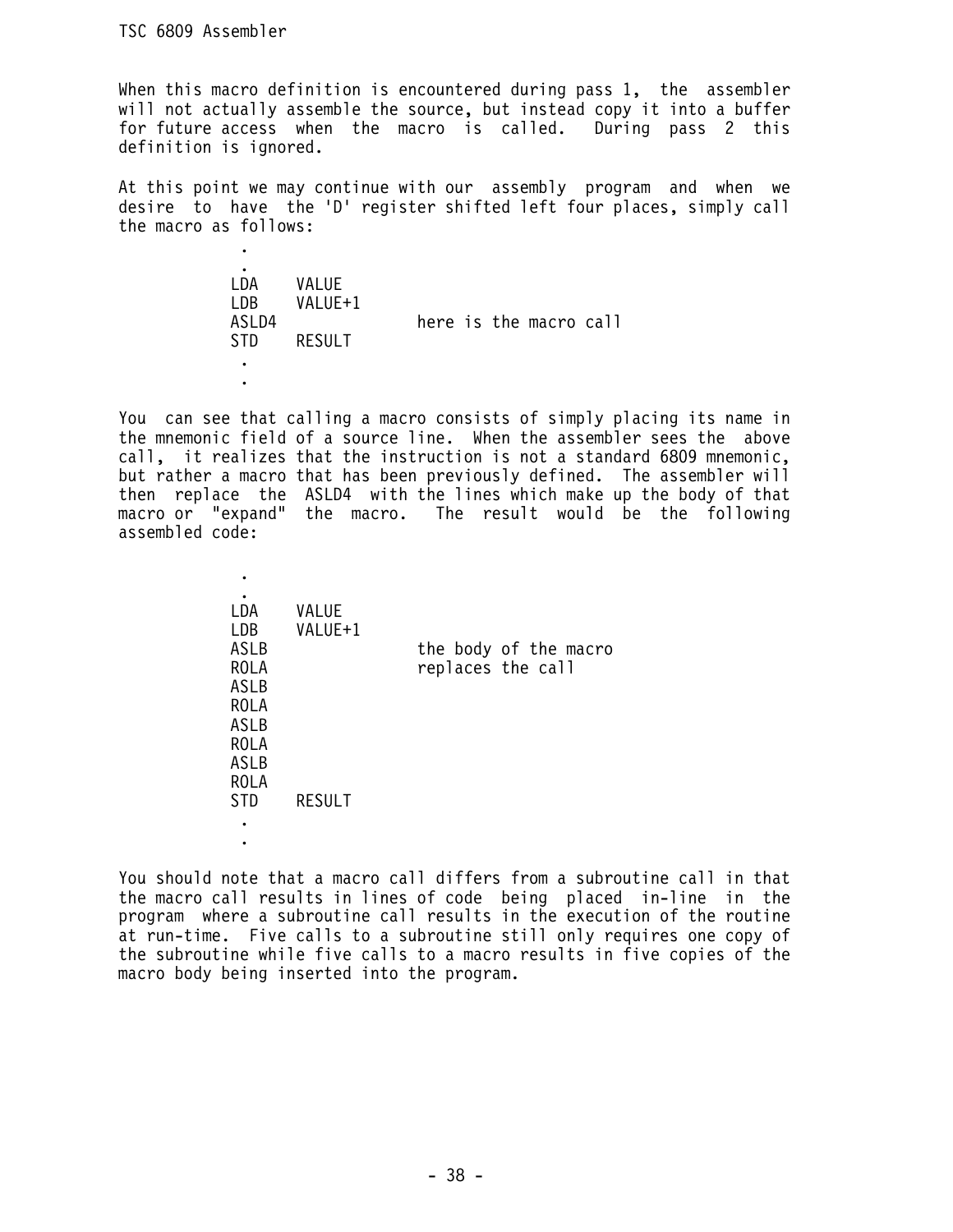.

.

When this macro definition is encountered during pass 1, the assembler will not actually assemble the source, but instead copy it into a buffer for future access when the macro is called. During pass 2 this definition is ignored.

At this point we may continue with our assembly program and when we desire to have the 'D' register shifted left four places, simply call the macro as follows:

| ٠<br>LDA.<br>LDB.<br>ASLD4 | VALUE<br>VALUE+1 | here is the macro call |  |
|----------------------------|------------------|------------------------|--|
| STD.                       | <b>RESULT</b>    |                        |  |
| ٠                          |                  |                        |  |
| ٠                          |                  |                        |  |

You can see that calling a macro consists of simply placing its name in the mnemonic field of a source line. When the assembler sees the above call, it realizes that the instruction is not a standard 6809 mnemonic, but rather a macro that has been previously defined. The assembler will then replace the ASLD4 with the lines which make up the body of that macro or "expand" the macro. The result would be the following assembled code:

| ٠<br>LDA<br>LDB<br>ASLB<br><b>ROLA</b><br>ASLB<br><b>ROLA</b><br><b>ASLB</b><br><b>ROLA</b><br>ASLB<br><b>ROLA</b><br><b>STD</b> | VALUE<br>VALUE+1<br><b>RESULT</b> | replaces the call | the body of the macro |
|----------------------------------------------------------------------------------------------------------------------------------|-----------------------------------|-------------------|-----------------------|
| ٠<br>٠                                                                                                                           |                                   |                   |                       |

You should note that a macro call differs from a subroutine call in that the macro call results in lines of code being placed in-line in the program where a subroutine call results in the execution of the routine at run-time. Five calls to a subroutine still only requires one copy of the subroutine while five calls to a macro results in five copies of the macro body being inserted into the program.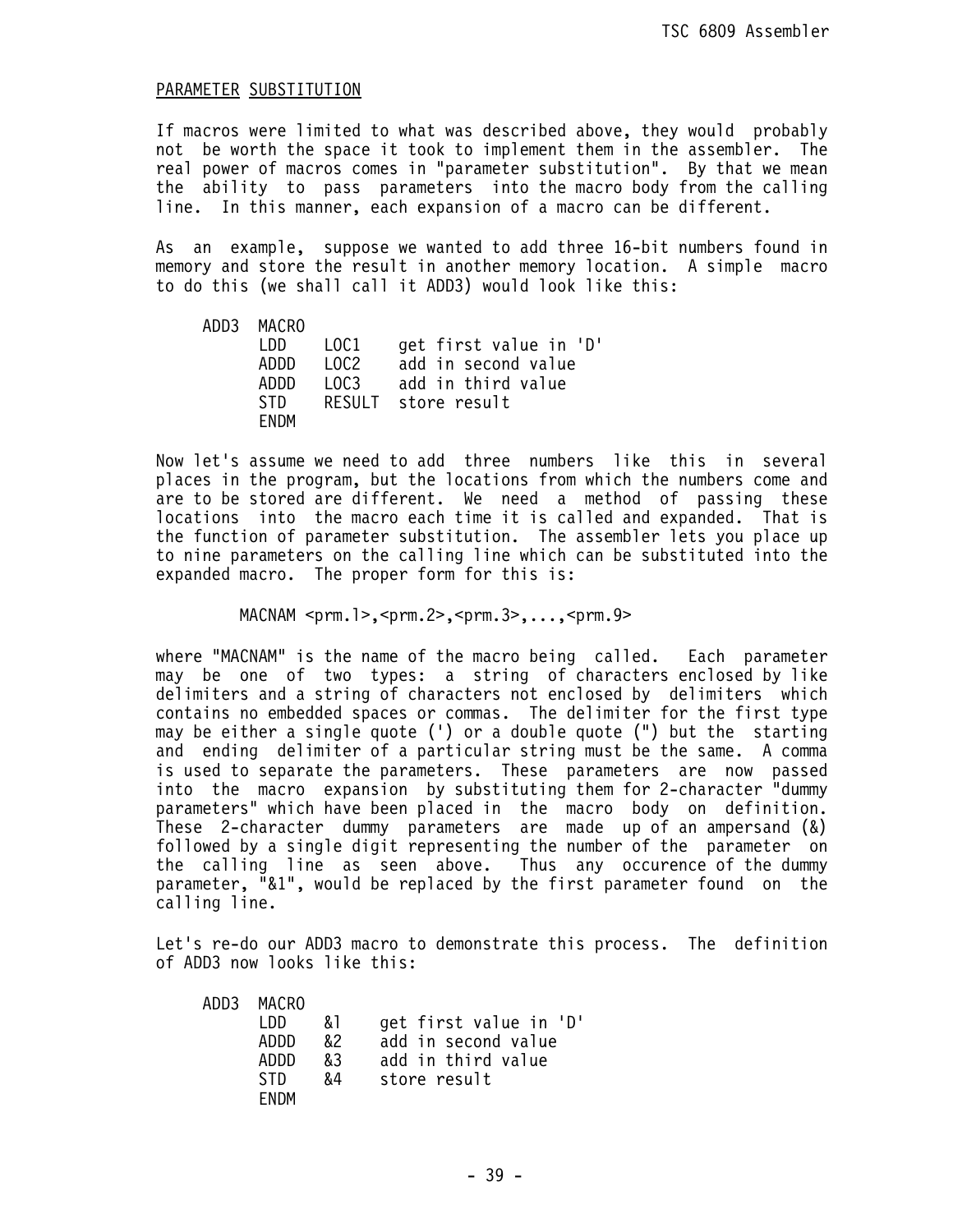#### PARAMETER SUBSTITUTION

If macros were limited to what was described above, they would probably not be worth the space it took to implement them in the assembler. The real power of macros comes in "parameter substitution". By that we mean the ability to pass parameters into the macro body from the calling line. In this manner, each expansion of a macro can be different.

As an example, suppose we wanted to add three 16-bit numbers found in memory and store the result in another memory location. A simple macro to do this (we shall call it ADD3) would look like this:

| ADD3 MACRO  |       |                        |
|-------------|-------|------------------------|
| l DD.       | LOC1  | get first value in 'D' |
| ADDD        | T 0C2 | add in second value    |
| ADDD        | 1.003 | add in third value     |
| STD.        |       | RESULT store result    |
| <b>FNDM</b> |       |                        |

Now let's assume we need to add three numbers like this in several places in the program, but the locations from which the numbers come and are to be stored are different. We need a method of passing these locations into the macro each time it is called and expanded. That is the function of parameter substitution. The assembler lets you place up to nine parameters on the calling line which can be substituted into the expanded macro. The proper form for this is:

MACNAM <prm.l>,<prm.2>,<prm.3>,...,<prm.9>

where "MACNAM" is the name of the macro being called. Each parameter may be one of two types: a string of characters enclosed by like delimiters and a string of characters not enclosed by delimiters which contains no embedded spaces or commas. The delimiter for the first type may be either a single quote (') or a double quote (") but the starting and ending delimiter of a particular string must be the same. A comma is used to separate the parameters. These parameters are now passed into the macro expansion by substituting them for 2-character "dummy parameters" which have been placed in the macro body on definition. These 2-character dummy parameters are made up of an ampersand (&) followed by a single digit representing the number of the parameter on the calling line as seen above. Thus any occurence of the dummy parameter, "&1", would be replaced by the first parameter found on the calling line.

Let's re-do our ADD3 macro to demonstrate this process. The definition of ADD3 now looks like this:

| ADD3 MACRO  |    |                        |
|-------------|----|------------------------|
| I DD        | 81 | get first value in 'D' |
| ADDD        | 82 | add in second value    |
| ADDD        | 83 | add in third value     |
| <b>STD</b>  | &4 | store result           |
| <b>FNDM</b> |    |                        |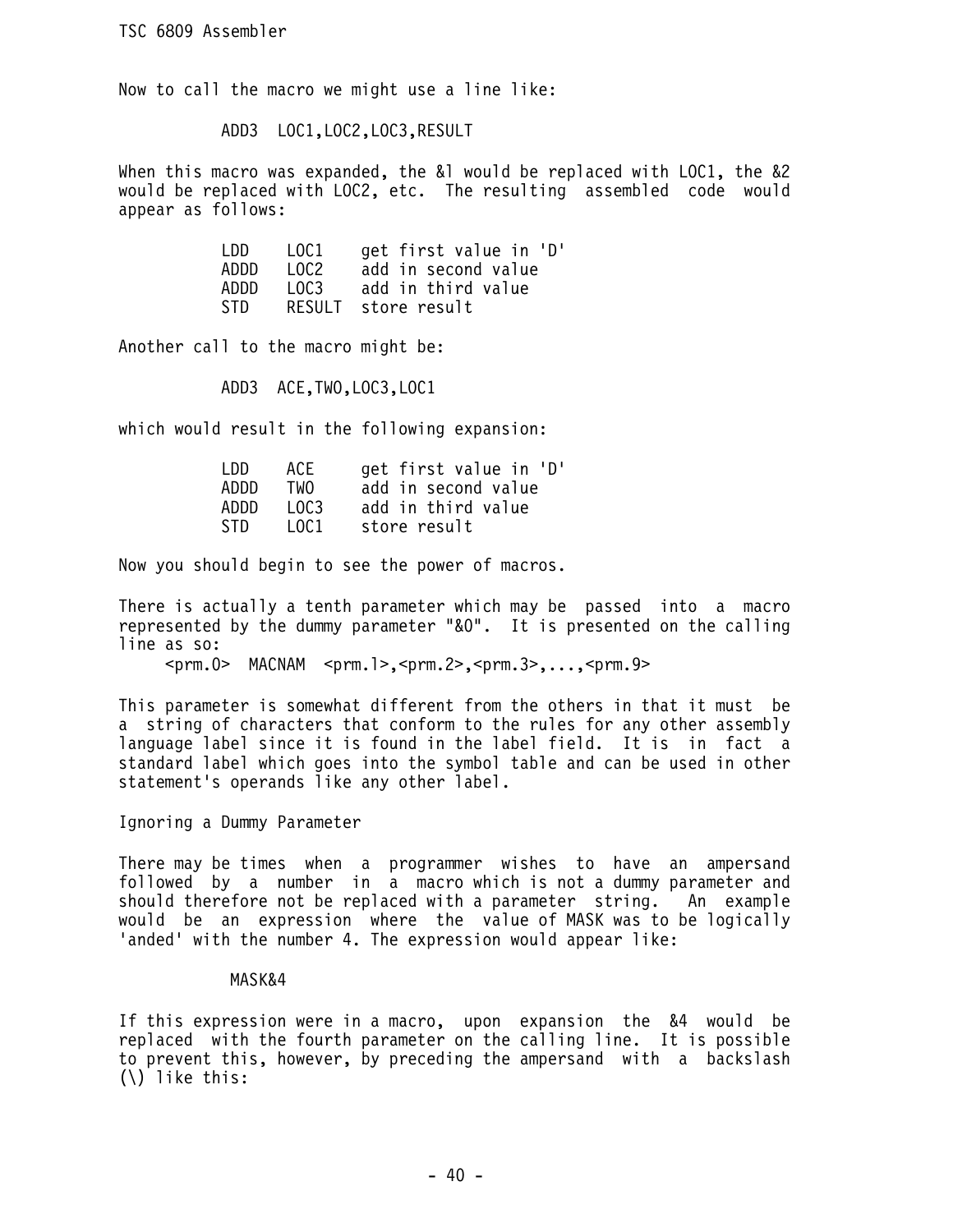Now to call the macro we might use a line like:

ADD3 LOC1,LOC2,LOC3,RESULT

When this macro was expanded, the &l would be replaced with LOC1, the &2 would be replaced with LOC2, etc. The resulting assembled code would appear as follows:

| I DD. | LOC1             | get first value in 'D' |
|-------|------------------|------------------------|
| ADDD  | LOC2             | add in second value    |
| ADDD  | LOC <sub>3</sub> | add in third value     |
| STD.  |                  | RESULT store result    |

Another call to the macro might be:

ADD3 ACE,TWO,LOC3,LOC1

which would result in the following expansion:

| I DD.<br>ADDD | ACE.<br>TWO | get first value in 'D'<br>add in second value |
|---------------|-------------|-----------------------------------------------|
|               |             |                                               |
| ADDD          | LOC3        | add in third value                            |
| STD.          | LOC1        | store result                                  |

Now you should begin to see the power of macros.

There is actually a tenth parameter which may be passed into a macro represented by the dummy parameter "&0". It is presented on the calling line as so:

 $\text{sym.0>}$  MACNAM  $\text{sym.1>}$ ,  $\text{sym.2>}$ ,  $\text{sym.3>}$ , ...,  $\text{sym.9>}$ 

This parameter is somewhat different from the others in that it must be a string of characters that conform to the rules for any other assembly language label since it is found in the label field. It is in fact a standard label which goes into the symbol table and can be used in other statement's operands like any other label.

Ignoring a Dummy Parameter

There may be times when a programmer wishes to have an ampersand followed by a number in a macro which is not a dummy parameter and should therefore not be replaced with a parameter string. An example would be an expression where the value of MASK was to be logically 'anded' with the number 4. The expression would appear like:

#### MASK&4

If this expression were in a macro, upon expansion the &4 would be replaced with the fourth parameter on the calling line. It is possible to prevent this, however, by preceding the ampersand with a backslash (\) like this: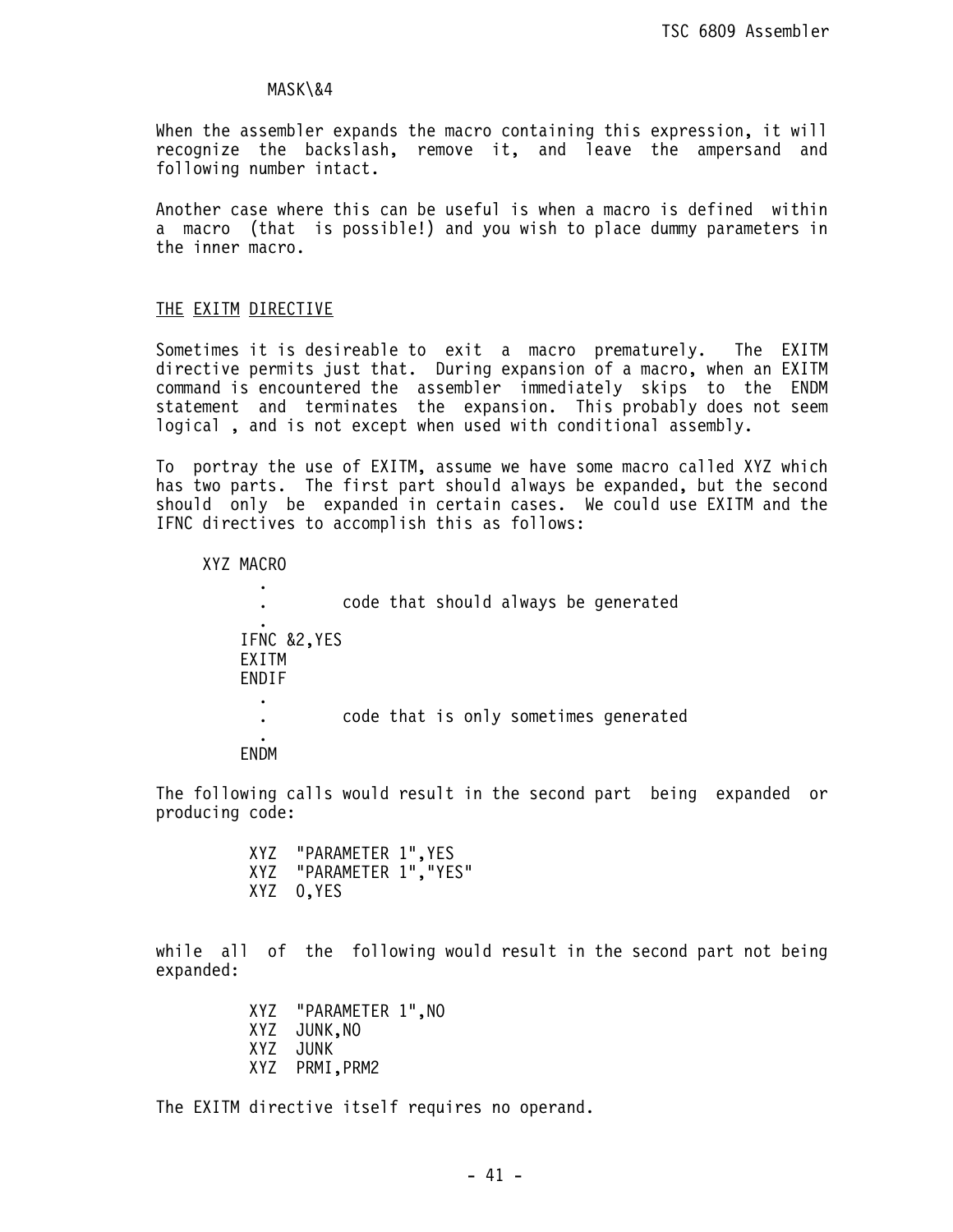#### MASK\&4

When the assembler expands the macro containing this expression, it will recognize the backslash, remove it, and leave the ampersand and following number intact.

Another case where this can be useful is when a macro is defined within a macro (that is possible!) and you wish to place dummy parameters in the inner macro.

#### THE EXITM DIRECTIVE

Sometimes it is desireable to exit a macro prematurely. The EXITM directive permits just that. During expansion of a macro, when an EXITM command is encountered the assembler immediately skips to the ENDM statement and terminates the expansion. This probably does not seem logical, and is not except when used with conditional assembly.

To portray the use of EXITM, assume we have some macro called XYZ which has two parts. The first part should always be expanded, but the second should only be expanded in certain cases. We could use EXITM and the IFNC directives to accomplish this as follows:

 XYZ MACRO . . code that should always be generated . IFNC &2,YES EXITM ENDIF . . code that is only sometimes generated . ENDM

The following calls would result in the second part being expanded or producing code:

 XYZ "PARAMETER 1",YES XYZ "PARAMETER 1","YES" XYZ 0,YES

while all of the following would result in the second part not being expanded:

> XYZ "PARAMETER 1",NO XYZ JUNK,NO XYZ JUNK XYZ PRMI,PRM2

The EXITM directive itself requires no operand.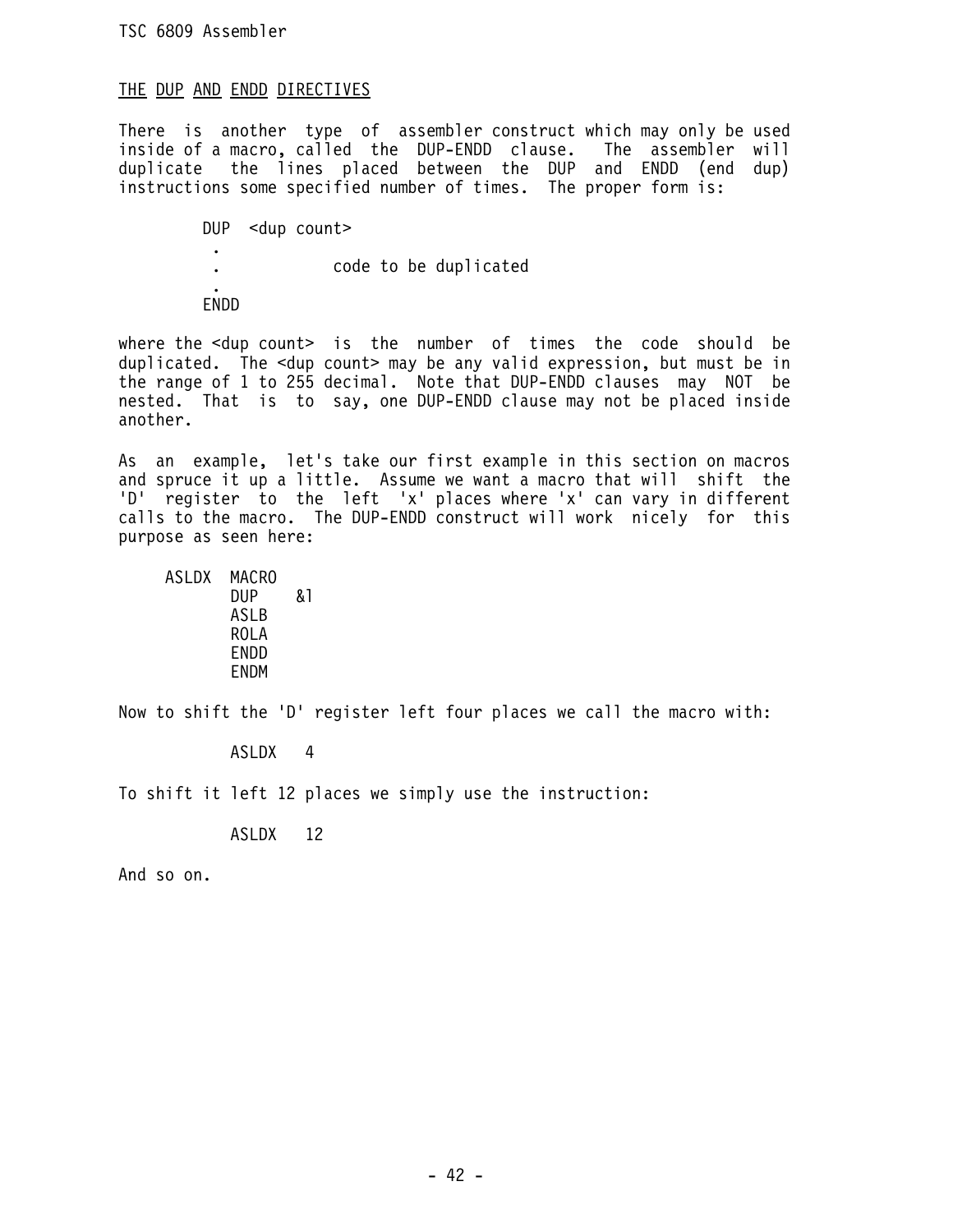# THE DUP AND ENDD DIRECTIVES

There is another type of assembler construct which may only be used inside of a macro, called the DUP-ENDD clause. The assembler will duplicate the lines placed between the DUP and ENDD (end dup) instructions some specified number of times. The proper form is:

 DUP <dup count> . . code to be duplicated . ENDD

where the <dup count> is the number of times the code should be duplicated. The <dup count> may be any valid expression, but must be in the range of 1 to 255 decimal. Note that DUP-ENDD clauses may NOT be nested. That is to say, one DUP-ENDD clause may not be placed inside another.

As an example, let's take our first example in this section on macros and spruce it up a little. Assume we want a macro that will shift the 'D' register to the left 'x' places where 'x' can vary in different calls to the macro. The DUP-ENDD construct will work nicely for this purpose as seen here:

 ASLDX MACRO DUP &l ASLB ROLA ENDD ENDM

Now to shift the 'D' register left four places we call the macro with:

ASLDX 4

To shift it left 12 places we simply use the instruction:

ASLDX 12

And so on.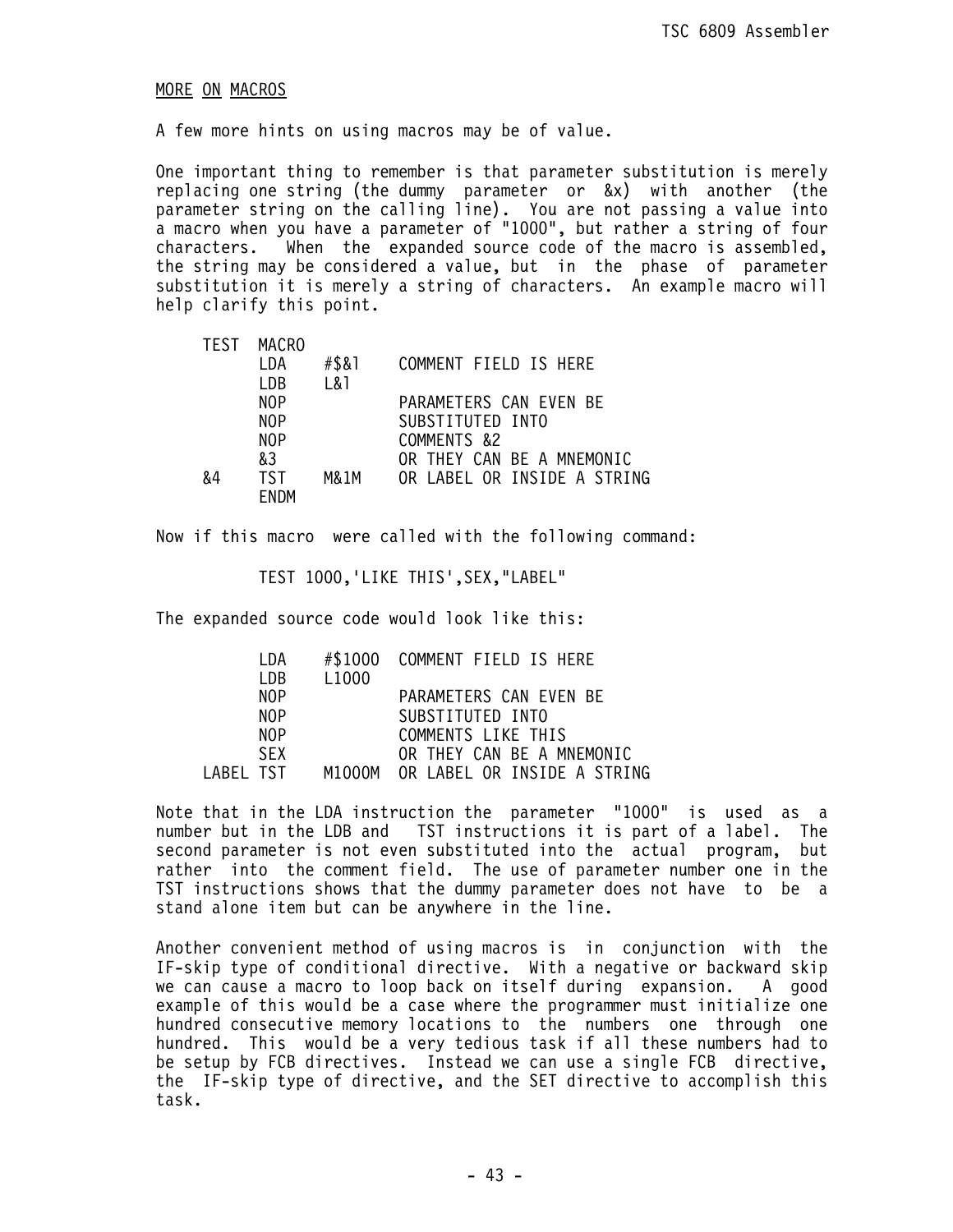# MORE ON MACROS

A few more hints on using macros may be of value.

One important thing to remember is that parameter substitution is merely replacing one string (the dummy parameter or &x) with another (the parameter string on the calling line). You are not passing a value into a macro when you have a parameter of "1000", but rather a string of four characters. When the expanded source code of the macro is assembled, the string may be considered a value, but in the phase of parameter substitution it is merely a string of characters. An example macro will help clarify this point.

| TEST | <b>MACRO</b>     |       |                             |
|------|------------------|-------|-----------------------------|
|      | LDA              | #\$&1 | COMMENT FIELD IS HERE       |
|      | LDB.             | L&1   |                             |
|      | NOP              |       | PARAMETERS CAN EVEN BE      |
|      | N <sub>O</sub> P |       | SUBSTITUTED INTO            |
|      | N <sub>O</sub> P |       | COMMENTS &2                 |
|      | &3               |       | OR THEY CAN BE A MNEMONIC   |
| 84   | TST              | M&1M  | OR LABEL OR INSIDE A STRING |
|      | <b>ENDM</b>      |       |                             |

Now if this macro were called with the following command:

TEST 1000,'LIKE THIS',SEX,"LABEL"

The expanded source code would look like this:

| LDA<br>L <sub>1000</sub><br><b>LDB</b> | #\$1000 COMMENT FIELD IS HERE      |
|----------------------------------------|------------------------------------|
| NOP                                    | PARAMETERS CAN EVEN BE             |
| NOP                                    | SUBSTITUTED INTO                   |
| N <sub>O</sub> P                       | COMMENTS LIKE THIS                 |
| <b>SEX</b>                             | OR THEY CAN BE A MNEMONIC          |
| LABEL TST                              | M1000M OR LABEL OR INSIDE A STRING |

Note that in the LDA instruction the parameter "1000" is used as a number but in the LDB and TST instructions it is part of a label. The second parameter is not even substituted into the actual program, but rather into the comment field. The use of parameter number one in the TST instructions shows that the dummy parameter does not have to be a stand alone item but can be anywhere in the line.

Another convenient method of using macros is in conjunction with the IF-skip type of conditional directive. With a negative or backward skip we can cause a macro to loop back on itself during expansion. A good example of this would be a case where the programmer must initialize one hundred consecutive memory locations to the numbers one through one hundred. This would be a very tedious task if all these numbers had to be setup by FCB directives. Instead we can use a single FCB directive, the IF-skip type of directive, and the SET directive to accomplish this task.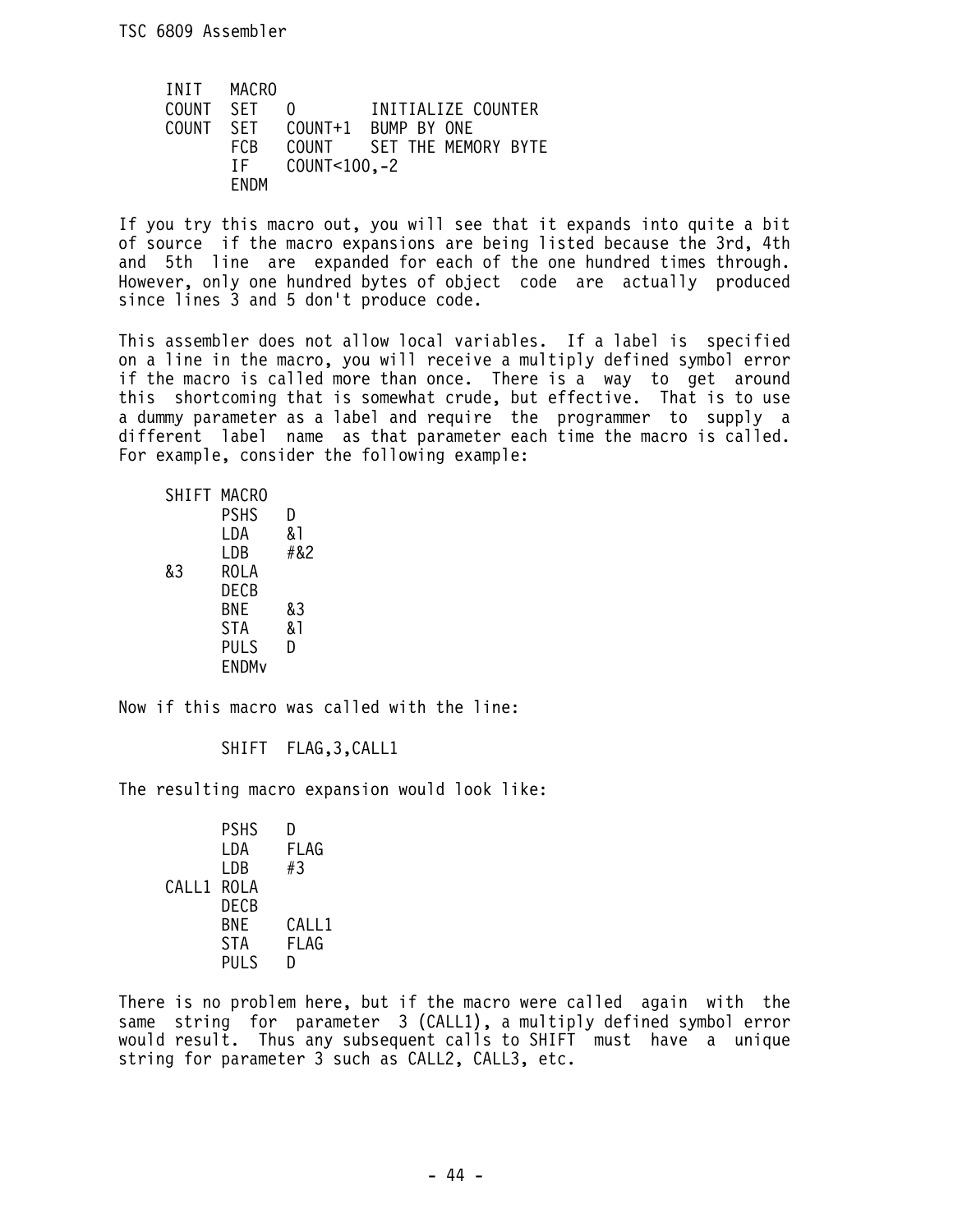INIT MACRO COUNT SET 0 INITIALIZE COUNTER COUNT SET COUNT+1 BUMP BY ONE<br>FCB COUNT SET THE MEM COUNT SET THE MEMORY BYTE IF COUNT<100,-2 ENDM

If you try this macro out, you will see that it expands into quite a bit of source if the macro expansions are being listed because the 3rd, 4th and 5th line are expanded for each of the one hundred times through. However, only one hundred bytes of object code are actually produced since lines 3 and 5 don't produce code.

This assembler does not allow local variables. If a label is specified on a line in the macro, you will receive a multiply defined symbol error if the macro is called more than once. There is a way to get around this shortcoming that is somewhat crude, but effective. That is to use a dummy parameter as a label and require the programmer to supply a different label name as that parameter each time the macro is called. For example, consider the following example:

|    | SHIFT MACRO             |     |
|----|-------------------------|-----|
|    | <b>PSHS</b>             | D   |
|    | LDA                     | &1  |
|    | LDB                     | #&2 |
| &3 | <b>ROLA</b>             |     |
|    | <b>DECB</b>             |     |
|    | <b>BNE</b>              | &3  |
|    | <b>STA</b>              | &1  |
|    | <b>PULS</b>             | D   |
|    | <b>ENDM<sub>v</sub></b> |     |

Now if this macro was called with the line:

SHIFT FLAG,3,CALL1

The resulting macro expansion would look like:

 PSHS D LDA FLAG  $LDB$  #3 CALL1 ROLA DECB<br>BNE BNE CALL1<br>STA FLAG FLAG PULS D

There is no problem here, but if the macro were called again with the same string for parameter 3 (CALL1), a multiply defined symbol error would result. Thus any subsequent calls to SHIFT must have a unique string for parameter 3 such as CALL2, CALL3, etc.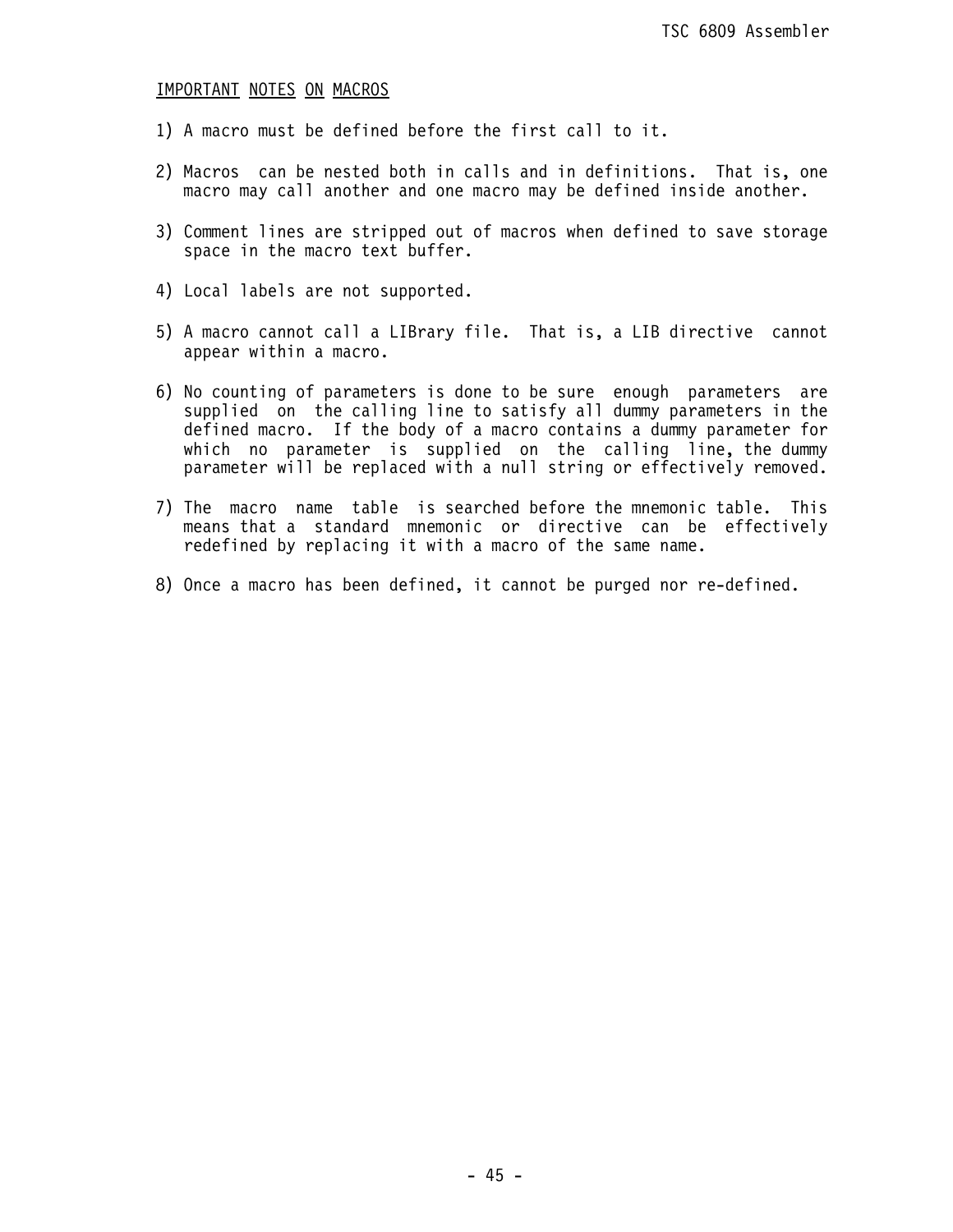# IMPORTANT NOTES ON MACROS

- 1) A macro must be defined before the first call to it.
- 2) Macros can be nested both in calls and in definitions. That is, one macro may call another and one macro may be defined inside another.
- 3) Comment lines are stripped out of macros when defined to save storage space in the macro text buffer.
- 4) Local labels are not supported.
- 5) A macro cannot call a LIBrary file. That is, a LIB directive cannot appear within a macro.
- 6) No counting of parameters is done to be sure enough parameters are supplied on the calling line to satisfy all dummy parameters in the defined macro. If the body of a macro contains a dummy parameter for which no parameter is supplied on the calling line, the dummy parameter will be replaced with a null string or effectively removed.
- 7) The macro name table is searched before the mnemonic table. This means that a standard mnemonic or directive can be effectively redefined by replacing it with a macro of the same name.
- 8) Once a macro has been defined, it cannot be purged nor re-defined.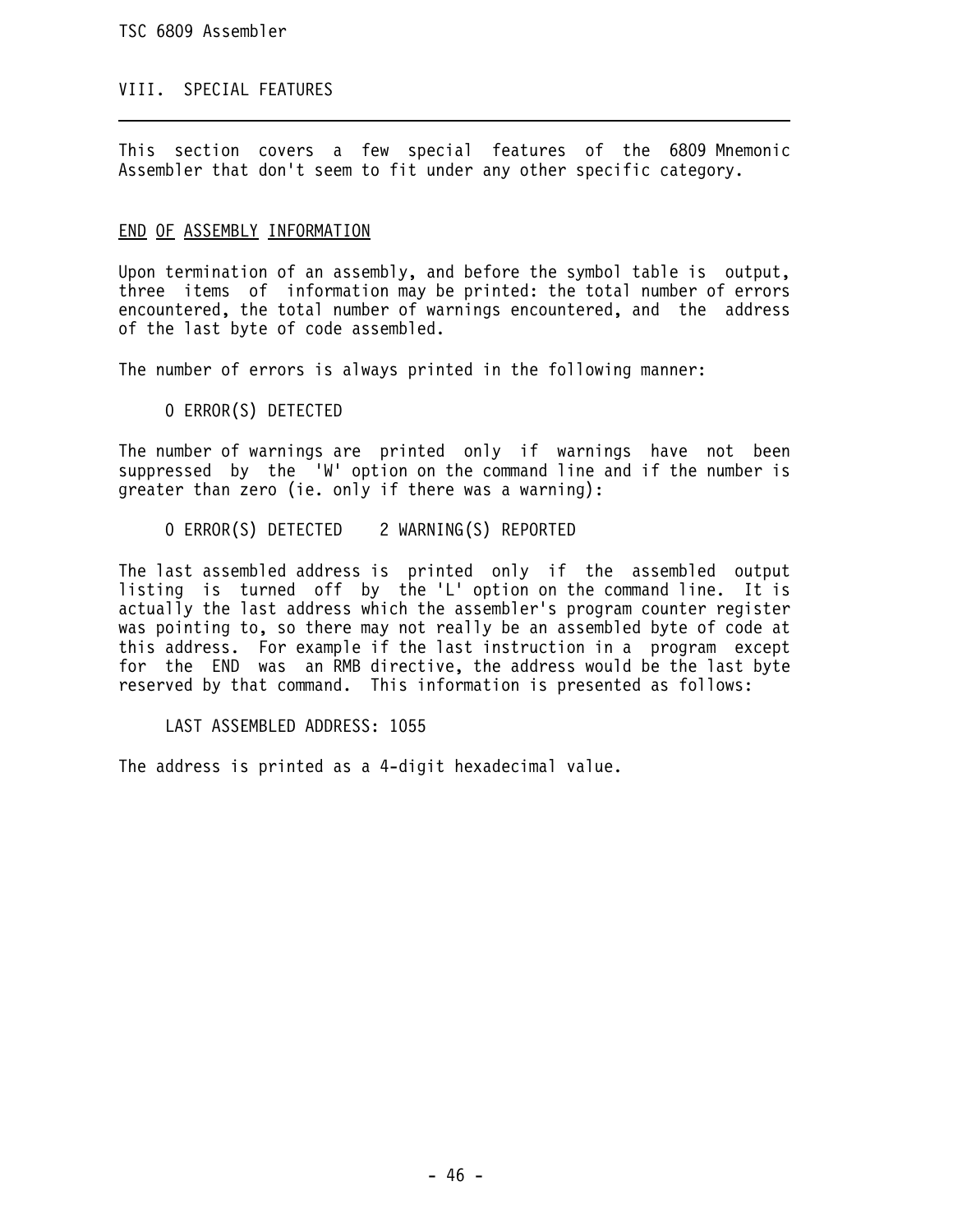#### TSC 6809 Assembler

#### VIII. SPECIAL FEATURES

This section covers a few special features of the 6809 Mnemonic Assembler that don't seem to fit under any other specific category.

#### END OF ASSEMBLY INFORMATION

Upon termination of an assembly, and before the symbol table is output, three items of information may be printed: the total number of errors encountered, the total number of warnings encountered, and the address of the last byte of code assembled.

The number of errors is always printed in the following manner:

0 ERROR(S) DETECTED

The number of warnings are printed only if warnings have not been suppressed by the 'W' option on the command line and if the number is greater than zero (ie. only if there was a warning):

0 ERROR(S) DETECTED 2 WARNING(S) REPORTED

The last assembled address is printed only if the assembled output listing is turned off by the 'L' option on the command line. It is actually the last address which the assembler's program counter register was pointing to, so there may not really be an assembled byte of code at this address. For example if the last instruction in a program except for the END was an RMB directive, the address would be the last byte reserved by that command. This information is presented as follows:

LAST ASSEMBLED ADDRESS: 1055

The address is printed as a 4-digit hexadecimal value.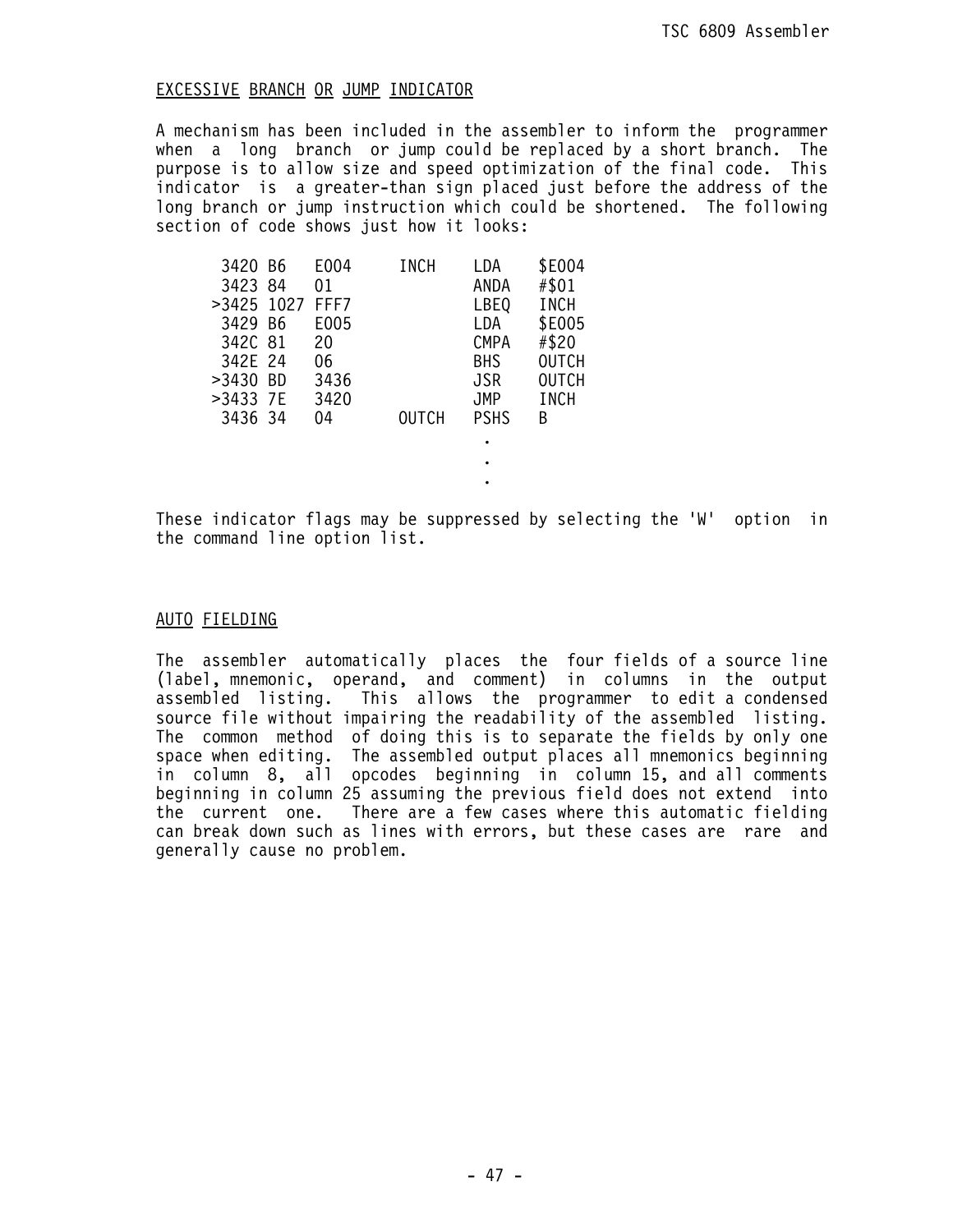# EXCESSIVE BRANCH OR JUMP INDICATOR

**.** The contract of the contract of the contract of the contract of the contract of the contract of the contract of **.** The contract of the contract of the contract of the contract of the contract of the contract of the contract of

A mechanism has been included in the assembler to inform the programmer when a long branch or jump could be replaced by a short branch. The purpose is to allow size and speed optimization of the final code. This indicator is a greater-than sign placed just before the address of the long branch or jump instruction which could be shortened. The following section of code shows just how it looks:

| 3420 B6    | E004 | <b>INCH</b>  | LDA         | \$E004       |
|------------|------|--------------|-------------|--------------|
| 3423 84    | 01   |              | ANDA        | #\$01        |
| >3425 1027 | FFF7 |              | <b>LBEQ</b> | <b>INCH</b>  |
| 3429 B6    | E005 |              | LDA         | \$E005       |
| 342C 81    | 20   |              | <b>CMPA</b> | #\$20        |
| 342E 24    | 06   |              | BHS         | <b>OUTCH</b> |
| >3430 BD   | 3436 |              | <b>JSR</b>  | <b>OUTCH</b> |
| >3433 7E   | 3420 |              | <b>JMP</b>  | <b>INCH</b>  |
| 3436 34    | 04   | <b>OUTCH</b> | <b>PSHS</b> | B            |
|            |      |              |             |              |

These indicator flags may be suppressed by selecting the 'W' option in the command line option list.

# AUTO FIELDING

The assembler automatically places the four fields of a source line (label, mnemonic, operand, and comment) in columns in the output assembled listing. This allows the programmer to edit a condensed source file without impairing the readability of the assembled listing. The common method of doing this is to separate the fields by only one space when editing. The assembled output places all mnemonics beginning in column 8, all opcodes beginning in column 15, and all comments beginning in column 25 assuming the previous field does not extend into the current one. There are a few cases where this automatic fielding can break down such as lines with errors, but these cases are rare and generally cause no problem.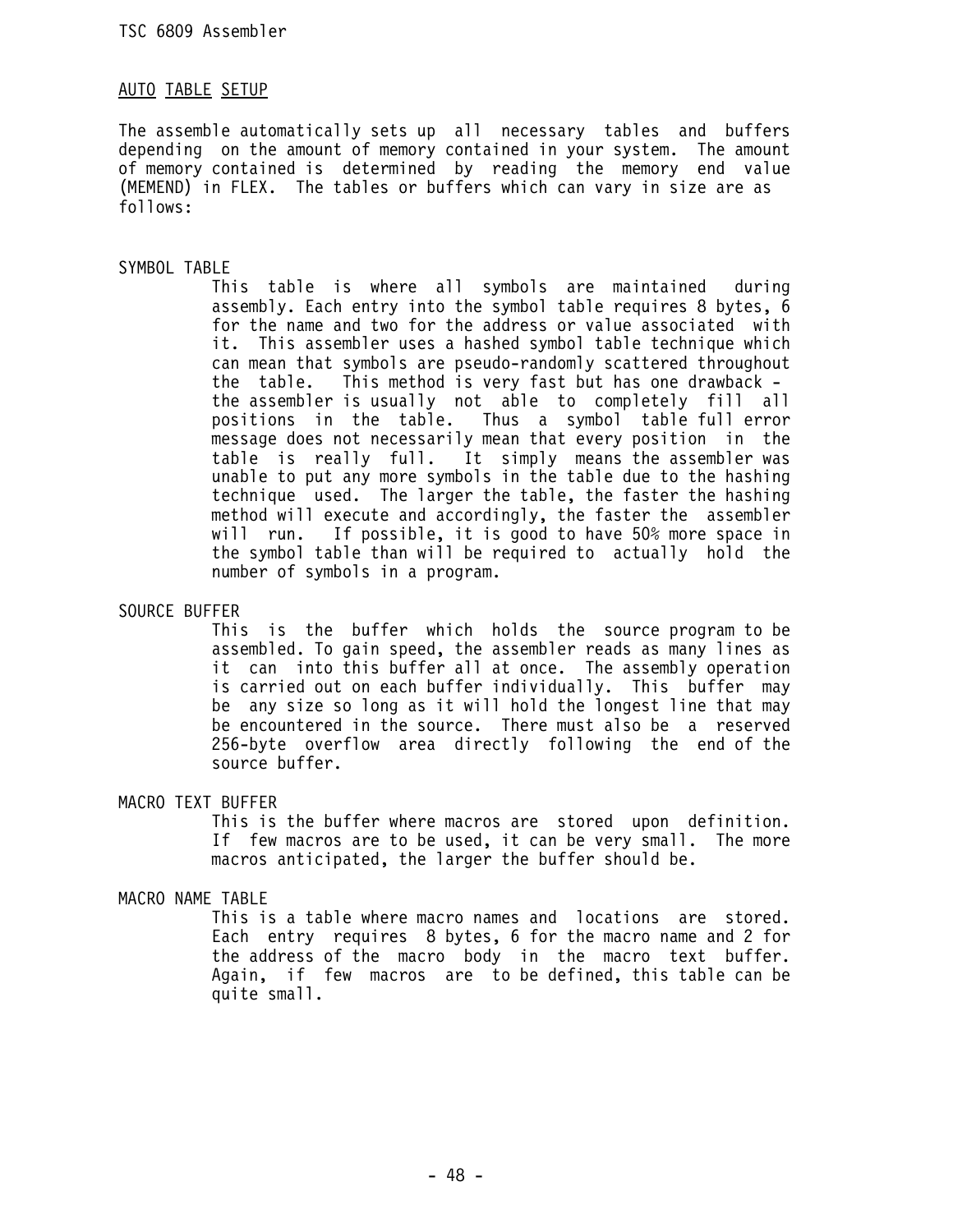# AUTO TABLE SETUP

The assemble automatically sets up all necessary tables and buffers depending on the amount of memory contained in your system. The amount of memory contained is determined by reading the memory end value (MEMEND) in FLEX. The tables or buffers which can vary in size are as follows:

# SYMBOL TABLE

 This table is where all symbols are maintained during assembly. Each entry into the symbol table requires 8 bytes, 6 for the name and two for the address or value associated with it. This assembler uses a hashed symbol table technique which can mean that symbols are pseudo-randomly scattered throughout the table. This method is very fast but has one drawback the assembler is usually not able to completely fill all<br>positions in the table. Thus a symbol table full error Thus a symbol table full error message does not necessarily mean that every position in the table is really full. It simply means the assembler was unable to put any more symbols in the table due to the hashing technique used. The larger the table, the faster the hashing method will execute and accordingly, the faster the assembler will run. If possible, it is good to have 50% more space in the symbol table than will be required to actually hold the number of symbols in a program.

#### SOURCE BUFFER

 This is the buffer which holds the source program to be assembled. To gain speed, the assembler reads as many lines as it can into this buffer all at once. The assembly operation is carried out on each buffer individually. This buffer may be any size so long as it will hold the longest line that may be encountered in the source. There must also be a reserved 256-byte overflow area directly following the end of the source buffer.

# MACRO TEXT BUFFER

 This is the buffer where macros are stored upon definition. If few macros are to be used, it can be very small. The more macros anticipated, the larger the buffer should be.

# MACRO NAME TABLE

 This is a table where macro names and locations are stored. Each entry requires 8 bytes, 6 for the macro name and 2 for the address of the macro body in the macro text buffer. Again, if few macros are to be defined, this table can be quite small.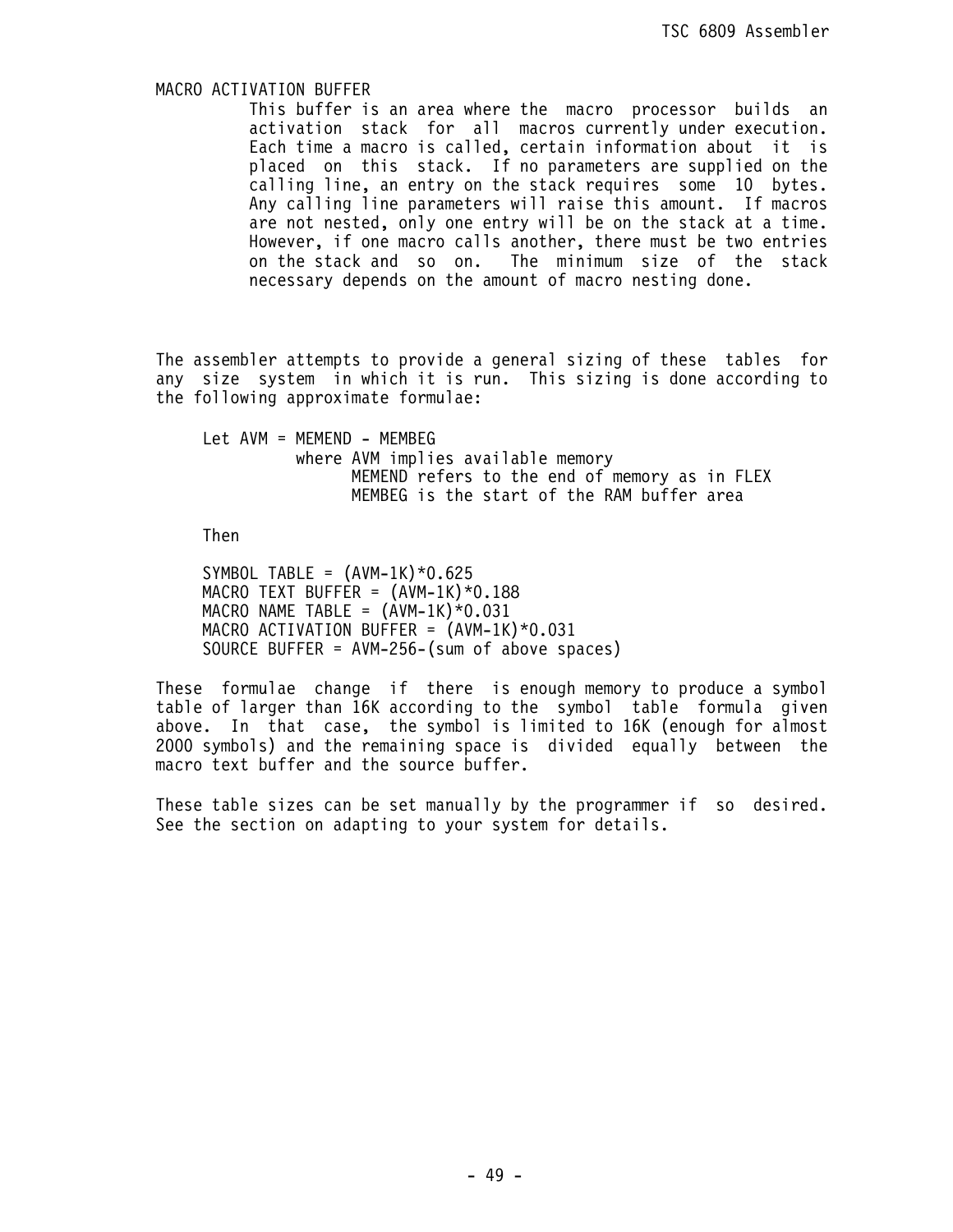#### MACRO ACTIVATION BUFFER

 This buffer is an area where the macro processor builds an activation stack for all macros currently under execution. Each time a macro is called, certain information about it is placed on this stack. If no parameters are supplied on the calling line, an entry on the stack requires some 10 bytes. Any calling line parameters will raise this amount. If macros are not nested, only one entry will be on the stack at a time. However, if one macro calls another, there must be two entries on the stack and so on. The minimum size of the stack necessary depends on the amount of macro nesting done.

The assembler attempts to provide a general sizing of these tables for any size system in which it is run. This sizing is done according to the following approximate formulae:

 Let AVM = MEMEND - MEMBEG where AVM implies available memory MEMEND refers to the end of memory as in FLEX MEMBEG is the start of the RAM buffer area

Then

SYMBOL TABLE =  $(AVM-1K)*0.625$ MACRO TEXT BUFFER =  $(AVM-1K)*0.188$ MACRO NAME TABLE =  $(AVM-1K)*0.031$ MACRO ACTIVATION BUFFER =  $(AVM-1K)*0.031$ SOURCE BUFFER = AVM-256-(sum of above spaces)

These formulae change if there is enough memory to produce a symbol table of larger than 16K according to the symbol table formula given above. In that case, the symbol is limited to 16K (enough for almost 2000 symbols) and the remaining space is divided equally between the macro text buffer and the source buffer.

These table sizes can be set manually by the programmer if so desired. See the section on adapting to your system for details.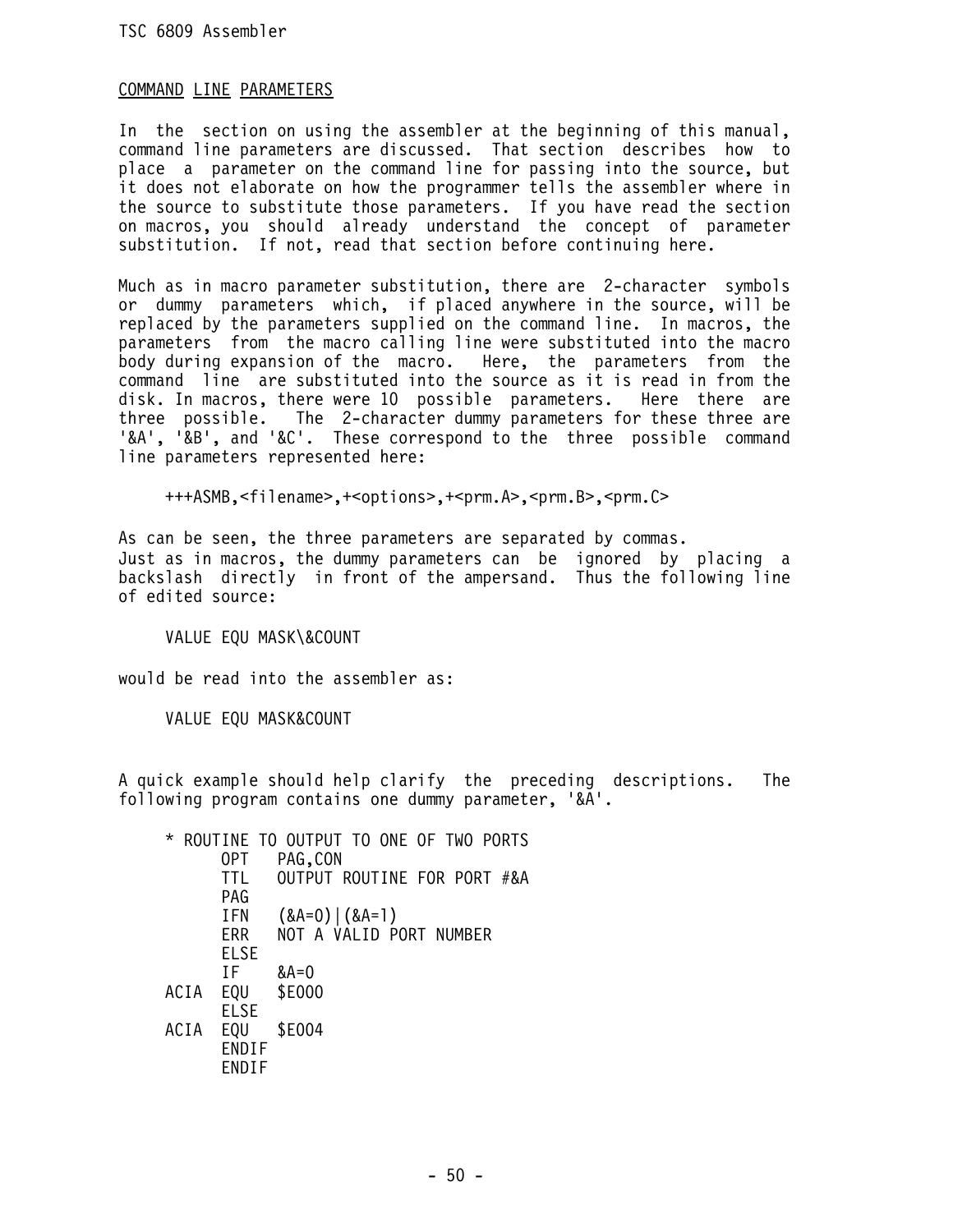# COMMAND LINE PARAMETERS

In the section on using the assembler at the beginning of this manual, command line parameters are discussed. That section describes how to place a parameter on the command line for passing into the source, but it does not elaborate on how the programmer tells the assembler where in the source to substitute those parameters. If you have read the section on macros, you should already understand the concept of parameter substitution. If not, read that section before continuing here.

Much as in macro parameter substitution, there are 2-character symbols or dummy parameters which, if placed anywhere in the source, will be replaced by the parameters supplied on the command line. In macros, the parameters from the macro calling line were substituted into the macro body during expansion of the macro. Here, the parameters from the command line are substituted into the source as it is read in from the disk. In macros, there were 10 possible parameters. Here there are three possible. The 2-character dummy parameters for these three are '&A', '&B', and '&C'. These correspond to the three possible command line parameters represented here:

+++ASMB,<filename>,+<options>,+<prm.A>,<prm.B>,<prm.C>

As can be seen, the three parameters are separated by commas. Just as in macros, the dummy parameters can be ignored by placing a backslash directly in front of the ampersand. Thus the following line of edited source:

VALUE EQU MASK\&COUNT

would be read into the assembler as:

VALUE EQU MASK&COUNT

A quick example should help clarify the preceding descriptions. The following program contains one dummy parameter, '&A'.

| $^\star$ |                | ROUTINE TO OUTPUT TO ONE OF TWO PORTS |  |
|----------|----------------|---------------------------------------|--|
|          | PAG,CON<br>0PT |                                       |  |
|          | TTL            | OUTPUT ROUTINE FOR PORT #&A           |  |
|          | PAG            |                                       |  |
|          | <b>IFN</b>     | $(A=0)   (BA=1)$                      |  |
|          | <b>ERR</b>     | NOT A VALID PORT NUMBER               |  |
|          | <b>ELSE</b>    |                                       |  |
| IF       | $\&A=0$        |                                       |  |
| ACIA     | \$E000<br>EQU  |                                       |  |
|          | <b>ELSE</b>    |                                       |  |
| ACIA     | \$E004<br>EQU  |                                       |  |
|          | ENDIF          |                                       |  |
|          | ENDIF          |                                       |  |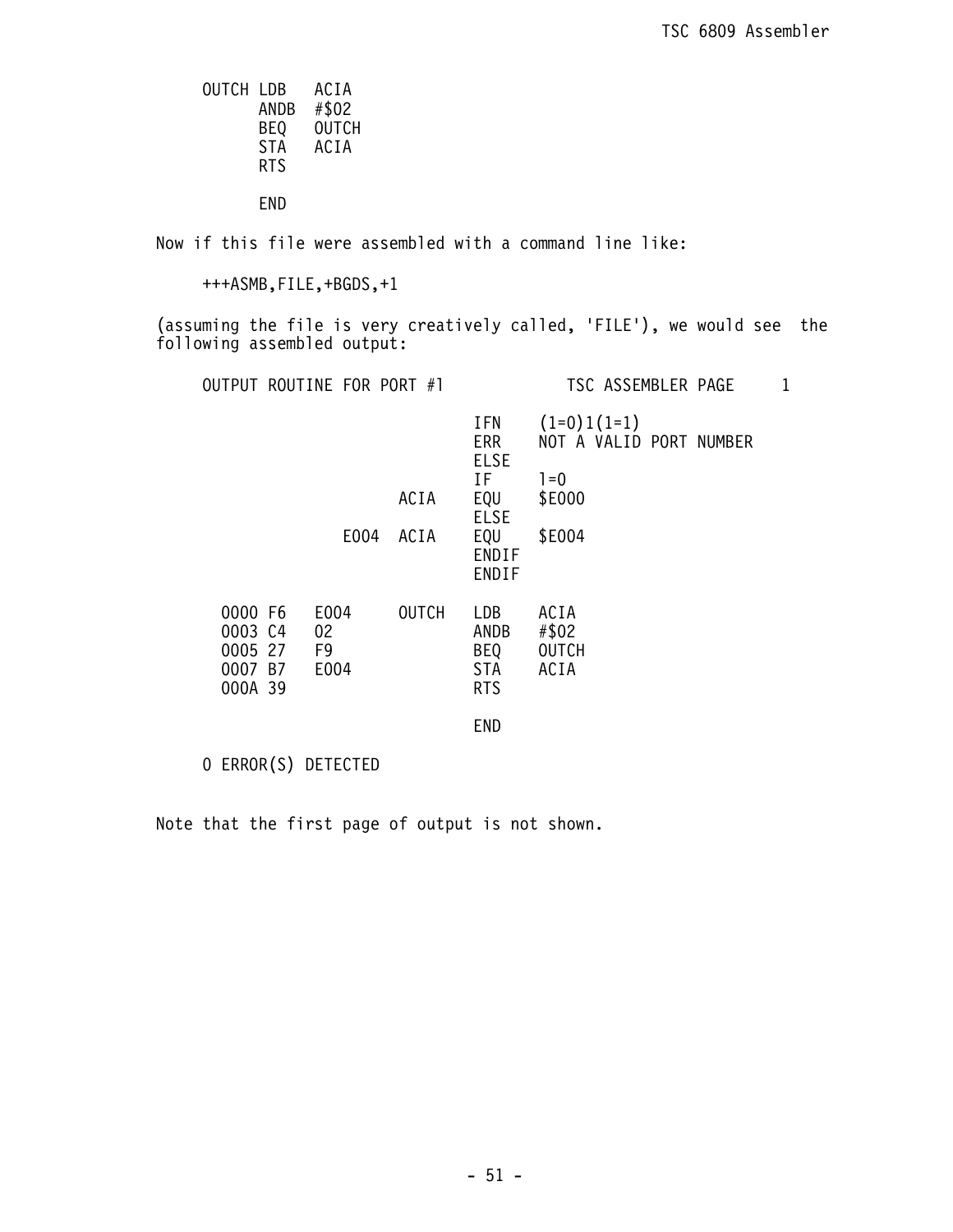OUTCH LDB ACIA ANDB #\$02<br>BEQ OUTCH BEQ OUTCH<br>STA ACIA ACIA RTS END

Now if this file were assembled with a command line like:

+++ASMB,FILE,+BGDS,+1

(assuming the file is very creatively called, 'FILE'), we would see the following assembled output:

OUTPUT ROUTINE FOR PORT #1 TSC ASSEMBLER PAGE 1

|                                                     | E004                     | ACIA<br>ACIA | <b>IFN</b><br><b>ERR</b><br><b>ELSE</b><br>IF<br>EQU<br><b>ELSE</b><br>EQU<br>ENDIF<br>ENDIF | $(1=0)1(1=1)$<br>NOT A VALID PORT NUMBER<br>$1 = 0$<br>\$E000<br>\$E004 |
|-----------------------------------------------------|--------------------------|--------------|----------------------------------------------------------------------------------------------|-------------------------------------------------------------------------|
| 0000 F6<br>0003 C4<br>0005 27<br>0007 B7<br>000A 39 | E004<br>02<br>F9<br>E004 | <b>OUTCH</b> | LDB<br>ANDB<br><b>BEQ</b><br><b>STA</b><br><b>RTS</b><br><b>END</b>                          | ACIA<br>#\$02<br><b>OUTCH</b><br>ACIA                                   |

0 ERROR(S) DETECTED

Note that the first page of output is not shown.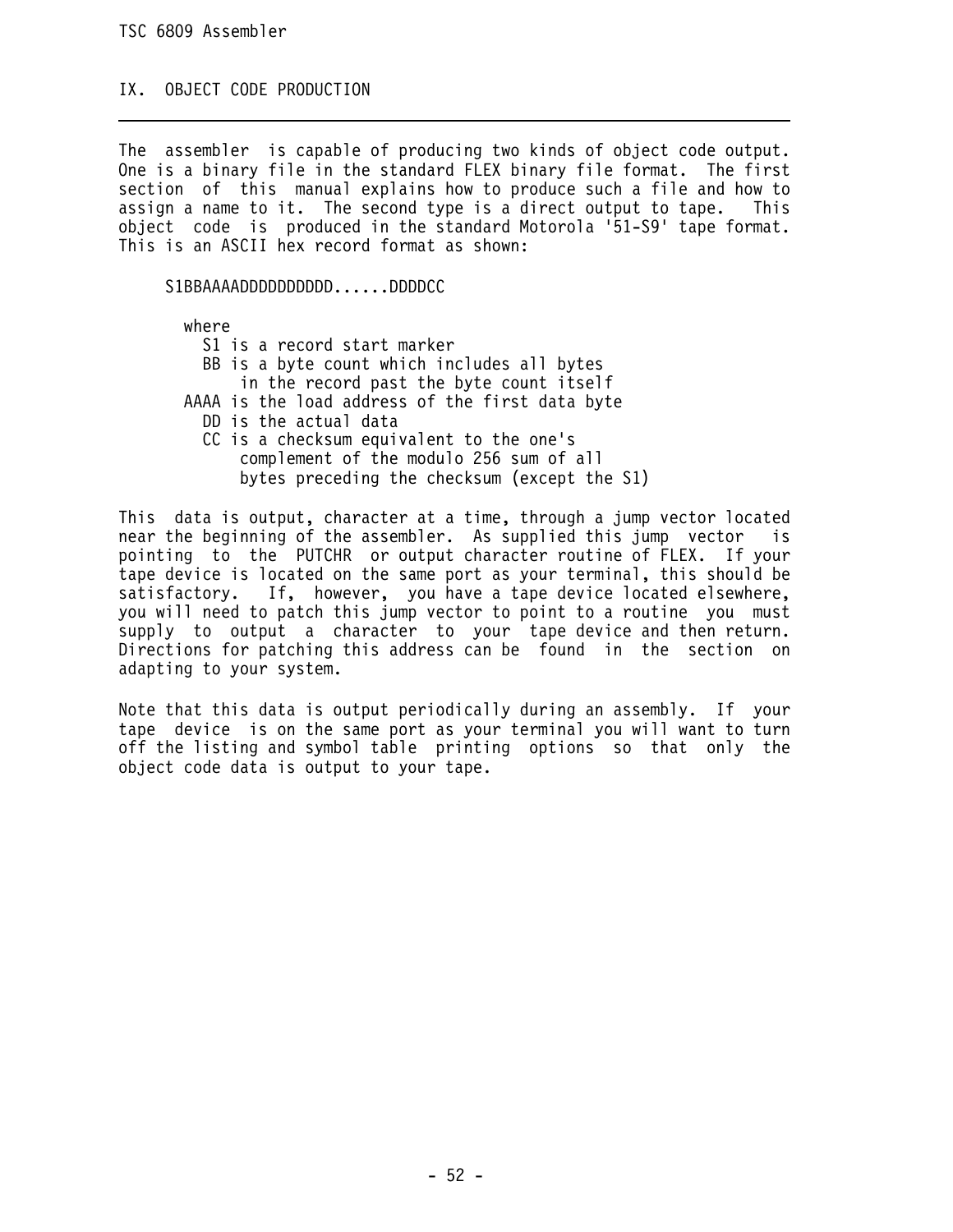# IX. OBJECT CODE PRODUCTION

The assembler is capable of producing two kinds of object code output. One is a binary file in the standard FLEX binary file format. The first section of this manual explains how to produce such a file and how to assign a name to it. The second type is a direct output to tape. This object code is produced in the standard Motorola '51-S9' tape format. This is an ASCII hex record format as shown:

S1BBAAAADDDDDDDDDD......DDDDCC

where

- S1 is a record start marker
- BB is a byte count which includes all bytes in the record past the byte count itself
- AAAA is the load address of the first data byte
- DD is the actual data
- CC is a checksum equivalent to the one's complement of the modulo 256 sum of all bytes preceding the checksum (except the S1)

This data is output, character at a time, through a jump vector located near the beginning of the assembler. As supplied this jump vector is pointing to the PUTCHR or output character routine of FLEX. If your tape device is located on the same port as your terminal, this should be satisfactory. If, however, you have a tape device located elsewhere, you will need to patch this jump vector to point to a routine you must supply to output a character to your tape device and then return. Directions for patching this address can be found in the section on adapting to your system.

Note that this data is output periodically during an assembly. If your tape device is on the same port as your terminal you will want to turn off the listing and symbol table printing options so that only the object code data is output to your tape.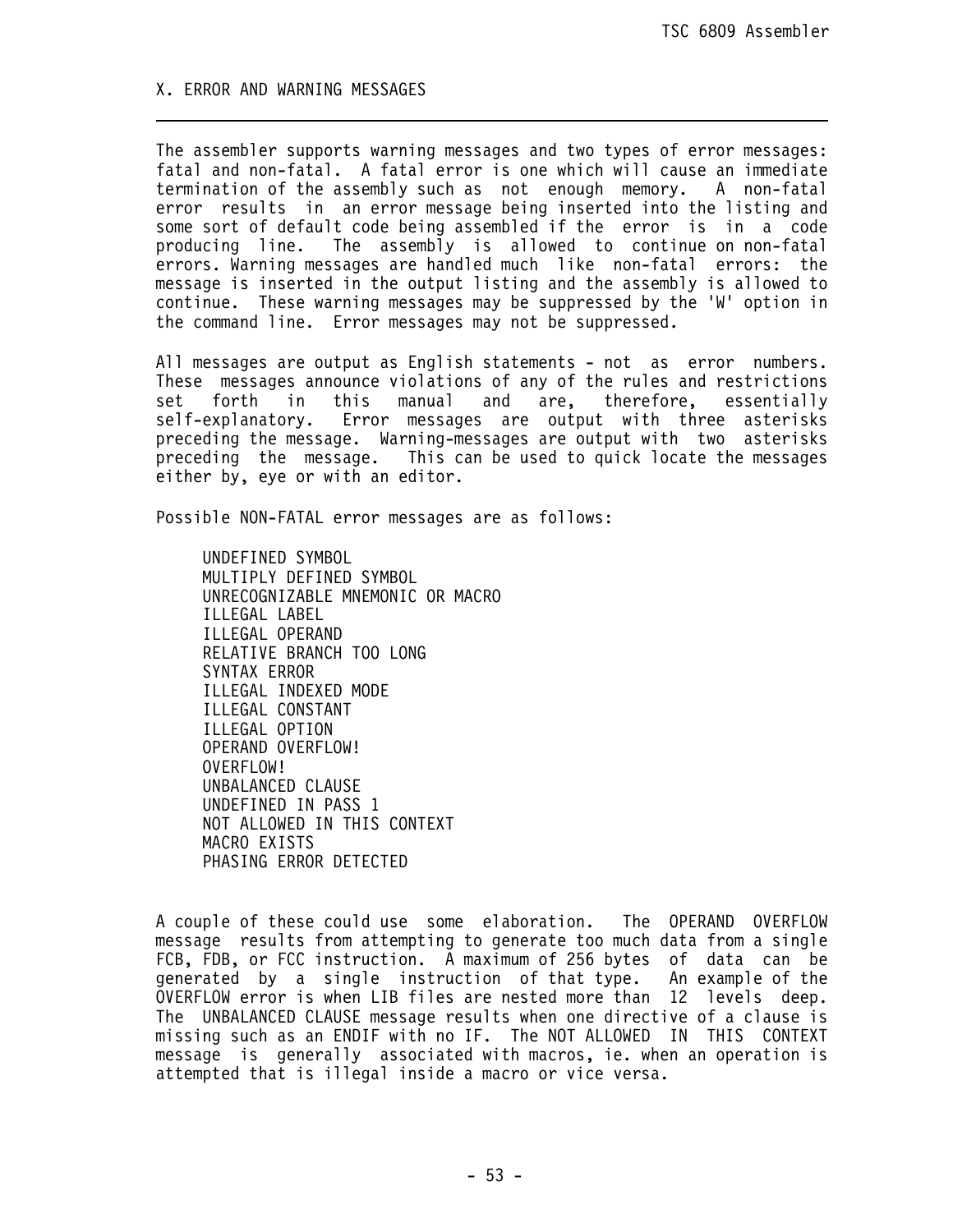X. ERROR AND WARNING MESSAGES

The assembler supports warning messages and two types of error messages: fatal and non-fatal. A fatal error is one which will cause an immediate termination of the assembly such as not enough memory. A non-fatal error results in an error message being inserted into the listing and some sort of default code being assembled if the error is in a code producing line. The assembly is allowed to continue on non-fatal errors. Warning messages are handled much like non-fatal errors: the message is inserted in the output listing and the assembly is allowed to continue. These warning messages may be suppressed by the 'W' option in the command line. Error messages may not be suppressed.

All messages are output as English statements - not as error numbers. These messages announce violations of any of the rules and restrictions set forth in this manual and are, therefore, essentially self-explanatory. Error messages are output with three asterisks preceding the message. Warning-messages are output with two asterisks preceding the message. This can be used to quick locate the messages either by, eye or with an editor.

Possible NON-FATAL error messages are as follows:

 UNDEFINED SYMBOL MULTIPLY DEFINED SYMBOL UNRECOGNIZABLE MNEMONIC OR MACRO ILLEGAL LABEL ILLEGAL OPERAND RELATIVE BRANCH TOO LONG SYNTAX ERROR ILLEGAL INDEXED MODE ILLEGAL CONSTANT ILLEGAL OPTION OPERAND OVERFLOW! OVERFLOW! UNBALANCED CLAUSE UNDEFINED IN PASS 1 NOT ALLOWED IN THIS CONTEXT MACRO EXISTS PHASING ERROR DETECTED

A couple of these could use some elaboration. The OPERAND OVERFLOW message results from attempting to generate too much data from a single FCB, FDB, or FCC instruction. A maximum of 256 bytes of data can be generated by a single instruction of that type. An example of the OVERFLOW error is when LIB files are nested more than 12 levels deep. The UNBALANCED CLAUSE message results when one directive of a clause is missing such as an ENDIF with no IF. The NOT ALLOWED IN THIS CONTEXT message is generally associated with macros, ie. when an operation is attempted that is illegal inside a macro or vice versa.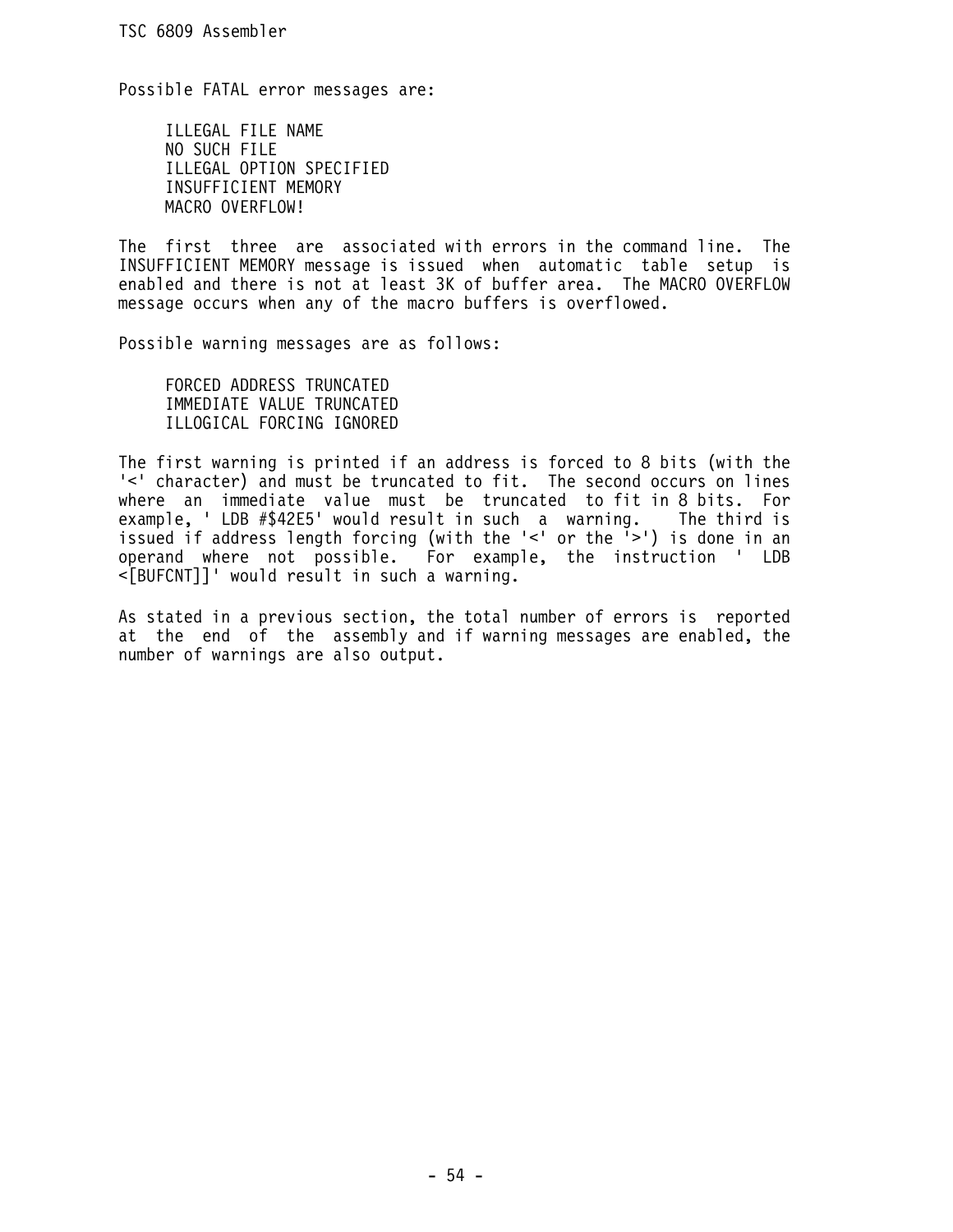Possible FATAL error messages are:

 ILLEGAL FILE NAME NO SUCH FILE ILLEGAL OPTION SPECIFIED INSUFFICIENT MEMORY MACRO OVERFLOW!

The first three are associated with errors in the command line. The INSUFFICIENT MEMORY message is issued when automatic table setup is enabled and there is not at least 3K of buffer area. The MACRO OVERFLOW message occurs when any of the macro buffers is overflowed.

Possible warning messages are as follows:

 FORCED ADDRESS TRUNCATED IMMEDIATE VALUE TRUNCATED ILLOGICAL FORCING IGNORED

The first warning is printed if an address is forced to 8 bits (with the '<' character) and must be truncated to fit. The second occurs on lines where an immediate value must be truncated to fit in 8 bits. For example, ' LDB #\$42E5' would result in such a warning. The third is issued if address length forcing (with the '<' or the '>') is done in an operand where not possible. For example, the instruction ' LDB <[BUFCNT]]' would result in such a warning.

As stated in a previous section, the total number of errors is reported at the end of the assembly and if warning messages are enabled, the number of warnings are also output.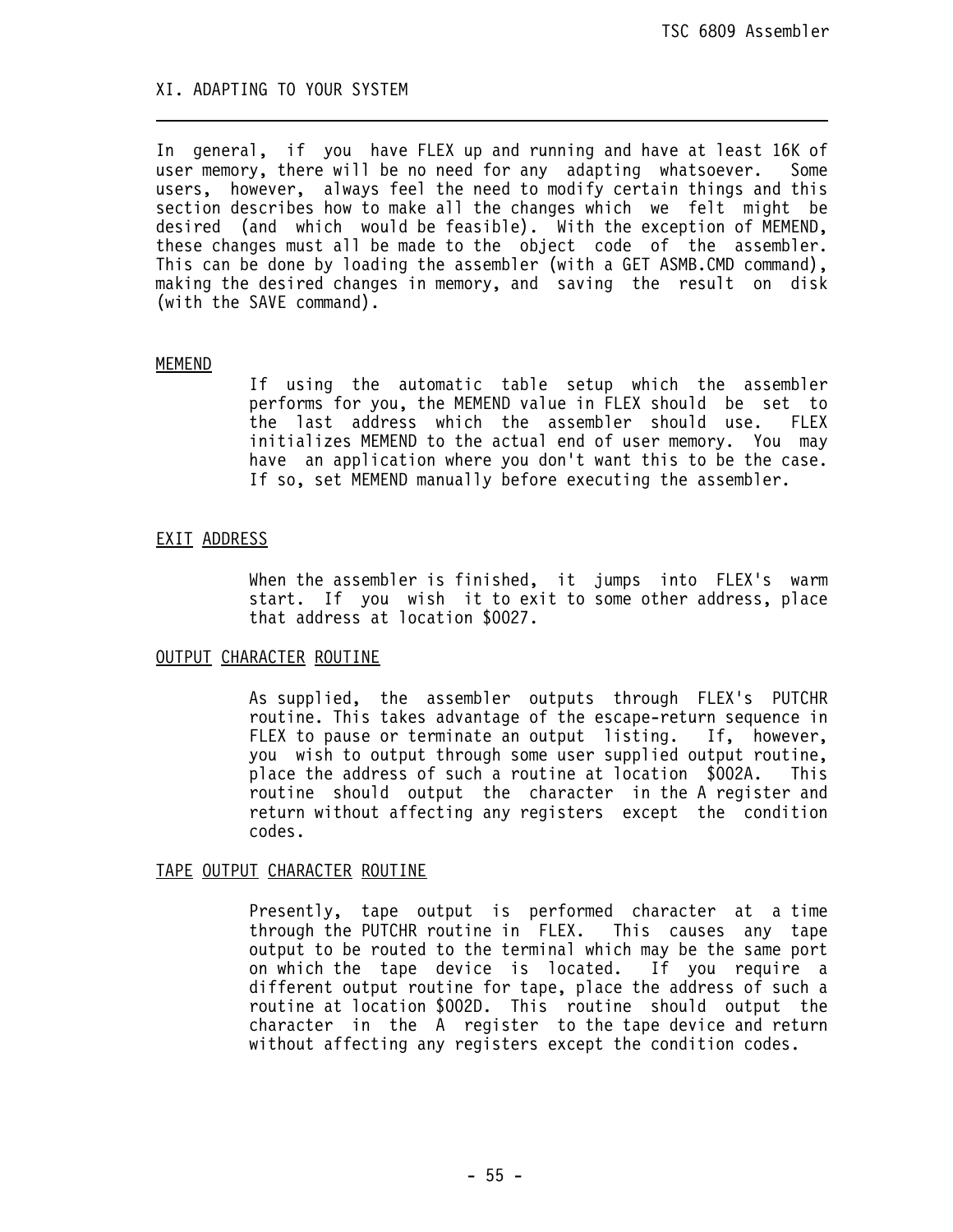XI. ADAPTING TO YOUR SYSTEM

In general, if you have FLEX up and running and have at least 16K of user memory, there will be no need for any adapting whatsoever. Some users, however, always feel the need to modify certain things and this section describes how to make all the changes which we felt might be desired (and which would be feasible). With the exception of MEMEND, these changes must all be made to the object code of the assembler. This can be done by loading the assembler (with a GET ASMB.CMD command), making the desired changes in memory, and saving the result on disk (with the SAVE command).

#### MEMEND

 If using the automatic table setup which the assembler performs for you, the MEMEND value in FLEX should be set to the last address which the assembler should use. FLEX initializes MEMEND to the actual end of user memory. You may have an application where you don't want this to be the case. If so, set MEMEND manually before executing the assembler.

# EXIT ADDRESS

 When the assembler is finished, it jumps into FLEX's warm start. If you wish it to exit to some other address, place that address at location \$0027.

#### OUTPUT CHARACTER ROUTINE

 As supplied, the assembler outputs through FLEX's PUTCHR routine. This takes advantage of the escape-return sequence in FLEX to pause or terminate an output listing. If, however, you wish to output through some user supplied output routine, place the address of such a routine at location \$002A. This routine should output the character in the A register and return without affecting any registers except the condition codes.

#### TAPE OUTPUT CHARACTER ROUTINE

 Presently, tape output is performed character at a time through the PUTCHR routine in FLEX. This causes any tape output to be routed to the terminal which may be the same port on which the tape device is located. If you require a different output routine for tape, place the address of such a routine at location \$002D. This routine should output the character in the A register to the tape device and return without affecting any registers except the condition codes.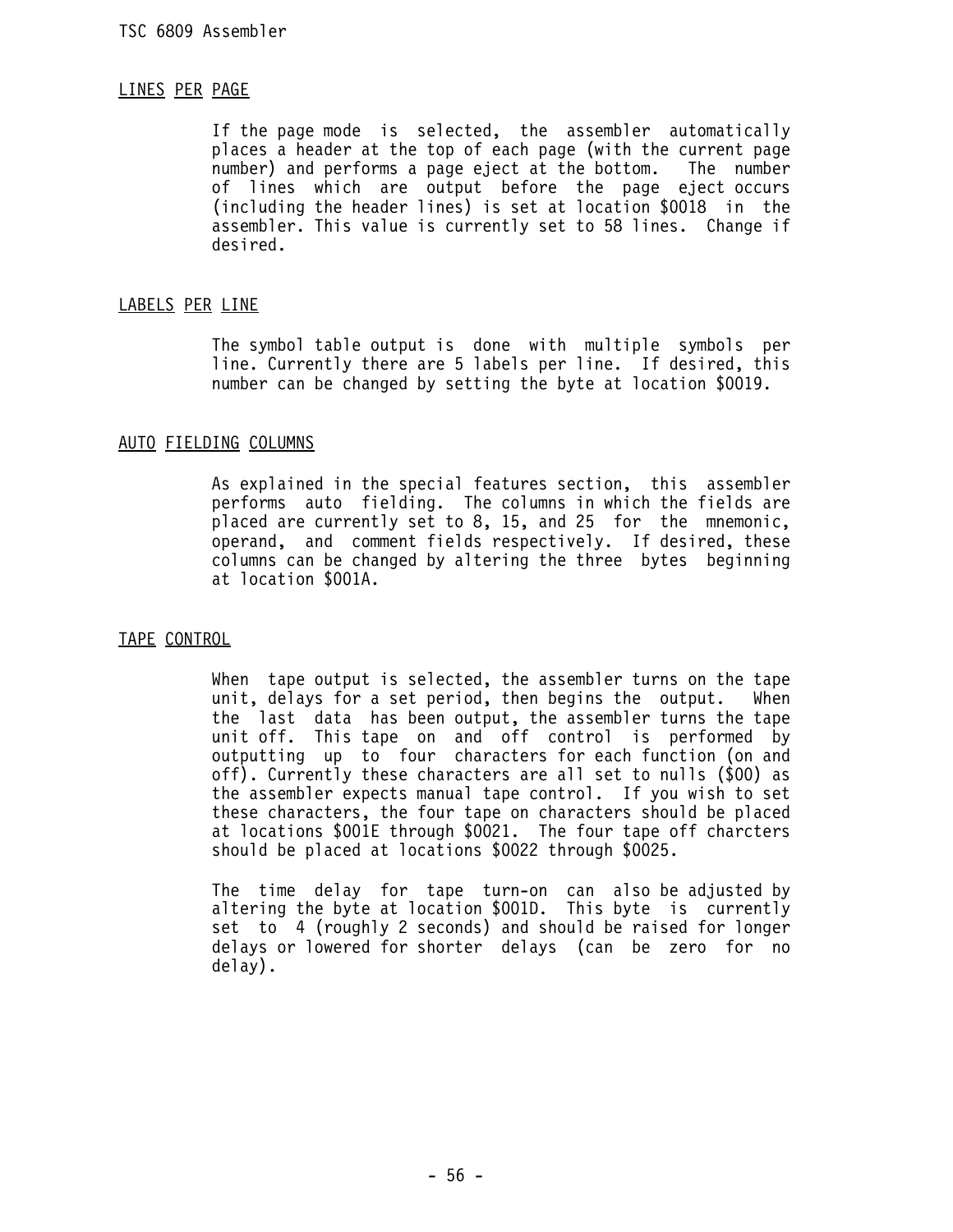# LINES PER PAGE

 If the page mode is selected, the assembler automatically places a header at the top of each page (with the current page number) and performs a page eject at the bottom. The number of lines which are output before the page eject occurs (including the header lines) is set at location \$0018 in the assembler. This value is currently set to 58 lines. Change if desired.

# LABELS PER LINE

 The symbol table output is done with multiple symbols per line. Currently there are 5 labels per line. If desired, this number can be changed by setting the byte at location \$0019.

# AUTO FIELDING COLUMNS

 As explained in the special features section, this assembler performs auto fielding. The columns in which the fields are placed are currently set to 8, 15, and 25 for the mnemonic, operand, and comment fields respectively. If desired, these columns can be changed by altering the three bytes beginning at location \$001A.

# TAPE CONTROL

 When tape output is selected, the assembler turns on the tape unit, delays for a set period, then begins the output. When the last data has been output, the assembler turns the tape unit off. This tape on and off control is performed by outputting up to four characters for each function (on and off). Currently these characters are all set to nulls (\$00) as the assembler expects manual tape control. If you wish to set these characters, the four tape on characters should be placed at locations \$001E through \$0021. The four tape off charcters should be placed at locations \$0022 through \$0025.

> The time delay for tape turn-on can also be adjusted by altering the byte at location \$001D. This byte is currently set to 4 (roughly 2 seconds) and should be raised for longer delays or lowered for shorter delays (can be zero for no delay).